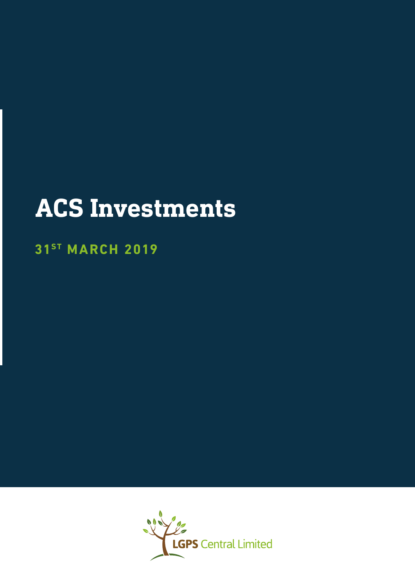# **ACS Investments**

## **31ST MARCH 2019**

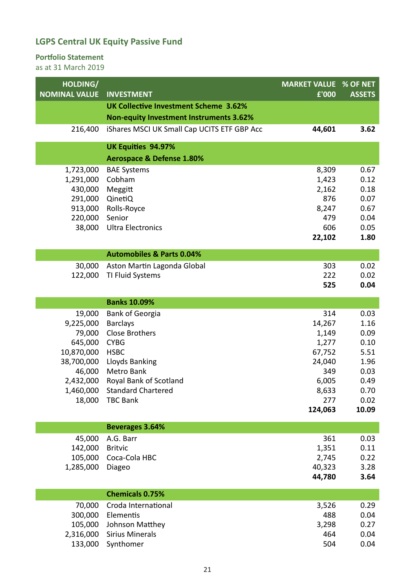#### **Portfolio Statement**

| HOLDING/             |                                                | <b>MARKET VALUE % OF NET</b> |               |
|----------------------|------------------------------------------------|------------------------------|---------------|
| <b>NOMINAL VALUE</b> | <b>INVESTMENT</b>                              | £'000                        | <b>ASSETS</b> |
|                      | <b>UK Collective Investment Scheme 3.62%</b>   |                              |               |
|                      | <b>Non-equity Investment Instruments 3.62%</b> |                              |               |
| 216,400              | iShares MSCI UK Small Cap UCITS ETF GBP Acc    | 44,601                       | 3.62          |
|                      | <b>UK Equities 94.97%</b>                      |                              |               |
|                      | <b>Aerospace &amp; Defense 1.80%</b>           |                              |               |
| 1,723,000            | <b>BAE Systems</b>                             | 8,309                        | 0.67          |
| 1,291,000            | Cobham                                         | 1,423                        | 0.12          |
| 430,000              | Meggitt                                        | 2,162                        | 0.18          |
| 291,000              | QinetiQ                                        | 876                          | 0.07<br>0.67  |
| 913,000<br>220,000   | Rolls-Royce<br>Senior                          | 8,247<br>479                 | 0.04          |
| 38,000               | <b>Ultra Electronics</b>                       | 606                          | 0.05          |
|                      |                                                | 22,102                       | 1.80          |
|                      | <b>Automobiles &amp; Parts 0.04%</b>           |                              |               |
| 30,000               | Aston Martin Lagonda Global                    | 303                          | 0.02          |
| 122,000              | TI Fluid Systems                               | 222                          | 0.02          |
|                      |                                                | 525                          | 0.04          |
|                      |                                                |                              |               |
|                      | <b>Banks 10.09%</b>                            |                              |               |
| 19,000<br>9,225,000  | <b>Bank of Georgia</b><br><b>Barclays</b>      | 314<br>14,267                | 0.03<br>1.16  |
| 79,000               | <b>Close Brothers</b>                          | 1,149                        | 0.09          |
| 645,000              | <b>CYBG</b>                                    | 1,277                        | 0.10          |
| 10,870,000           | <b>HSBC</b>                                    | 67,752                       | 5.51          |
| 38,700,000           | Lloyds Banking                                 | 24,040                       | 1.96          |
| 46,000               | Metro Bank                                     | 349                          | 0.03          |
| 2,432,000            | Royal Bank of Scotland                         | 6,005                        | 0.49          |
|                      | 1,460,000 Standard Chartered                   | 8,633                        | 0.70          |
| 18,000               | <b>TBC Bank</b>                                | 277                          | 0.02          |
|                      |                                                | 124,063                      | 10.09         |
|                      | <b>Beverages 3.64%</b>                         |                              |               |
| 45,000               | A.G. Barr                                      | 361                          | 0.03          |
| 142,000              | <b>Britvic</b>                                 | 1,351                        | 0.11          |
| 105,000              | Coca-Cola HBC                                  | 2,745                        | 0.22          |
| 1,285,000            | Diageo                                         | 40,323                       | 3.28          |
|                      |                                                | 44,780                       | 3.64          |
|                      | <b>Chemicals 0.75%</b>                         |                              |               |
| 70,000               | Croda International                            | 3,526                        | 0.29          |
| 300,000              | Elementis                                      | 488                          | 0.04          |
| 105,000              | Johnson Matthey                                | 3,298                        | 0.27          |
| 2,316,000            | <b>Sirius Minerals</b>                         | 464                          | 0.04          |
| 133,000              | Synthomer                                      | 504                          | 0.04          |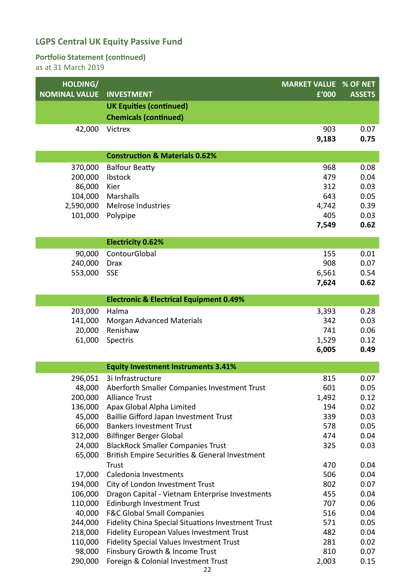#### **Portfolio Statement (continued)**

| HOLDING/<br><b>NOMINAL VALUE</b> | <b>INVESTMENT</b>                                                         | <b>MARKET VALUE % OF NET</b><br>£'000 | <b>ASSETS</b> |
|----------------------------------|---------------------------------------------------------------------------|---------------------------------------|---------------|
|                                  | <b>UK Equities (continued)</b>                                            |                                       |               |
|                                  | <b>Chemicals (continued)</b>                                              |                                       |               |
| 42,000                           | Victrex                                                                   | 903                                   | 0.07          |
|                                  |                                                                           | 9,183                                 | 0.75          |
|                                  | <b>Construction &amp; Materials 0.62%</b>                                 |                                       |               |
| 370,000                          | <b>Balfour Beatty</b>                                                     | 968                                   | 0.08          |
| 200,000                          | Ibstock                                                                   | 479                                   | 0.04          |
| 86,000                           | Kier                                                                      | 312                                   | 0.03          |
| 104,000                          | Marshalls                                                                 | 643                                   | 0.05          |
| 2,590,000<br>101,000             | Melrose Industries                                                        | 4,742<br>405                          | 0.39          |
|                                  | Polypipe                                                                  | 7,549                                 | 0.03<br>0.62  |
|                                  |                                                                           |                                       |               |
|                                  | <b>Electricity 0.62%</b>                                                  |                                       |               |
| 90,000                           | ContourGlobal                                                             | 155                                   | 0.01          |
| 240,000                          | <b>Drax</b>                                                               | 908                                   | 0.07          |
| 553,000                          | <b>SSE</b>                                                                | 6,561                                 | 0.54          |
|                                  |                                                                           | 7,624                                 | 0.62          |
|                                  | <b>Electronic &amp; Electrical Equipment 0.49%</b>                        |                                       |               |
| 203,000                          | Halma                                                                     | 3,393                                 | 0.28          |
| 141,000                          | <b>Morgan Advanced Materials</b>                                          | 342                                   | 0.03          |
| 20,000                           | Renishaw                                                                  | 741                                   | 0.06          |
| 61,000                           | Spectris                                                                  | 1,529                                 | 0.12          |
|                                  |                                                                           | 6,005                                 | 0.49          |
|                                  | <b>Equity Investment Instruments 3.41%</b>                                |                                       |               |
| 296,051                          | 3i Infrastructure                                                         | 815                                   | 0.07          |
|                                  | 48,000 Aberforth Smaller Companies Investment Trust                       | 601                                   | 0.05          |
| 200,000                          | <b>Alliance Trust</b>                                                     | 1,492                                 | 0.12          |
| 136,000                          | Apax Global Alpha Limited                                                 | 194<br>339                            | 0.02<br>0.03  |
| 45,000<br>66,000                 | Baillie Gifford Japan Investment Trust<br><b>Bankers Investment Trust</b> | 578                                   | 0.05          |
| 312,000                          | <b>Bilfinger Berger Global</b>                                            | 474                                   | 0.04          |
| 24,000                           | <b>BlackRock Smaller Companies Trust</b>                                  | 325                                   | 0.03          |
| 65,000                           | British Empire Securities & General Investment                            |                                       |               |
|                                  | <b>Trust</b>                                                              | 470                                   | 0.04          |
| 17,000                           | Caledonia Investments                                                     | 506                                   | 0.04          |
| 194,000                          | City of London Investment Trust                                           | 802                                   | 0.07          |
| 106,000                          | Dragon Capital - Vietnam Enterprise Investments                           | 455                                   | 0.04          |
| 110,000                          | Edinburgh Investment Trust                                                | 707                                   | 0.06          |
| 40,000                           | <b>F&amp;C Global Small Companies</b>                                     | 516                                   | 0.04          |
| 244,000                          | Fidelity China Special Situations Investment Trust                        | 571                                   | 0.05          |
| 218,000                          | Fidelity European Values Investment Trust                                 | 482                                   | 0.04          |
| 110,000                          | <b>Fidelity Special Values Investment Trust</b>                           | 281                                   | 0.02          |
| 98,000<br>290,000                | Finsbury Growth & Income Trust                                            | 810                                   | 0.07<br>0.15  |
|                                  | Foreign & Colonial Investment Trust<br>22                                 | 2,003                                 |               |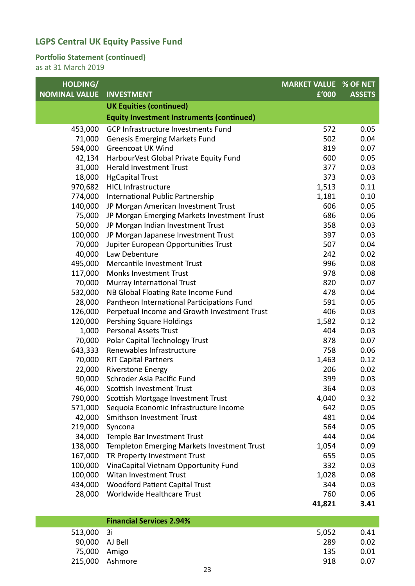#### **Portfolio Statement (continued)**

| HOLDING/             |                                                  | <b>MARKET VALUE % OF NET</b> |               |
|----------------------|--------------------------------------------------|------------------------------|---------------|
| <b>NOMINAL VALUE</b> | <b>INVESTMENT</b>                                | £'000                        | <b>ASSETS</b> |
|                      | <b>UK Equities (continued)</b>                   |                              |               |
|                      | <b>Equity Investment Instruments (continued)</b> |                              |               |
| 453,000              | <b>GCP Infrastructure Investments Fund</b>       | 572                          | 0.05          |
| 71,000               | <b>Genesis Emerging Markets Fund</b>             | 502                          | 0.04          |
| 594,000              | <b>Greencoat UK Wind</b>                         | 819                          | 0.07          |
| 42,134               | HarbourVest Global Private Equity Fund           | 600                          | 0.05          |
| 31,000               | <b>Herald Investment Trust</b>                   | 377                          | 0.03          |
| 18,000               | <b>HgCapital Trust</b>                           | 373                          | 0.03          |
| 970,682              | <b>HICL Infrastructure</b>                       | 1,513                        | 0.11          |
| 774,000              | International Public Partnership                 | 1,181                        | 0.10          |
| 140,000              | JP Morgan American Investment Trust              | 606                          | 0.05          |
| 75,000               | JP Morgan Emerging Markets Investment Trust      | 686                          | 0.06          |
| 50,000               | JP Morgan Indian Investment Trust                | 358                          | 0.03          |
| 100,000              | JP Morgan Japanese Investment Trust              | 397                          | 0.03          |
| 70,000               | Jupiter European Opportunities Trust             | 507                          | 0.04          |
| 40,000               | Law Debenture                                    | 242                          | 0.02          |
| 495,000              | Mercantile Investment Trust                      | 996                          | 0.08          |
| 117,000              | <b>Monks Investment Trust</b>                    | 978                          | 0.08          |
| 70,000               | Murray International Trust                       | 820                          | 0.07          |
| 532,000              | NB Global Floating Rate Income Fund              | 478                          | 0.04          |
| 28,000               | Pantheon International Participations Fund       | 591                          | 0.05          |
| 126,000              | Perpetual Income and Growth Investment Trust     | 406                          | 0.03          |
| 120,000              | Pershing Square Holdings                         | 1,582                        | 0.12          |
| 1,000                | <b>Personal Assets Trust</b>                     | 404                          | 0.03          |
| 70,000               | Polar Capital Technology Trust                   | 878                          | 0.07          |
| 643,333              | Renewables Infrastructure                        | 758                          | 0.06          |
| 70,000               | <b>RIT Capital Partners</b>                      | 1,463                        | 0.12          |
| 22,000               | <b>Riverstone Energy</b>                         | 206                          | 0.02          |
| 90,000               | Schroder Asia Pacific Fund                       | 399                          | 0.03          |
| 46,000               | Scottish Investment Trust                        | 364                          | 0.03          |
| 790,000              | Scottish Mortgage Investment Trust               | 4,040                        | 0.32          |
| 571,000              | Sequoia Economic Infrastructure Income           | 642                          | 0.05          |
| 42,000               | Smithson Investment Trust                        | 481                          | 0.04          |
| 219,000              | Syncona                                          | 564                          | 0.05          |
| 34,000               | Temple Bar Investment Trust                      | 444                          | 0.04          |
| 138,000              | Templeton Emerging Markets Investment Trust      | 1,054                        | 0.09          |
| 167,000              | TR Property Investment Trust                     | 655                          | 0.05          |
| 100,000              | VinaCapital Vietnam Opportunity Fund             | 332                          | 0.03          |
| 100,000              | Witan Investment Trust                           | 1,028                        | 0.08          |
| 434,000              | <b>Woodford Patient Capital Trust</b>            | 344                          | 0.03          |
| 28,000               | Worldwide Healthcare Trust                       | 760                          | 0.06          |
|                      |                                                  | 41,821                       | 3.41          |
|                      |                                                  |                              |               |

| <b>Financial Services 2.94%</b> |                                                                 |      |
|---------------------------------|-----------------------------------------------------------------|------|
|                                 | 5,052                                                           | 0.41 |
|                                 | 289                                                             | 0.02 |
|                                 | 135                                                             | 0.01 |
|                                 | 918                                                             | 0.07 |
|                                 | 513,000 3i<br>90,000 AJ Bell<br>75,000 Amigo<br>215,000 Ashmore |      |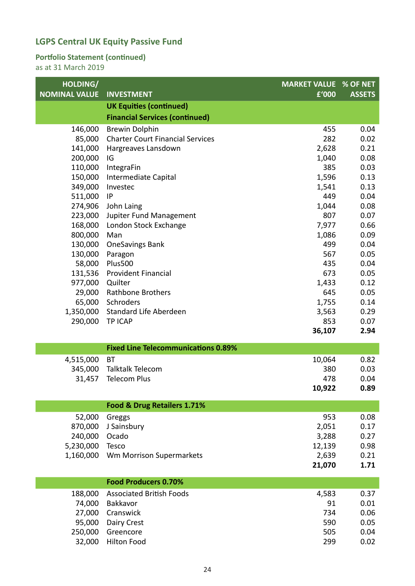#### **Portfolio Statement (continued)**

| HOLDING/<br><b>MARKET VALUE % OF NET</b><br><b>NOMINAL VALUE</b><br><b>INVESTMENT</b><br>£'000 | <b>ASSETS</b> |
|------------------------------------------------------------------------------------------------|---------------|
| <b>UK Equities (continued)</b>                                                                 |               |
| <b>Financial Services (continued)</b>                                                          |               |
| 146,000<br><b>Brewin Dolphin</b><br>455                                                        | 0.04          |
| <b>Charter Court Financial Services</b><br>282<br>85,000                                       | 0.02          |
| 141,000<br>2,628<br>Hargreaves Lansdown                                                        | 0.21          |
| 200,000<br>IG<br>1,040                                                                         | 0.08          |
| 110,000<br>IntegraFin<br>385                                                                   | 0.03          |
| 150,000<br>1,596<br>Intermediate Capital                                                       | 0.13          |
| 349,000<br>1,541<br>Investec                                                                   | 0.13          |
| 511,000<br>449<br>IP                                                                           | 0.04          |
| 274,906<br>1,044<br>John Laing                                                                 | 0.08          |
| 807<br>223,000<br>Jupiter Fund Management                                                      | 0.07          |
| 168,000<br>7,977<br>London Stock Exchange                                                      | 0.66          |
| 800,000<br>1,086<br>Man                                                                        | 0.09          |
| 499<br>130,000<br><b>OneSavings Bank</b>                                                       | 0.04          |
| 130,000<br>567<br>Paragon                                                                      | 0.05          |
| Plus500<br>58,000<br>435                                                                       | 0.04          |
| 673<br>131,536 Provident Financial                                                             | 0.05          |
| 977,000<br>Quilter<br>1,433                                                                    | 0.12          |
| <b>Rathbone Brothers</b><br>29,000<br>645                                                      | 0.05          |
| 65,000<br>Schroders<br>1,755                                                                   | 0.14          |
| 1,350,000 Standard Life Aberdeen<br>3,563                                                      | 0.29          |
| 290,000<br>853<br><b>TP ICAP</b>                                                               | 0.07          |
| 36,107                                                                                         | 2.94          |
| <b>Fixed Line Telecommunications 0.89%</b>                                                     |               |
| 10,064<br>4,515,000<br><b>BT</b>                                                               | 0.82          |
| Talktalk Telecom<br>345,000<br>380                                                             | 0.03          |
| 31,457<br><b>Telecom Plus</b><br>478                                                           | 0.04          |
| 10,922                                                                                         | 0.89          |
| Food & Drug Retailers 1.71%                                                                    |               |
| 953<br>52,000<br>Greggs                                                                        | 0.08          |
| 2,051<br>870,000<br>J Sainsbury                                                                | 0.17          |
| 3,288<br>240,000<br>Ocado                                                                      | 0.27          |
| 5,230,000<br>12,139<br>Tesco                                                                   | 0.98          |
| 1,160,000<br>Wm Morrison Supermarkets<br>2,639                                                 | 0.21          |
| 21,070                                                                                         | 1.71          |
| <b>Food Producers 0.70%</b>                                                                    |               |
|                                                                                                |               |
| <b>Associated British Foods</b><br>188,000<br>4,583                                            | 0.37          |
| 91<br>74,000<br>Bakkavor<br>734                                                                | 0.01          |
| 27,000<br>Cranswick<br>590                                                                     | 0.06<br>0.05  |
| 95,000<br>Dairy Crest<br>250,000<br>505<br>Greencore                                           | 0.04          |
| 32,000<br>Hilton Food<br>299                                                                   | 0.02          |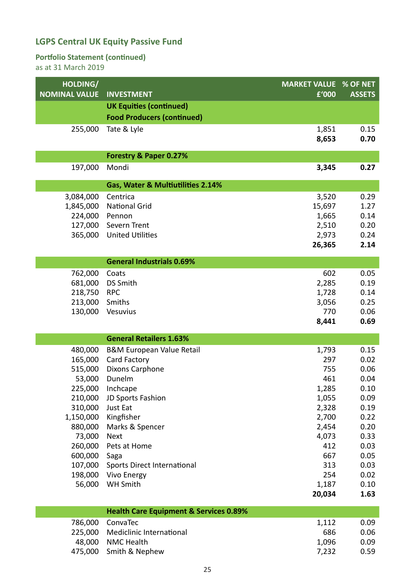#### **Portfolio Statement (continued)**

| HOLDING/             |                                                   | <b>MARKET VALUE % OF NET</b> |               |
|----------------------|---------------------------------------------------|------------------------------|---------------|
| <b>NOMINAL VALUE</b> | <b>INVESTMENT</b>                                 | £'000                        | <b>ASSETS</b> |
|                      | <b>UK Equities (continued)</b>                    |                              |               |
|                      | <b>Food Producers (continued)</b>                 |                              |               |
| 255,000              | Tate & Lyle                                       | 1,851                        | 0.15          |
|                      |                                                   | 8,653                        | 0.70          |
|                      | Forestry & Paper 0.27%                            |                              |               |
| 197,000              | Mondi                                             | 3,345                        | 0.27          |
|                      |                                                   |                              |               |
|                      | Gas, Water & Multiutilities 2.14%                 |                              |               |
| 3,084,000            | Centrica                                          | 3,520                        | 0.29          |
| 1,845,000            | <b>National Grid</b>                              | 15,697                       | 1.27          |
| 224,000              | Pennon                                            | 1,665                        | 0.14          |
| 127,000              | Severn Trent                                      | 2,510                        | 0.20          |
| 365,000              | <b>United Utilities</b>                           | 2,973                        | 0.24          |
|                      |                                                   | 26,365                       | 2.14          |
|                      | <b>General Industrials 0.69%</b>                  |                              |               |
| 762,000              | Coats                                             | 602                          | 0.05          |
| 681,000              | <b>DS Smith</b>                                   | 2,285                        | 0.19          |
| 218,750              | <b>RPC</b>                                        | 1,728                        | 0.14          |
| 213,000              | Smiths                                            | 3,056                        | 0.25          |
| 130,000              | Vesuvius                                          | 770                          | 0.06          |
|                      |                                                   | 8,441                        | 0.69          |
|                      | <b>General Retailers 1.63%</b>                    |                              |               |
| 480,000              | <b>B&amp;M European Value Retail</b>              | 1,793                        | 0.15          |
| 165,000              | Card Factory                                      | 297                          | 0.02          |
| 515,000              | Dixons Carphone                                   | 755                          | 0.06          |
| 53,000               | Dunelm                                            | 461                          | 0.04          |
|                      | 225,000 Inchcape                                  | 1,285                        | 0.10          |
| 210,000              | JD Sports Fashion                                 | 1,055                        | 0.09          |
| 310,000              | Just Eat                                          | 2,328                        | 0.19          |
| 1,150,000            | Kingfisher                                        | 2,700                        | 0.22          |
| 880,000              | Marks & Spencer                                   | 2,454                        | 0.20          |
| 73,000               | <b>Next</b>                                       | 4,073                        | 0.33          |
| 260,000              | Pets at Home                                      | 412                          | 0.03          |
| 600,000              | Saga                                              | 667                          | 0.05          |
| 107,000              | Sports Direct International                       | 313                          | 0.03          |
| 198,000              | Vivo Energy                                       | 254                          | 0.02          |
| 56,000               | <b>WH Smith</b>                                   | 1,187                        | 0.10          |
|                      |                                                   | 20,034                       | 1.63          |
|                      | <b>Health Care Equipment &amp; Services 0.89%</b> |                              |               |
| 786,000              | ConvaTec                                          | 1,112                        | 0.09          |
| 225,000              | Mediclinic International                          | 686                          | 0.06          |
| 48,000               | <b>NMC Health</b>                                 | 1,096                        | 0.09          |
| 475,000              | Smith & Nephew                                    | 7,232                        | 0.59          |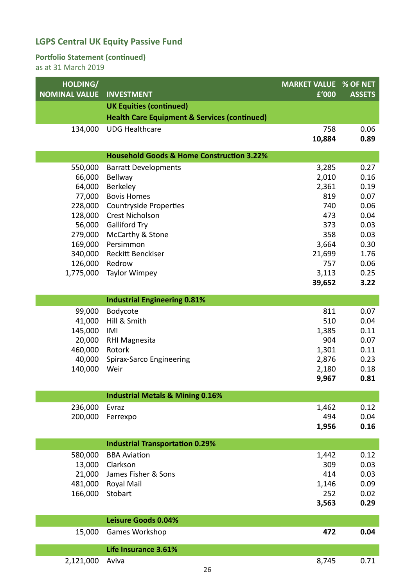#### **Portfolio Statement (continued)**

| HOLDING/<br><b>NOMINAL VALUE</b> | <b>INVESTMENT</b>                                       | <b>MARKET VALUE % OF NET</b><br>£'000 | <b>ASSETS</b> |
|----------------------------------|---------------------------------------------------------|---------------------------------------|---------------|
|                                  | <b>UK Equities (continued)</b>                          |                                       |               |
|                                  | <b>Health Care Equipment &amp; Services (continued)</b> |                                       |               |
| 134,000                          | <b>UDG Healthcare</b>                                   | 758                                   | 0.06          |
|                                  |                                                         | 10,884                                | 0.89          |
|                                  |                                                         |                                       |               |
|                                  | <b>Household Goods &amp; Home Construction 3.22%</b>    |                                       |               |
| 550,000                          | <b>Barratt Developments</b>                             | 3,285                                 | 0.27          |
| 66,000                           | <b>Bellway</b>                                          | 2,010                                 | 0.16          |
| 64,000                           | Berkeley                                                | 2,361                                 | 0.19          |
| 77,000                           | <b>Bovis Homes</b>                                      | 819                                   | 0.07          |
| 228,000                          | <b>Countryside Properties</b><br><b>Crest Nicholson</b> | 740<br>473                            | 0.06          |
| 128,000<br>56,000                | <b>Galliford Try</b>                                    | 373                                   | 0.04<br>0.03  |
| 279,000                          | McCarthy & Stone                                        | 358                                   | 0.03          |
| 169,000                          | Persimmon                                               | 3,664                                 | 0.30          |
| 340,000                          | Reckitt Benckiser                                       | 21,699                                | 1.76          |
| 126,000                          | Redrow                                                  | 757                                   | 0.06          |
| 1,775,000                        | <b>Taylor Wimpey</b>                                    | 3,113                                 | 0.25          |
|                                  |                                                         | 39,652                                | 3.22          |
|                                  |                                                         |                                       |               |
|                                  | <b>Industrial Engineering 0.81%</b>                     |                                       |               |
| 99,000                           | Bodycote                                                | 811                                   | 0.07          |
| 41,000                           | Hill & Smith                                            | 510                                   | 0.04          |
| 145,000<br>20,000                | IMI<br><b>RHI Magnesita</b>                             | 1,385<br>904                          | 0.11<br>0.07  |
| 460,000                          | Rotork                                                  | 1,301                                 | 0.11          |
| 40,000                           | Spirax-Sarco Engineering                                | 2,876                                 | 0.23          |
| 140,000                          | Weir                                                    | 2,180                                 | 0.18          |
|                                  |                                                         | 9,967                                 | 0.81          |
|                                  |                                                         |                                       |               |
|                                  | <b>Industrial Metals &amp; Mining 0.16%</b>             |                                       |               |
| 236,000                          | Evraz                                                   | 1,462                                 | 0.12          |
| 200,000                          | Ferrexpo                                                | 494                                   | 0.04<br>0.16  |
|                                  |                                                         | 1,956                                 |               |
|                                  | <b>Industrial Transportation 0.29%</b>                  |                                       |               |
| 580,000                          | <b>BBA Aviation</b>                                     | 1,442                                 | 0.12          |
| 13,000                           | Clarkson                                                | 309                                   | 0.03          |
| 21,000                           | James Fisher & Sons                                     | 414                                   | 0.03          |
| 481,000                          | Royal Mail                                              | 1,146                                 | 0.09          |
| 166,000                          | Stobart                                                 | 252                                   | 0.02          |
|                                  |                                                         | 3,563                                 | 0.29          |
|                                  | <b>Leisure Goods 0.04%</b>                              |                                       |               |
| 15,000                           | Games Workshop                                          | 472                                   | 0.04          |
|                                  |                                                         |                                       |               |
|                                  | Life Insurance 3.61%                                    |                                       |               |
| 2,121,000                        | Aviva                                                   | 8,745                                 | 0.71          |
|                                  | 26                                                      |                                       |               |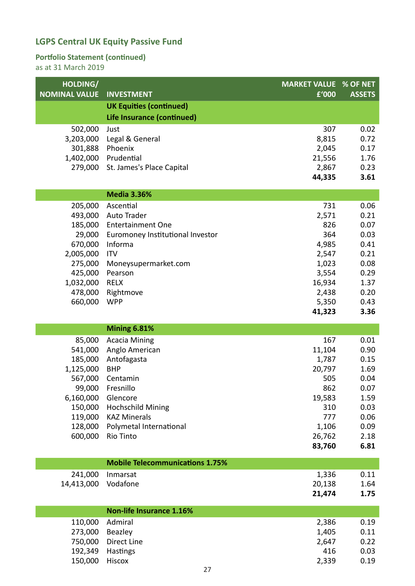#### **Portfolio Statement (continued)**

| HOLDING/<br><b>NOMINAL VALUE</b> | <b>INVESTMENT</b>                      | <b>MARKET VALUE % OF NET</b><br>£'000 | <b>ASSETS</b> |
|----------------------------------|----------------------------------------|---------------------------------------|---------------|
|                                  | <b>UK Equities (continued)</b>         |                                       |               |
|                                  | Life Insurance (continued)             |                                       |               |
| 502,000                          | Just                                   | 307                                   | 0.02          |
| 3,203,000                        | Legal & General                        | 8,815                                 | 0.72          |
| 301,888                          | Phoenix                                | 2,045                                 | 0.17          |
| 1,402,000                        | Prudential                             | 21,556                                | 1.76          |
| 279,000                          | St. James's Place Capital              | 2,867                                 | 0.23          |
|                                  |                                        | 44,335                                | 3.61          |
|                                  | <b>Media 3.36%</b>                     |                                       |               |
| 205,000                          | Ascential                              | 731                                   | 0.06          |
| 493,000                          | <b>Auto Trader</b>                     | 2,571                                 | 0.21          |
| 185,000                          | <b>Entertainment One</b>               | 826                                   | 0.07          |
| 29,000                           | Euromoney Institutional Investor       | 364                                   | 0.03          |
| 670,000                          | Informa                                | 4,985                                 | 0.41          |
| 2,005,000                        | <b>ITV</b>                             | 2,547                                 | 0.21          |
| 275,000                          | Moneysupermarket.com                   | 1,023                                 | 0.08          |
| 425,000                          | Pearson                                | 3,554                                 | 0.29          |
| 1,032,000                        | <b>RELX</b>                            | 16,934                                | 1.37          |
| 478,000                          | Rightmove                              | 2,438                                 | 0.20          |
| 660,000                          | <b>WPP</b>                             | 5,350                                 | 0.43          |
|                                  |                                        | 41,323                                | 3.36          |
|                                  | <b>Mining 6.81%</b>                    |                                       |               |
| 85,000                           | <b>Acacia Mining</b>                   | 167                                   | 0.01          |
| 541,000                          | Anglo American                         | 11,104                                | 0.90          |
| 185,000                          | Antofagasta                            | 1,787                                 | 0.15          |
| 1,125,000                        | <b>BHP</b>                             | 20,797                                | 1.69          |
| 567,000                          | Centamin                               | 505                                   | 0.04          |
| 99,000                           | Fresnillo                              | 862                                   | 0.07          |
| 6,160,000                        | Glencore                               | 19,583                                | 1.59          |
| 150,000                          | <b>Hochschild Mining</b>               | 310                                   | 0.03          |
| 119,000                          | <b>KAZ Minerals</b>                    | 777                                   | 0.06          |
| 128,000<br>600,000               | Polymetal International                | 1,106                                 | 0.09          |
|                                  | Rio Tinto                              | 26,762<br>83,760                      | 2.18<br>6.81  |
|                                  |                                        |                                       |               |
|                                  | <b>Mobile Telecommunications 1.75%</b> |                                       |               |
| 241,000                          | Inmarsat                               | 1,336                                 | 0.11          |
| 14,413,000                       | Vodafone                               | 20,138                                | 1.64          |
|                                  |                                        | 21,474                                | 1.75          |
|                                  | <b>Non-life Insurance 1.16%</b>        |                                       |               |
| 110,000                          | Admiral                                | 2,386                                 | 0.19          |
| 273,000                          | Beazley                                | 1,405                                 | 0.11          |
| 750,000                          | Direct Line                            | 2,647                                 | 0.22          |
| 192,349                          | Hastings                               | 416                                   | 0.03          |
| 150,000                          | Hiscox                                 | 2,339                                 | 0.19          |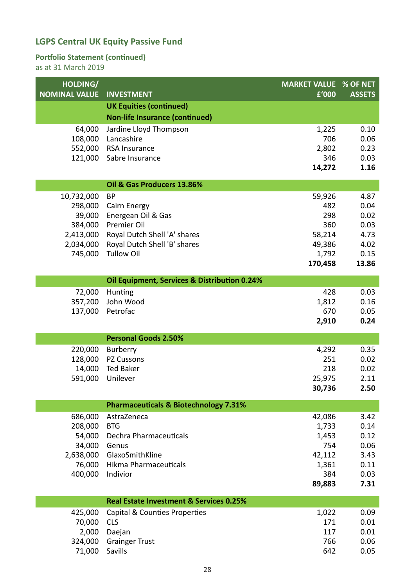#### **Portfolio Statement (continued)**

| HOLDING/<br><b>NOMINAL VALUE</b> | <b>INVESTMENT</b>                                            | <b>MARKET VALUE % OF NET</b><br>£'000 | <b>ASSETS</b> |
|----------------------------------|--------------------------------------------------------------|---------------------------------------|---------------|
|                                  |                                                              |                                       |               |
|                                  | <b>UK Equities (continued)</b>                               |                                       |               |
|                                  | <b>Non-life Insurance (continued)</b>                        |                                       |               |
| 64,000                           | Jardine Lloyd Thompson<br>Lancashire                         | 1,225<br>706                          | 0.10<br>0.06  |
| 108,000                          | 552,000 RSA Insurance                                        | 2,802                                 | 0.23          |
| 121,000                          | Sabre Insurance                                              | 346                                   | 0.03          |
|                                  |                                                              | 14,272                                | 1.16          |
|                                  |                                                              |                                       |               |
|                                  | Oil & Gas Producers 13.86%                                   |                                       |               |
| 10,732,000                       | <b>BP</b>                                                    | 59,926                                | 4.87          |
| 298,000                          | Cairn Energy                                                 | 482                                   | 0.04          |
| 39,000                           | Energean Oil & Gas                                           | 298                                   | 0.02          |
| 384,000                          | Premier Oil                                                  | 360                                   | 0.03          |
| 2,413,000<br>2,034,000           | Royal Dutch Shell 'A' shares<br>Royal Dutch Shell 'B' shares | 58,214<br>49,386                      | 4.73<br>4.02  |
| 745,000                          | <b>Tullow Oil</b>                                            | 1,792                                 | 0.15          |
|                                  |                                                              | 170,458                               | 13.86         |
|                                  |                                                              |                                       |               |
|                                  | Oil Equipment, Services & Distribution 0.24%                 |                                       |               |
| 72,000                           | Hunting                                                      | 428                                   | 0.03          |
| 357,200                          | John Wood                                                    | 1,812                                 | 0.16          |
| 137,000                          | Petrofac                                                     | 670                                   | 0.05          |
|                                  |                                                              | 2,910                                 | 0.24          |
|                                  | <b>Personal Goods 2.50%</b>                                  |                                       |               |
| 220,000                          | Burberry                                                     | 4,292                                 | 0.35          |
| 128,000                          | PZ Cussons                                                   | 251                                   | 0.02          |
| 14,000                           | <b>Ted Baker</b>                                             | 218                                   | 0.02          |
| 591,000                          | Unilever                                                     | 25,975                                | 2.11          |
|                                  |                                                              | 30,736                                | 2.50          |
|                                  | <b>Pharmaceuticals &amp; Biotechnology 7.31%</b>             |                                       |               |
| 686,000                          | AstraZeneca                                                  | 42,086                                | 3.42          |
| 208,000                          | <b>BTG</b>                                                   | 1,733                                 | 0.14          |
| 54,000                           | Dechra Pharmaceuticals                                       | 1,453                                 | 0.12          |
| 34,000                           | Genus                                                        | 754                                   | 0.06          |
| 2,638,000                        | GlaxoSmithKline                                              | 42,112                                | 3.43          |
| 76,000                           | <b>Hikma Pharmaceuticals</b>                                 | 1,361                                 | 0.11          |
| 400,000                          | Indivior                                                     | 384                                   | 0.03          |
|                                  |                                                              | 89,883                                | 7.31          |
|                                  | <b>Real Estate Investment &amp; Services 0.25%</b>           |                                       |               |
| 425,000                          | Capital & Counties Properties                                | 1,022                                 | 0.09          |
| 70,000                           | <b>CLS</b>                                                   | 171                                   | 0.01          |
| 2,000                            | Daejan                                                       | 117                                   | 0.01          |
| 324,000                          | <b>Grainger Trust</b>                                        | 766                                   | 0.06          |
| 71,000                           | Savills                                                      | 642                                   | 0.05          |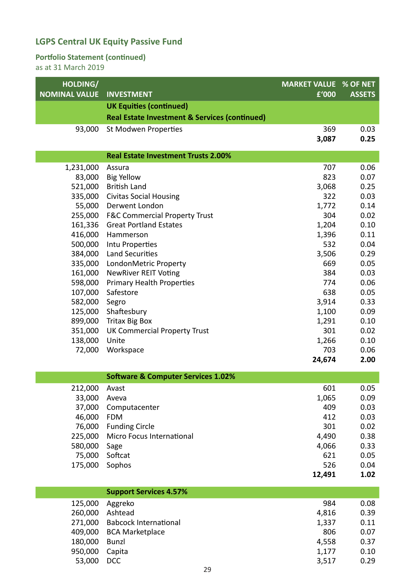#### **Portfolio Statement (continued)**

| HOLDING/             |                                                          | <b>MARKET VALUE</b> | % OF NET      |
|----------------------|----------------------------------------------------------|---------------------|---------------|
| <b>NOMINAL VALUE</b> | <b>INVESTMENT</b>                                        | f'000               | <b>ASSETS</b> |
|                      | <b>UK Equities (continued)</b>                           |                     |               |
|                      | <b>Real Estate Investment &amp; Services (continued)</b> |                     |               |
| 93,000               | St Modwen Properties                                     | 369                 | 0.03          |
|                      |                                                          | 3,087               | 0.25          |
|                      | <b>Real Estate Investment Trusts 2.00%</b>               |                     |               |
| 1,231,000            | Assura                                                   | 707                 | 0.06          |
| 83,000               | <b>Big Yellow</b>                                        | 823                 | 0.07          |
| 521,000              | <b>British Land</b>                                      | 3,068               | 0.25          |
| 335,000              | <b>Civitas Social Housing</b>                            | 322                 | 0.03          |
| 55,000               | Derwent London                                           | 1,772               | 0.14          |
| 255,000              | <b>F&amp;C Commercial Property Trust</b>                 | 304                 | 0.02          |
| 161,336              | <b>Great Portland Estates</b>                            | 1,204               | 0.10          |
| 416,000              | Hammerson                                                | 1,396               | 0.11          |
| 500,000              | Intu Properties                                          | 532                 | 0.04          |
| 384,000              | <b>Land Securities</b>                                   | 3,506               | 0.29          |
| 335,000              | LondonMetric Property                                    | 669                 | 0.05          |
| 161,000              | <b>NewRiver REIT Voting</b>                              | 384                 | 0.03          |
| 598,000              | <b>Primary Health Properties</b>                         | 774                 | 0.06          |
| 107,000              | Safestore                                                | 638                 | 0.05          |
| 582,000              | Segro                                                    | 3,914               | 0.33          |
| 125,000              | Shaftesbury                                              | 1,100               | 0.09          |
| 899,000              | <b>Tritax Big Box</b>                                    | 1,291               | 0.10          |
| 351,000              | <b>UK Commercial Property Trust</b>                      | 301                 | 0.02          |
| 138,000              | Unite                                                    | 1,266               | 0.10          |
| 72,000               | Workspace                                                | 703                 | 0.06          |
|                      |                                                          | 24,674              | 2.00          |
|                      | <b>Software &amp; Computer Services 1.02%</b>            |                     |               |
| 212,000              | Avast                                                    | 601                 | 0.05          |
| 33,000               | Aveva                                                    | 1,065               | 0.09          |
| 37,000               | Computacenter                                            | 409                 | 0.03          |
| 46,000               | <b>FDM</b>                                               | 412                 | 0.03          |
| 76,000               | <b>Funding Circle</b>                                    | 301                 | 0.02          |
| 225,000              | Micro Focus International                                | 4,490               | 0.38          |
| 580,000              | Sage                                                     | 4,066               | 0.33          |
| 75,000               | Softcat                                                  | 621                 | 0.05          |
| 175,000              | Sophos                                                   | 526                 | 0.04          |
|                      |                                                          | 12,491              | 1.02          |
|                      | <b>Support Services 4.57%</b>                            |                     |               |
| 125,000              | Aggreko                                                  | 984                 | 0.08          |
| 260,000              | Ashtead                                                  | 4,816               | 0.39          |
| 271,000              | <b>Babcock International</b>                             | 1,337               | 0.11          |
| 409,000              | <b>BCA Marketplace</b>                                   | 806                 | 0.07          |
| 180,000              | <b>Bunzl</b>                                             | 4,558               | 0.37          |
| 950,000              | Capita                                                   | 1,177               | 0.10          |
| 53,000               | <b>DCC</b>                                               | 3,517               | 0.29          |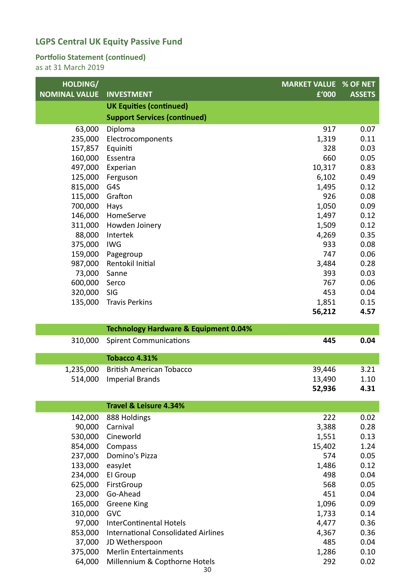#### **Portfolio Statement (continued)**

| HOLDING/             |                                                  | <b>MARKET VALUE % OF NET</b> |               |
|----------------------|--------------------------------------------------|------------------------------|---------------|
| <b>NOMINAL VALUE</b> | <b>INVESTMENT</b>                                | £'000                        | <b>ASSETS</b> |
|                      | <b>UK Equities (continued)</b>                   |                              |               |
|                      | <b>Support Services (continued)</b>              |                              |               |
| 63,000               | Diploma                                          | 917                          | 0.07          |
| 235,000              | Electrocomponents                                | 1,319                        | 0.11          |
| 157,857              | Equiniti                                         | 328                          | 0.03          |
| 160,000              | Essentra                                         | 660                          | 0.05          |
| 497,000              | Experian                                         | 10,317                       | 0.83          |
| 125,000              | Ferguson                                         | 6,102                        | 0.49          |
| 815,000              | G4S                                              | 1,495                        | 0.12          |
| 115,000              | Grafton                                          | 926                          | 0.08          |
| 700,000              | Hays                                             | 1,050                        | 0.09          |
| 146,000              | HomeServe                                        | 1,497                        | 0.12          |
| 311,000              | Howden Joinery                                   | 1,509                        | 0.12          |
| 88,000               | Intertek                                         | 4,269                        | 0.35          |
| 375,000              | <b>IWG</b>                                       | 933                          | 0.08          |
| 159,000              | Pagegroup                                        | 747                          | 0.06          |
| 987,000              | Rentokil Initial                                 | 3,484                        | 0.28          |
| 73,000               | Sanne                                            | 393                          | 0.03          |
| 600,000              | Serco                                            | 767                          | 0.06          |
| 320,000              | SIG                                              | 453                          | 0.04          |
| 135,000              | <b>Travis Perkins</b>                            | 1,851                        | 0.15          |
|                      |                                                  | 56,212                       | 4.57          |
|                      |                                                  |                              |               |
|                      | <b>Technology Hardware &amp; Equipment 0.04%</b> |                              |               |
| 310,000              | <b>Spirent Communications</b>                    | 445                          | 0.04          |
|                      | <b>Tobacco 4.31%</b>                             |                              |               |
|                      |                                                  |                              |               |
| 1,235,000            | <b>British American Tobacco</b>                  | 39,446                       | 3.21          |
| 514,000              | <b>Imperial Brands</b>                           | 13,490<br>52,936             | 1.10<br>4.31  |
|                      |                                                  |                              |               |
|                      | <b>Travel &amp; Leisure 4.34%</b>                |                              |               |
| 142,000              | 888 Holdings                                     | 222                          | 0.02          |
| 90,000               | Carnival                                         | 3,388                        | 0.28          |
| 530,000              | Cineworld                                        | 1,551                        | 0.13          |
| 854,000              | Compass                                          | 15,402                       | 1.24          |
| 237,000              | Domino's Pizza                                   | 574                          | 0.05          |
| 133,000              | easyJet                                          | 1,486                        | 0.12          |
| 234,000              | El Group                                         | 498                          | 0.04          |
| 625,000              | FirstGroup                                       | 568                          | 0.05          |
| 23,000               | Go-Ahead                                         | 451                          | 0.04          |
| 165,000              | Greene King                                      | 1,096                        | 0.09          |
| 310,000              | <b>GVC</b>                                       | 1,733                        | 0.14          |
| 97,000               | <b>InterContinental Hotels</b>                   | 4,477                        | 0.36          |
| 853,000              | <b>International Consolidated Airlines</b>       | 4,367                        | 0.36          |
| 37,000<br>375,000    | JD Wetherspoon<br><b>Merlin Entertainments</b>   | 485<br>1,286                 | 0.04<br>0.10  |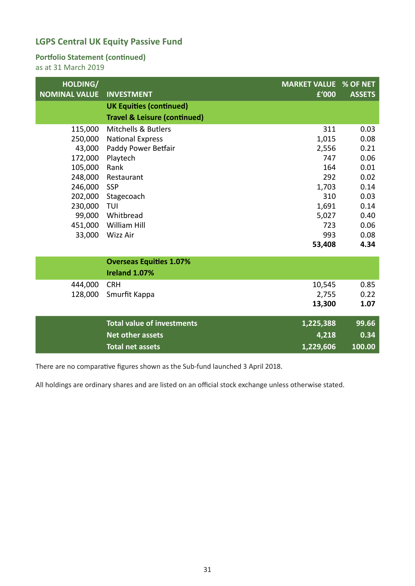#### **Portfolio Statement (continued)**

as at 31 March 2019

| HOLDING/<br><b>NOMINAL VALUE</b> | <b>INVESTMENT</b>                       | <b>MARKET VALUE</b><br>£'000 | % OF NET<br><b>ASSETS</b> |
|----------------------------------|-----------------------------------------|------------------------------|---------------------------|
|                                  | <b>UK Equities (continued)</b>          |                              |                           |
|                                  | <b>Travel &amp; Leisure (continued)</b> |                              |                           |
| 115,000                          | <b>Mitchells &amp; Butlers</b>          | 311                          | 0.03                      |
| 250,000                          | <b>National Express</b>                 | 1,015                        | 0.08                      |
| 43,000                           | Paddy Power Betfair                     | 2,556                        | 0.21                      |
| 172,000                          | Playtech                                | 747                          | 0.06                      |
| 105,000                          | Rank                                    | 164                          | 0.01                      |
| 248,000                          | Restaurant                              | 292                          | 0.02                      |
| 246,000                          | <b>SSP</b>                              | 1,703                        | 0.14                      |
| 202,000                          | Stagecoach                              | 310                          | 0.03                      |
| 230,000                          | TUI                                     | 1,691                        | 0.14                      |
| 99,000                           | Whitbread                               | 5,027                        | 0.40                      |
| 451,000                          | William Hill                            | 723                          | 0.06                      |
| 33,000                           | Wizz Air                                | 993                          | 0.08                      |
|                                  |                                         | 53,408                       | 4.34                      |
|                                  | <b>Overseas Equities 1.07%</b>          |                              |                           |
|                                  | Ireland 1.07%                           |                              |                           |
| 444,000                          | <b>CRH</b>                              | 10,545                       | 0.85                      |
| 128,000                          | Smurfit Kappa                           | 2,755                        | 0.22                      |
|                                  |                                         | 13,300                       | 1.07                      |
|                                  | <b>Total value of investments</b>       | 1,225,388                    | 99.66                     |
|                                  | <b>Net other assets</b>                 | 4,218                        | 0.34                      |
|                                  | <b>Total net assets</b>                 | 1,229,606                    | 100.00                    |
|                                  |                                         |                              |                           |

There are no comparative figures shown as the Sub‐fund launched 3 April 2018.

All holdings are ordinary shares and are listed on an official stock exchange unless otherwise stated.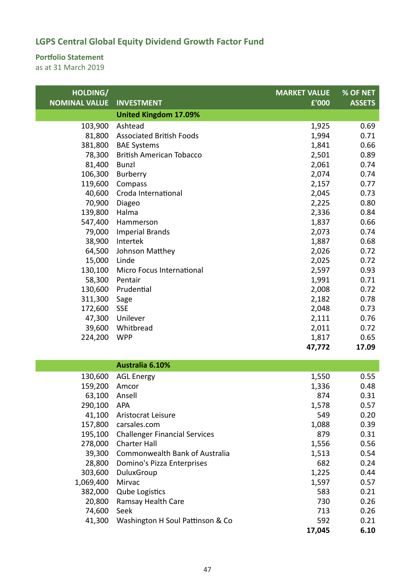#### **Portfolio Statement**

| HOLDING/             |                                      | <b>MARKET VALUE</b> | % OF NET      |
|----------------------|--------------------------------------|---------------------|---------------|
| <b>NOMINAL VALUE</b> | <b>INVESTMENT</b>                    | £'000               | <b>ASSETS</b> |
|                      | <b>United Kingdom 17.09%</b>         |                     |               |
| 103,900              | Ashtead                              | 1,925               | 0.69          |
| 81,800               | <b>Associated British Foods</b>      | 1,994               | 0.71          |
| 381,800              | <b>BAE Systems</b>                   | 1,841               | 0.66          |
| 78,300               | <b>British American Tobacco</b>      | 2,501               | 0.89          |
| 81,400               | <b>Bunzl</b>                         | 2,061               | 0.74          |
| 106,300              | Burberry                             | 2,074               | 0.74          |
| 119,600              | Compass                              | 2,157               | 0.77          |
| 40,600               | Croda International                  | 2,045               | 0.73          |
| 70,900               | Diageo                               | 2,225               | 0.80          |
| 139,800              | Halma                                | 2,336               | 0.84          |
| 547,400              | Hammerson                            | 1,837               | 0.66          |
| 79,000               | <b>Imperial Brands</b>               | 2,073               | 0.74          |
| 38,900               | Intertek                             | 1,887               | 0.68          |
| 64,500               | Johnson Matthey                      | 2,026               | 0.72          |
| 15,000               | Linde                                | 2,025               | 0.72          |
| 130,100              | Micro Focus International            | 2,597               | 0.93          |
| 58,300               | Pentair                              | 1,991               | 0.71          |
| 130,600              | Prudential                           | 2,008               | 0.72          |
| 311,300              | Sage                                 | 2,182               | 0.78          |
| 172,600              | <b>SSE</b>                           | 2,048               | 0.73          |
| 47,300               | Unilever                             | 2,111               | 0.76          |
| 39,600               | Whitbread                            | 2,011               | 0.72          |
| 224,200              | <b>WPP</b>                           | 1,817               | 0.65          |
|                      |                                      | 47,772              | 17.09         |
|                      | Australia 6.10%                      |                     |               |
| 130,600              | <b>AGL Energy</b>                    | 1,550               | 0.55          |
| 159,200              | Amcor                                | 1,336               | 0.48          |
| 63,100 Ansell        |                                      | 874                 | 0.31          |
| 290,100              | APA                                  | 1,578               | 0.57          |
| 41,100               | Aristocrat Leisure                   | 549                 | 0.20          |
| 157,800              | carsales.com                         | 1,088               | 0.39          |
| 195,100              | <b>Challenger Financial Services</b> | 879                 | 0.31          |
| 278,000              | <b>Charter Hall</b>                  | 1,556               | 0.56          |
| 39,300               | Commonwealth Bank of Australia       | 1,513               | 0.54          |
| 28,800               | Domino's Pizza Enterprises           | 682                 | 0.24          |
| 303,600              | DuluxGroup                           | 1,225               | 0.44          |
| 1,069,400            | Mirvac                               | 1,597               | 0.57          |
| 382,000              | <b>Qube Logistics</b>                | 583                 | 0.21          |
| 20,800               | Ramsay Health Care                   | 730                 | 0.26          |
| 74,600               | Seek                                 | 713                 | 0.26          |
| 41,300               | Washington H Soul Pattinson & Co     | 592                 | 0.21          |
|                      |                                      | 17,045              | 6.10          |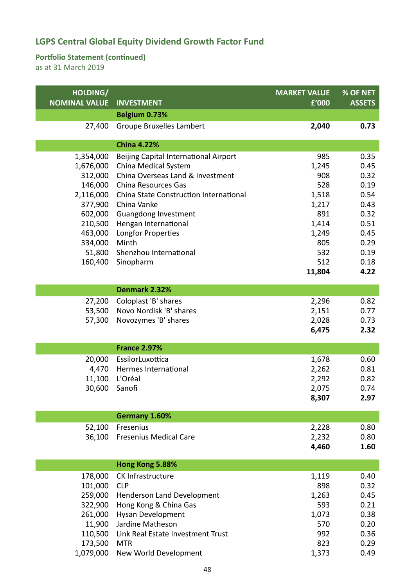#### **Portfolio Statement (continued)**

| HOLDING/             |                                        | <b>MARKET VALUE</b> | % OF NET      |
|----------------------|----------------------------------------|---------------------|---------------|
| <b>NOMINAL VALUE</b> | <b>INVESTMENT</b><br>Belgium 0.73%     | £'000               | <b>ASSETS</b> |
|                      |                                        |                     |               |
| 27,400               | <b>Groupe Bruxelles Lambert</b>        | 2,040               | 0.73          |
|                      | <b>China 4.22%</b>                     |                     |               |
| 1,354,000            | Beijing Capital International Airport  | 985                 | 0.35          |
| 1,676,000            | China Medical System                   | 1,245               | 0.45          |
| 312,000              | China Overseas Land & Investment       | 908                 | 0.32          |
| 146,000              | China Resources Gas                    | 528                 | 0.19          |
| 2,116,000            | China State Construction International | 1,518               | 0.54          |
| 377,900              | China Vanke                            | 1,217               | 0.43          |
| 602,000              | Guangdong Investment                   | 891                 | 0.32          |
| 210,500              | Hengan International                   | 1,414               | 0.51          |
| 463,000              | Longfor Properties                     | 1,249               | 0.45          |
| 334,000              | Minth                                  | 805                 | 0.29          |
| 51,800               | Shenzhou International                 | 532                 | 0.19          |
| 160,400              | Sinopharm                              | 512                 | 0.18          |
|                      |                                        | 11,804              | 4.22          |
|                      | Denmark 2.32%                          |                     |               |
| 27,200               | Coloplast 'B' shares                   | 2,296               | 0.82          |
| 53,500               | Novo Nordisk 'B' shares                | 2,151               | 0.77          |
| 57,300               | Novozymes 'B' shares                   | 2,028               | 0.73          |
|                      |                                        | 6,475               | 2.32          |
|                      |                                        |                     |               |
|                      | <b>France 2.97%</b>                    |                     |               |
| 20,000               | EssilorLuxottica                       | 1,678               | 0.60          |
| 4,470                | Hermes International                   | 2,262               | 0.81          |
| 11,100               | L'Oréal                                | 2,292               | 0.82          |
| 30,600               | Sanofi                                 | 2,075               | 0.74          |
|                      |                                        | 8,307               | 2.97          |
|                      | Germany 1.60%                          |                     |               |
| 52,100               | Fresenius                              | 2,228               | 0.80          |
| 36,100               | <b>Fresenius Medical Care</b>          | 2,232               | 0.80          |
|                      |                                        | 4,460               | 1.60          |
|                      |                                        |                     |               |
|                      | Hong Kong 5.88%                        |                     |               |
| 178,000              | CK Infrastructure                      | 1,119               | 0.40          |
| 101,000              | <b>CLP</b>                             | 898                 | 0.32          |
| 259,000              | Henderson Land Development             | 1,263               | 0.45          |
| 322,900              | Hong Kong & China Gas                  | 593                 | 0.21          |
| 261,000              | <b>Hysan Development</b>               | 1,073               | 0.38          |
| 11,900               | Jardine Matheson                       | 570                 | 0.20          |
| 110,500              | Link Real Estate Investment Trust      | 992                 | 0.36          |
| 173,500              | <b>MTR</b>                             | 823                 | 0.29          |
| 1,079,000            | New World Development                  | 1,373               | 0.49          |
|                      |                                        |                     |               |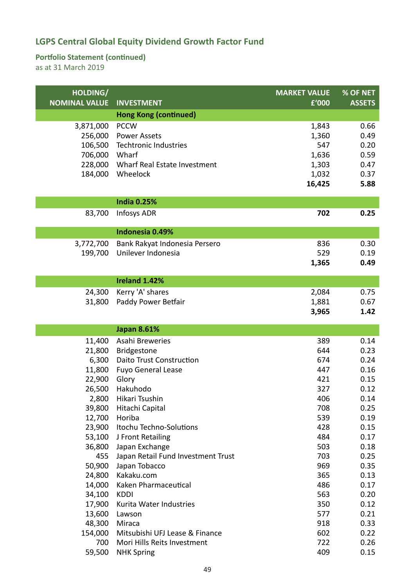#### **Portfolio Statement (continued)**

| HOLDING/             |                                    | <b>MARKET VALUE</b> | % OF NET      |
|----------------------|------------------------------------|---------------------|---------------|
| <b>NOMINAL VALUE</b> | <b>INVESTMENT</b>                  | £'000               | <b>ASSETS</b> |
|                      | <b>Hong Kong (continued)</b>       |                     |               |
| 3,871,000            | <b>PCCW</b>                        | 1,843               | 0.66          |
| 256,000              | <b>Power Assets</b>                | 1,360               | 0.49          |
| 106,500              | Techtronic Industries              | 547                 | 0.20          |
| 706,000              | Wharf                              | 1,636               | 0.59          |
| 228,000              | Wharf Real Estate Investment       | 1,303               | 0.47          |
| 184,000              | Wheelock                           | 1,032               | 0.37          |
|                      |                                    | 16,425              | 5.88          |
|                      | <b>India 0.25%</b>                 |                     |               |
| 83,700               | <b>Infosys ADR</b>                 | 702                 | 0.25          |
|                      |                                    |                     |               |
|                      | Indonesia 0.49%                    |                     |               |
| 3,772,700            | Bank Rakyat Indonesia Persero      | 836                 | 0.30          |
| 199,700              | Unilever Indonesia                 | 529                 | 0.19          |
|                      |                                    | 1,365               | 0.49          |
|                      | Ireland 1.42%                      |                     |               |
| 24,300               | Kerry 'A' shares                   | 2,084               | 0.75          |
| 31,800               | Paddy Power Betfair                | 1,881               | 0.67          |
|                      |                                    | 3,965               | 1.42          |
|                      |                                    |                     |               |
|                      |                                    |                     |               |
|                      | <b>Japan 8.61%</b>                 |                     |               |
| 11,400               | Asahi Breweries                    | 389                 | 0.14          |
| 21,800               | <b>Bridgestone</b>                 | 644                 | 0.23          |
| 6,300                | <b>Daito Trust Construction</b>    | 674                 | 0.24          |
| 11,800               | <b>Fuyo General Lease</b>          | 447                 | 0.16          |
| 22,900               | Glory                              | 421                 | 0.15          |
| 26,500               | Hakuhodo                           | 327                 | 0.12          |
|                      | 2,800 Hikari Tsushin               | 406                 | 0.14          |
| 39,800               | Hitachi Capital                    | 708                 | 0.25          |
| 12,700               | Horiba                             | 539                 | 0.19          |
| 23,900               | Itochu Techno-Solutions            | 428                 | 0.15          |
| 53,100               | J Front Retailing                  | 484                 | 0.17          |
| 36,800               | Japan Exchange                     | 503                 | 0.18          |
| 455                  | Japan Retail Fund Investment Trust | 703                 | 0.25          |
| 50,900               | Japan Tobacco                      | 969                 | 0.35          |
| 24,800               | Kakaku.com                         | 365                 | 0.13          |
| 14,000               | Kaken Pharmaceutical               | 486                 | 0.17          |
| 34,100               | <b>KDDI</b>                        | 563                 | 0.20          |
| 17,900               | Kurita Water Industries            | 350<br>577          | 0.12          |
| 13,600<br>48,300     | Lawson<br>Miraca                   | 918                 | 0.21<br>0.33  |
| 154,000              | Mitsubishi UFJ Lease & Finance     | 602                 | 0.22          |
| 700                  | Mori Hills Reits Investment        | 722                 | 0.26          |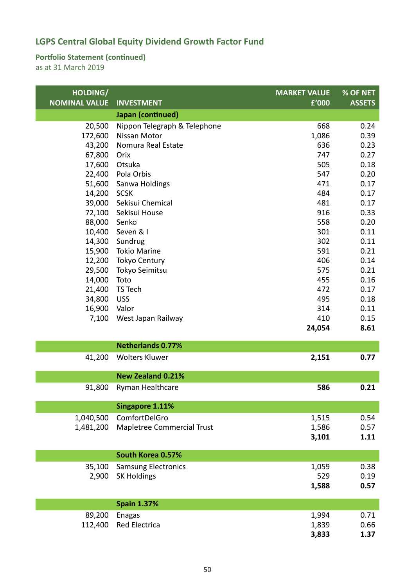#### **Portfolio Statement (continued)**

| HOLDING/             |                              | <b>MARKET VALUE</b> | % OF NET      |
|----------------------|------------------------------|---------------------|---------------|
| <b>NOMINAL VALUE</b> | <b>INVESTMENT</b>            | £'000               | <b>ASSETS</b> |
|                      | Japan (continued)            |                     |               |
| 20,500               | Nippon Telegraph & Telephone | 668                 | 0.24          |
| 172,600              | <b>Nissan Motor</b>          | 1,086               | 0.39          |
| 43,200               | Nomura Real Estate           | 636                 | 0.23          |
| 67,800               | Orix                         | 747                 | 0.27          |
| 17,600               | Otsuka                       | 505                 | 0.18          |
| 22,400               | Pola Orbis                   | 547                 | 0.20          |
| 51,600               | Sanwa Holdings               | 471                 | 0.17          |
| 14,200               | <b>SCSK</b>                  | 484                 | 0.17          |
| 39,000               | Sekisui Chemical             | 481                 | 0.17          |
| 72,100               | Sekisui House                | 916                 | 0.33          |
| 88,000               | Senko                        | 558                 | 0.20          |
| 10,400               | Seven & I                    | 301                 | 0.11          |
| 14,300               | Sundrug                      | 302                 | 0.11          |
| 15,900               | <b>Tokio Marine</b>          | 591                 | 0.21          |
| 12,200               | <b>Tokyo Century</b>         | 406                 | 0.14          |
| 29,500               | Tokyo Seimitsu               | 575                 | 0.21          |
| 14,000               | Toto                         | 455                 | 0.16          |
| 21,400               | TS Tech                      | 472                 | 0.17          |
| 34,800               | <b>USS</b>                   | 495                 | 0.18          |
| 16,900               | Valor                        | 314                 | 0.11          |
| 7,100                | West Japan Railway           | 410                 | 0.15          |
|                      |                              | 24,054              | 8.61          |
|                      | <b>Netherlands 0.77%</b>     |                     |               |
| 41,200               | <b>Wolters Kluwer</b>        | 2,151               | 0.77          |
|                      |                              |                     |               |
|                      | <b>New Zealand 0.21%</b>     |                     |               |
| 91,800               | Ryman Healthcare             | 586                 | 0.21          |
|                      |                              |                     |               |
|                      | Singapore 1.11%              |                     |               |
| 1,040,500            | ComfortDelGro                | 1,515               | 0.54          |
| 1,481,200            | Mapletree Commercial Trust   | 1,586               | 0.57          |
|                      |                              | 3,101               | 1.11          |
|                      | South Korea 0.57%            |                     |               |
| 35,100               | <b>Samsung Electronics</b>   | 1,059               | 0.38          |
| 2,900                | <b>SK Holdings</b>           | 529                 | 0.19          |
|                      |                              | 1,588               | 0.57          |
|                      | <b>Spain 1.37%</b>           |                     |               |
|                      |                              |                     |               |
| 89,200               | <b>Enagas</b>                | 1,994               | 0.71          |
| 112,400              | Red Electrica                | 1,839               | 0.66          |
|                      |                              | 3,833               | 1.37          |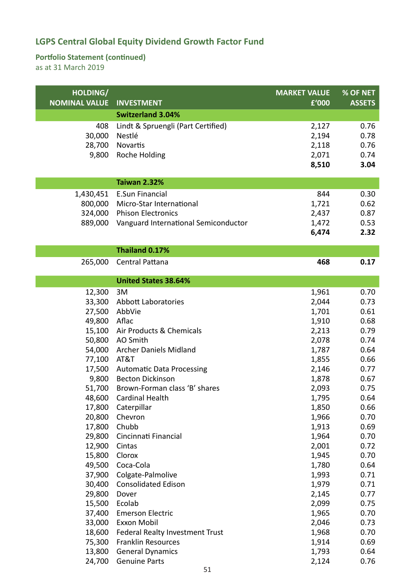#### **Portfolio Statement (continued)**

| HOLDING/             |                                                 | <b>MARKET VALUE</b> | % OF NET      |
|----------------------|-------------------------------------------------|---------------------|---------------|
| <b>NOMINAL VALUE</b> | <b>INVESTMENT</b>                               | £'000               | <b>ASSETS</b> |
|                      | <b>Switzerland 3.04%</b>                        |                     |               |
| 408                  | Lindt & Spruengli (Part Certified)              | 2,127               | 0.76          |
| 30,000               | Nestlé                                          | 2,194               | 0.78          |
| 28,700               | Novartis                                        | 2,118               | 0.76          |
| 9,800                | Roche Holding                                   | 2,071               | 0.74          |
|                      |                                                 | 8,510               | 3.04          |
|                      | <b>Taiwan 2.32%</b>                             |                     |               |
| 1,430,451            | <b>E.Sun Financial</b>                          | 844                 | 0.30          |
| 800,000              | Micro-Star International                        | 1,721               | 0.62          |
| 324,000              | <b>Phison Electronics</b>                       | 2,437               | 0.87          |
| 889,000              | Vanguard International Semiconductor            | 1,472               | 0.53          |
|                      |                                                 | 6,474               | 2.32          |
|                      |                                                 |                     |               |
|                      | Thailand 0.17%                                  |                     |               |
| 265,000              | Central Pattana                                 | 468                 | 0.17          |
|                      | <b>United States 38.64%</b>                     |                     |               |
| 12,300               | 3M                                              | 1,961               | 0.70          |
| 33,300               | Abbott Laboratories                             | 2,044               | 0.73          |
| 27,500               | AbbVie                                          | 1,701               | 0.61          |
| 49,800               | Aflac                                           | 1,910               | 0.68          |
| 15,100               | Air Products & Chemicals                        | 2,213               | 0.79          |
| 50,800               | AO Smith                                        | 2,078               | 0.74          |
| 54,000               | <b>Archer Daniels Midland</b>                   | 1,787               | 0.64          |
| 77,100               | AT&T                                            | 1,855               | 0.66          |
| 17,500               | <b>Automatic Data Processing</b>                | 2,146               | 0.77          |
| 9,800                | <b>Becton Dickinson</b>                         | 1,878               | 0.67          |
| 51,700               | Brown-Forman class 'B' shares                   | 2,093               | 0.75          |
|                      | 48,600 Cardinal Health                          | 1,795               | 0.64          |
| 17,800               | Caterpillar                                     | 1,850               | 0.66          |
| 20,800               | Chevron                                         | 1,966               | 0.70          |
| 17,800               | Chubb                                           | 1,913               | 0.69          |
| 29,800               | Cincinnati Financial                            | 1,964               | 0.70          |
| 12,900               | Cintas                                          | 2,001               | 0.72          |
| 15,800               | Clorox                                          | 1,945               | 0.70          |
| 49,500               | Coca-Cola                                       | 1,780               | 0.64          |
| 37,900               | Colgate-Palmolive                               | 1,993               | 0.71          |
| 30,400               | <b>Consolidated Edison</b>                      | 1,979               | 0.71          |
| 29,800               | Dover                                           | 2,145               | 0.77          |
| 15,500               | Ecolab                                          | 2,099               | 0.75          |
| 37,400               | <b>Emerson Electric</b>                         | 1,965               | 0.70          |
| 33,000               | Exxon Mobil                                     | 2,046               | 0.73          |
| 18,600               | Federal Realty Investment Trust                 | 1,968               | 0.70          |
| 75,300               | <b>Franklin Resources</b>                       | 1,914               | 0.69          |
| 13,800<br>24,700     | <b>General Dynamics</b><br><b>Genuine Parts</b> | 1,793               | 0.64<br>0.76  |
|                      |                                                 | 2,124               |               |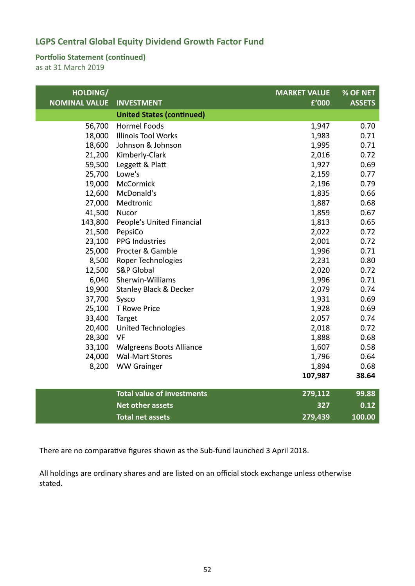#### **Portfolio Statement (continued)**

as at 31 March 2019

| HOLDING/<br><b>NOMINAL VALUE</b> | <b>INVESTMENT</b>                 | <b>MARKET VALUE</b><br>£'000 | % OF NET<br><b>ASSETS</b> |
|----------------------------------|-----------------------------------|------------------------------|---------------------------|
|                                  | <b>United States (continued)</b>  |                              |                           |
| 56,700                           | <b>Hormel Foods</b>               | 1,947                        | 0.70                      |
| 18,000                           | <b>Illinois Tool Works</b>        | 1,983                        | 0.71                      |
| 18,600                           | Johnson & Johnson                 | 1,995                        | 0.71                      |
| 21,200                           | Kimberly-Clark                    | 2,016                        | 0.72                      |
| 59,500                           | Leggett & Platt                   | 1,927                        | 0.69                      |
|                                  | 25,700 Lowe's                     | 2,159                        | 0.77                      |
| 19,000                           | McCormick                         | 2,196                        | 0.79                      |
| 12,600                           | McDonald's                        | 1,835                        | 0.66                      |
| 27,000                           | Medtronic                         | 1,887                        | 0.68                      |
| 41,500                           | Nucor                             | 1,859                        | 0.67                      |
| 143,800                          | People's United Financial         | 1,813                        | 0.65                      |
| 21,500                           | PepsiCo                           | 2,022                        | 0.72                      |
| 23,100                           | <b>PPG Industries</b>             | 2,001                        | 0.72                      |
| 25,000                           | Procter & Gamble                  | 1,996                        | 0.71                      |
| 8,500                            | Roper Technologies                | 2,231                        | 0.80                      |
| 12,500                           | <b>S&amp;P Global</b>             | 2,020                        | 0.72                      |
| 6,040                            | Sherwin-Williams                  | 1,996                        | 0.71                      |
| 19,900                           | <b>Stanley Black &amp; Decker</b> | 2,079                        | 0.74                      |
| 37,700                           | Sysco                             | 1,931                        | 0.69                      |
|                                  | 25,100 T Rowe Price               | 1,928                        | 0.69                      |
| 33,400 Target                    |                                   | 2,057                        | 0.74                      |
| 20,400                           | <b>United Technologies</b>        | 2,018                        | 0.72                      |
| 28,300                           | VF                                | 1,888                        | 0.68                      |
| 33,100                           | <b>Walgreens Boots Alliance</b>   | 1,607                        | 0.58                      |
|                                  | 24,000 Wal-Mart Stores            | 1,796                        | 0.64                      |
| 8,200                            | <b>WW Grainger</b>                | 1,894                        | 0.68                      |
|                                  |                                   | 107,987                      | 38.64                     |
|                                  | <b>Total value of investments</b> | 279,112                      | 99.88                     |
|                                  | <b>Net other assets</b>           | 327                          | 0.12                      |
|                                  | <b>Total net assets</b>           | 279,439                      | 100.00                    |

There are no comparative figures shown as the Sub‐fund launched 3 April 2018.

All holdings are ordinary shares and are listed on an official stock exchange unless otherwise stated.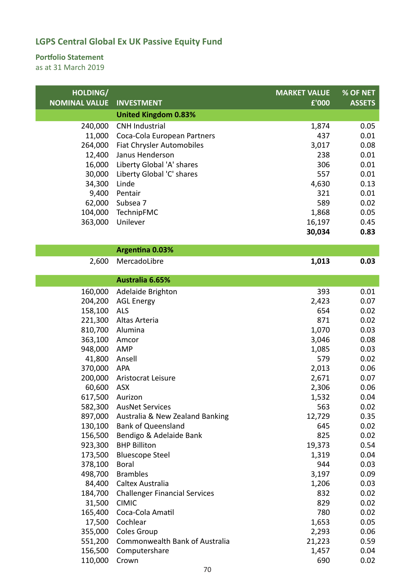#### **Portfolio Statement**

| HOLDING/<br><b>MARKET VALUE</b>                                                  | % OF NET      |
|----------------------------------------------------------------------------------|---------------|
| <b>NOMINAL VALUE</b><br>£'000<br><b>INVESTMENT</b>                               | <b>ASSETS</b> |
| <b>United Kingdom 0.83%</b>                                                      |               |
| 240,000<br><b>CNH Industrial</b><br>1,874                                        | 0.05          |
| 11,000<br>Coca-Cola European Partners<br>437                                     | 0.01          |
| 264,000<br>Fiat Chrysler Automobiles<br>3,017                                    | 0.08          |
| 12,400<br>Janus Henderson<br>238                                                 | 0.01          |
| Liberty Global 'A' shares<br>306<br>16,000                                       | 0.01          |
| 30,000<br>Liberty Global 'C' shares<br>557                                       | 0.01          |
| 34,300<br>4,630<br>Linde                                                         | 0.13          |
| 9,400<br>321<br>Pentair                                                          | 0.01          |
| 589<br>62,000<br>Subsea 7                                                        | 0.02          |
| 104,000<br>TechnipFMC<br>1,868                                                   | 0.05          |
| 363,000<br>Unilever<br>16,197                                                    | 0.45          |
| 30,034                                                                           | 0.83          |
| <b>Argentina 0.03%</b>                                                           |               |
| 2,600<br>MercadoLibre<br>1,013                                                   | 0.03          |
|                                                                                  |               |
| Australia 6.65%                                                                  |               |
| 393<br>Adelaide Brighton<br>160,000                                              | 0.01          |
| 204,200<br>2,423<br><b>AGL Energy</b>                                            | 0.07          |
| 158,100<br><b>ALS</b><br>654                                                     | 0.02          |
| 871<br>221,300<br>Altas Arteria                                                  | 0.02          |
| 810,700<br>Alumina<br>1,070                                                      | 0.03          |
| 363,100<br>3,046<br>Amcor                                                        | 0.08          |
| 948,000<br>1,085<br>AMP                                                          | 0.03          |
| 579<br>41,800<br>Ansell                                                          | 0.02          |
| 370,000<br>APA<br>2,013                                                          | 0.06          |
| 200,000<br>2,671<br>Aristocrat Leisure                                           | 0.07          |
| 60,600<br><b>ASX</b><br>2,306                                                    | 0.06          |
| 1,532<br>617,500<br>Aurizon                                                      | 0.04          |
| 582,300 AusNet Services<br>563                                                   | 0.02          |
| 897,000 Australia & New Zealand Banking<br>12,729                                | 0.35          |
| 130,100<br><b>Bank of Queensland</b><br>645                                      | 0.02          |
| 156,500<br>825<br>Bendigo & Adelaide Bank                                        | 0.02          |
| 923,300<br><b>BHP Billiton</b><br>19,373                                         | 0.54          |
| 173,500<br><b>Bluescope Steel</b><br>1,319                                       | 0.04          |
| 944<br>378,100<br><b>Boral</b>                                                   | 0.03          |
| 3,197<br>498,700<br><b>Brambles</b><br>84,400<br>Caltex Australia                | 0.09<br>0.03  |
| 1,206<br>832                                                                     |               |
| 184,700<br><b>Challenger Financial Services</b><br>31,500<br><b>CIMIC</b><br>829 | 0.02<br>0.02  |
| Coca-Cola Amatil<br>780<br>165,400                                               | 0.02          |
| 17,500<br>Cochlear<br>1,653                                                      | 0.05          |
| 355,000<br>Coles Group<br>2,293                                                  | 0.06          |
| Commonwealth Bank of Australia<br>21,223<br>551,200                              | 0.59          |
| 156,500<br>Computershare<br>1,457                                                |               |
|                                                                                  | 0.04          |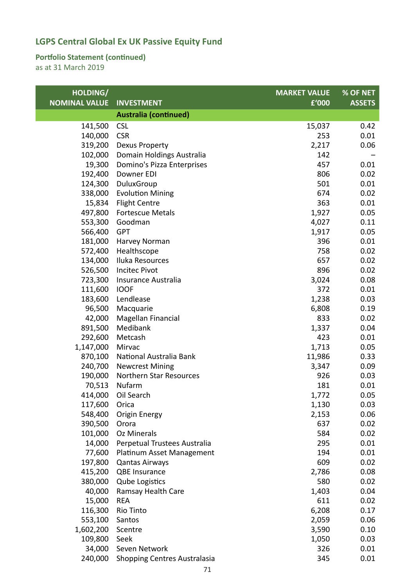#### **Portfolio Statement (continued)**

| HOLDING/             |                                     | <b>MARKET VALUE</b> | % OF NET      |
|----------------------|-------------------------------------|---------------------|---------------|
| <b>NOMINAL VALUE</b> | <b>INVESTMENT</b>                   | £'000               | <b>ASSETS</b> |
|                      | <b>Australia (continued)</b>        |                     |               |
| 141,500              | <b>CSL</b>                          | 15,037              | 0.42          |
| 140,000              | <b>CSR</b>                          | 253                 | 0.01          |
| 319,200              | Dexus Property                      | 2,217               | 0.06          |
| 102,000              | Domain Holdings Australia           | 142                 |               |
| 19,300               | Domino's Pizza Enterprises          | 457                 | 0.01          |
| 192,400              | Downer EDI                          | 806                 | 0.02          |
| 124,300              | DuluxGroup                          | 501                 | 0.01          |
| 338,000              | <b>Evolution Mining</b>             | 674                 | 0.02          |
| 15,834               | <b>Flight Centre</b>                | 363                 | 0.01          |
| 497,800              | <b>Fortescue Metals</b>             | 1,927               | 0.05          |
| 553,300              | Goodman                             | 4,027               | 0.11          |
| 566,400              | <b>GPT</b>                          | 1,917               | 0.05          |
| 181,000              | Harvey Norman                       | 396                 | 0.01          |
| 572,400              | Healthscope                         | 758                 | 0.02          |
| 134,000              | Iluka Resources                     | 657                 | 0.02          |
| 526,500              | <b>Incitec Pivot</b>                | 896                 | 0.02          |
| 723,300              | Insurance Australia                 | 3,024               | 0.08          |
| 111,600              | <b>IOOF</b>                         | 372                 | 0.01          |
| 183,600              | Lendlease                           | 1,238               | 0.03          |
| 96,500               | Macquarie                           | 6,808               | 0.19          |
| 42,000               | Magellan Financial                  | 833                 | 0.02          |
| 891,500              | Medibank                            | 1,337               | 0.04          |
| 292,600              | Metcash                             | 423                 | 0.01          |
| 1,147,000            | Mirvac                              | 1,713               | 0.05          |
| 870,100              | National Australia Bank             | 11,986              | 0.33          |
| 240,700              | <b>Newcrest Mining</b>              | 3,347               | 0.09          |
| 190,000              | Northern Star Resources             | 926                 | 0.03          |
| 70,513               | Nufarm                              | 181                 | 0.01          |
| 414,000              | Oil Search                          | 1,772               | 0.05          |
| 117,600              | Orica                               | 1,130               | 0.03          |
| 548,400              | <b>Origin Energy</b>                | 2,153               | 0.06          |
| 390,500              | Orora                               | 637                 | 0.02          |
| 101,000              | <b>Oz Minerals</b>                  | 584                 | 0.02          |
| 14,000               | Perpetual Trustees Australia        | 295                 | 0.01          |
| 77,600               | Platinum Asset Management           | 194                 | 0.01          |
| 197,800              | <b>Qantas Airways</b>               | 609                 | 0.02          |
| 415,200              | <b>QBE Insurance</b>                | 2,786               | 0.08          |
| 380,000              | <b>Qube Logistics</b>               | 580                 | 0.02          |
| 40,000               | Ramsay Health Care                  | 1,403               | 0.04          |
| 15,000               | <b>REA</b>                          | 611                 | 0.02          |
| 116,300              | Rio Tinto                           | 6,208               | 0.17          |
| 553,100              | Santos                              | 2,059               | 0.06          |
| 1,602,200            | Scentre                             | 3,590               | 0.10          |
| 109,800              | Seek                                | 1,050               | 0.03          |
| 34,000               | Seven Network                       | 326                 | 0.01          |
| 240,000              | <b>Shopping Centres Australasia</b> | 345                 | 0.01          |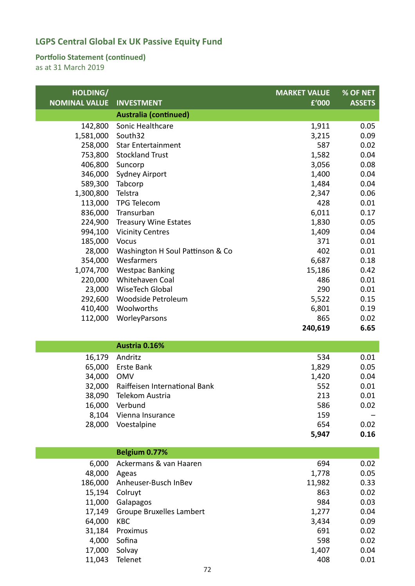#### **Portfolio Statement (continued)**

| HOLDING/             |                                  | <b>MARKET VALUE</b> | % OF NET      |
|----------------------|----------------------------------|---------------------|---------------|
| <b>NOMINAL VALUE</b> | <b>INVESTMENT</b>                | £'000               | <b>ASSETS</b> |
|                      | <b>Australia (continued)</b>     |                     |               |
| 142,800              | Sonic Healthcare                 | 1,911               | 0.05          |
| 1,581,000            | South32                          | 3,215               | 0.09          |
| 258,000              | <b>Star Entertainment</b>        | 587                 | 0.02          |
| 753,800              | <b>Stockland Trust</b>           | 1,582               | 0.04          |
| 406,800              | Suncorp                          | 3,056               | 0.08          |
| 346,000              | <b>Sydney Airport</b>            | 1,400               | 0.04          |
| 589,300              | Tabcorp                          | 1,484               | 0.04          |
| 1,300,800            | Telstra                          | 2,347               | 0.06          |
| 113,000              | <b>TPG Telecom</b>               | 428                 | 0.01          |
| 836,000              | Transurban                       | 6,011               | 0.17          |
| 224,900              | <b>Treasury Wine Estates</b>     | 1,830               | 0.05          |
| 994,100              | <b>Vicinity Centres</b>          | 1,409               | 0.04          |
| 185,000              | Vocus                            | 371                 | 0.01          |
| 28,000               | Washington H Soul Pattinson & Co | 402                 | 0.01          |
| 354,000              | Wesfarmers                       | 6,687               | 0.18          |
| 1,074,700            | <b>Westpac Banking</b>           | 15,186              | 0.42          |
| 220,000              | Whitehaven Coal                  | 486                 | 0.01          |
| 23,000               | WiseTech Global                  | 290                 | 0.01          |
| 292,600              | Woodside Petroleum               | 5,522               | 0.15          |
| 410,400              | Woolworths                       | 6,801<br>865        | 0.19          |
| 112,000              | WorleyParsons                    |                     | 0.02          |
|                      |                                  | 240,619             | 6.65          |
|                      | Austria 0.16%                    |                     |               |
| 16,179               | Andritz                          | 534                 | 0.01          |
| 65,000               | Erste Bank                       | 1,829               | 0.05          |
| 34,000               | <b>OMV</b>                       | 1,420               | 0.04          |
| 32,000               | Raiffeisen International Bank    | 552                 | 0.01          |
|                      | 38,090 Telekom Austria           | 213                 | 0.01          |
| 16,000               | Verbund                          | 586                 | 0.02          |
| 8,104                | Vienna Insurance                 | 159                 |               |
| 28,000               | Voestalpine                      | 654                 | 0.02          |
|                      |                                  | 5,947               | 0.16          |
|                      | Belgium 0.77%                    |                     |               |
| 6,000                | Ackermans & van Haaren           | 694                 | 0.02          |
| 48,000               | Ageas                            | 1,778               | 0.05          |
| 186,000              | Anheuser-Busch InBev             | 11,982              | 0.33          |
| 15,194               | Colruyt                          | 863                 | 0.02          |
| 11,000               | Galapagos                        | 984                 | 0.03          |
| 17,149               | <b>Groupe Bruxelles Lambert</b>  | 1,277               | 0.04          |
| 64,000               | KBC                              | 3,434               | 0.09          |
| 31,184               | Proximus                         | 691                 | 0.02          |
| 4,000                | Sofina                           | 598                 | 0.02          |
| 17,000               | Solvay                           | 1,407               | 0.04          |
| 11,043               | Telenet                          | 408                 | 0.01          |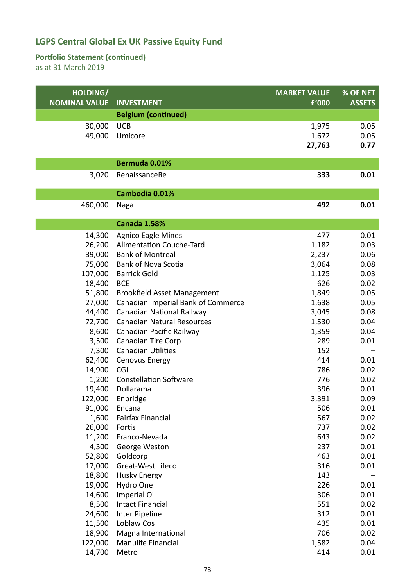#### **Portfolio Statement (continued)**

| HOLDING/             |                                                        | <b>MARKET VALUE</b> | % OF NET      |
|----------------------|--------------------------------------------------------|---------------------|---------------|
| <b>NOMINAL VALUE</b> | <b>INVESTMENT</b>                                      | £'000               | <b>ASSETS</b> |
|                      | <b>Belgium (continued)</b>                             |                     |               |
| 30,000               | <b>UCB</b>                                             | 1,975               | 0.05          |
| 49,000               | Umicore                                                | 1,672               | 0.05          |
|                      |                                                        | 27,763              | 0.77          |
|                      | Bermuda 0.01%                                          |                     |               |
|                      |                                                        |                     |               |
| 3,020                | RenaissanceRe                                          | 333                 | 0.01          |
|                      | Cambodia 0.01%                                         |                     |               |
| 460,000              | Naga                                                   | 492                 | 0.01          |
|                      |                                                        |                     |               |
|                      | <b>Canada 1.58%</b>                                    |                     |               |
| 14,300               | <b>Agnico Eagle Mines</b>                              | 477                 | 0.01          |
| 26,200               | Alimentation Couche-Tard                               | 1,182               | 0.03          |
| 39,000               | <b>Bank of Montreal</b>                                | 2,237               | 0.06          |
| 75,000               | <b>Bank of Nova Scotia</b>                             | 3,064               | 0.08          |
| 107,000              | <b>Barrick Gold</b>                                    | 1,125               | 0.03          |
| 18,400               | <b>BCE</b>                                             | 626                 | 0.02          |
| 51,800               | <b>Brookfield Asset Management</b>                     | 1,849               | 0.05          |
| 27,000               | Canadian Imperial Bank of Commerce                     | 1,638               | 0.05          |
| 44,400               | Canadian National Railway                              | 3,045               | 0.08          |
| 72,700               | <b>Canadian Natural Resources</b>                      | 1,530               | 0.04          |
| 8,600                | Canadian Pacific Railway                               | 1,359<br>289        | 0.04<br>0.01  |
| 3,500                | <b>Canadian Tire Corp</b><br><b>Canadian Utilities</b> | 152                 |               |
| 7,300<br>62,400      | Cenovus Energy                                         | 414                 | 0.01          |
| 14,900               | CGI                                                    | 786                 | 0.02          |
| 1,200                | <b>Constellation Software</b>                          | 776                 | 0.02          |
| 19,400               | Dollarama                                              | 396                 | 0.01          |
| 122,000              | Enbridge                                               | 3,391               | 0.09          |
| 91,000               | Encana                                                 | 506                 | 0.01          |
| 1,600                | <b>Fairfax Financial</b>                               | 567                 | 0.02          |
| 26,000               | Fortis                                                 | 737                 | 0.02          |
| 11,200               | Franco-Nevada                                          | 643                 | 0.02          |
| 4,300                | George Weston                                          | 237                 | 0.01          |
| 52,800               | Goldcorp                                               | 463                 | 0.01          |
| 17,000               | Great-West Lifeco                                      | 316                 | 0.01          |
| 18,800               | <b>Husky Energy</b>                                    | 143                 |               |
| 19,000               | Hydro One                                              | 226                 | 0.01          |
| 14,600               | <b>Imperial Oil</b>                                    | 306                 | 0.01          |
| 8,500                | <b>Intact Financial</b>                                | 551                 | 0.02          |
| 24,600               | Inter Pipeline                                         | 312                 | 0.01          |
| 11,500               | Loblaw Cos                                             | 435                 | 0.01          |
| 18,900               | Magna International                                    | 706                 | 0.02          |
| 122,000              | Manulife Financial                                     | 1,582               | 0.04          |
| 14,700               | Metro                                                  | 414                 | 0.01          |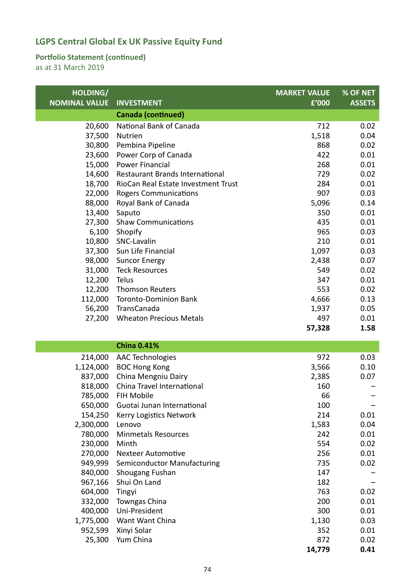#### **Portfolio Statement (continued)**

| HOLDING/             |                                     | <b>MARKET VALUE</b> | % OF NET      |
|----------------------|-------------------------------------|---------------------|---------------|
| <b>NOMINAL VALUE</b> | <b>INVESTMENT</b>                   | £'000               | <b>ASSETS</b> |
|                      | <b>Canada (continued)</b>           |                     |               |
| 20,600               | National Bank of Canada             | 712                 | 0.02          |
| 37,500               | Nutrien                             | 1,518               | 0.04          |
| 30,800               | Pembina Pipeline                    | 868                 | 0.02          |
| 23,600               | Power Corp of Canada                | 422                 | 0.01          |
| 15,000               | <b>Power Financial</b>              | 268                 | 0.01          |
| 14,600               | Restaurant Brands International     | 729                 | 0.02          |
| 18,700               | RioCan Real Estate Investment Trust | 284                 | 0.01          |
| 22,000               | <b>Rogers Communications</b>        | 907                 | 0.03          |
| 88,000               | Royal Bank of Canada                | 5,096               | 0.14          |
| 13,400               | Saputo                              | 350                 | 0.01          |
| 27,300               | <b>Shaw Communications</b>          | 435                 | 0.01          |
| 6,100<br>10,800      | Shopify<br>SNC-Lavalin              | 965<br>210          | 0.03<br>0.01  |
| 37,300               | Sun Life Financial                  | 1,097               | 0.03          |
| 98,000               | <b>Suncor Energy</b>                | 2,438               | 0.07          |
| 31,000               | <b>Teck Resources</b>               | 549                 | 0.02          |
| 12,200               | Telus                               | 347                 | 0.01          |
| 12,200               | <b>Thomson Reuters</b>              | 553                 | 0.02          |
| 112,000              | <b>Toronto-Dominion Bank</b>        | 4,666               | 0.13          |
| 56,200               | TransCanada                         | 1,937               | 0.05          |
| 27,200               | <b>Wheaton Precious Metals</b>      | 497                 | 0.01          |
|                      |                                     | 57,328              | 1.58          |
|                      |                                     |                     |               |
|                      | <b>China 0.41%</b>                  |                     |               |
| 214,000              | <b>AAC Technologies</b>             | 972                 | 0.03          |
| 1,124,000            | <b>BOC Hong Kong</b>                | 3,566               | 0.10          |
| 837,000              | China Mengniu Dairy                 | 2,385               | 0.07          |
| 818,000              | China Travel International          | 160                 |               |
|                      | 785,000 FIH Mobile                  | 66                  |               |
| 650,000              | Guotai Junan International          | 100                 |               |
| 154,250              | Kerry Logistics Network             | 214                 | 0.01          |
| 2,300,000            | Lenovo                              | 1,583               | 0.04          |
| 780,000              | <b>Minmetals Resources</b><br>Minth | 242<br>554          | 0.01<br>0.02  |
| 230,000<br>270,000   | <b>Nexteer Automotive</b>           | 256                 | 0.01          |
| 949,999              | Semiconductor Manufacturing         | 735                 | 0.02          |
| 840,000              | Shougang Fushan                     | 147                 |               |
| 967,166              | Shui On Land                        | 182                 |               |
| 604,000              | Tingyi                              | 763                 | 0.02          |
| 332,000              | Towngas China                       | 200                 | 0.01          |
| 400,000              | Uni-President                       | 300                 | 0.01          |
| 1,775,000            | Want Want China                     | 1,130               | 0.03          |
| 952,599              | Xinyi Solar                         | 352                 | 0.01          |
| 25,300               | Yum China                           | 872                 | 0.02          |
|                      |                                     | 14,779              | 0.41          |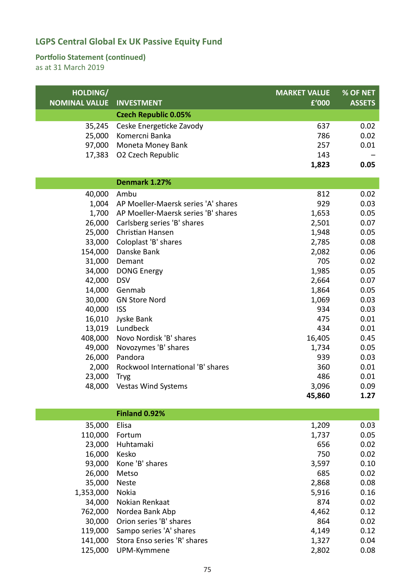#### **Portfolio Statement (continued)**

| HOLDING/<br><b>NOMINAL VALUE</b> | <b>INVESTMENT</b>                   | <b>MARKET VALUE</b><br>£'000 | % OF NET<br><b>ASSETS</b> |
|----------------------------------|-------------------------------------|------------------------------|---------------------------|
|                                  |                                     |                              |                           |
|                                  | <b>Czech Republic 0.05%</b>         |                              |                           |
| 35,245                           | Ceske Energeticke Zavody            | 637                          | 0.02                      |
| 25,000                           | Komercni Banka                      | 786                          | 0.02                      |
| 97,000                           | Moneta Money Bank                   | 257                          | 0.01                      |
| 17,383                           | O2 Czech Republic                   | 143                          |                           |
|                                  |                                     | 1,823                        | 0.05                      |
|                                  | Denmark 1.27%                       |                              |                           |
| 40,000                           | Ambu                                | 812                          | 0.02                      |
| 1,004                            | AP Moeller-Maersk series 'A' shares | 929                          | 0.03                      |
| 1,700                            | AP Moeller-Maersk series 'B' shares | 1,653                        | 0.05                      |
| 26,000                           | Carlsberg series 'B' shares         | 2,501                        | 0.07                      |
| 25,000                           | Christian Hansen                    | 1,948                        | 0.05                      |
| 33,000                           | Coloplast 'B' shares                | 2,785                        | 0.08                      |
| 154,000                          | Danske Bank                         | 2,082                        | 0.06                      |
| 31,000                           | Demant                              | 705                          | 0.02                      |
| 34,000                           | <b>DONG Energy</b>                  | 1,985                        | 0.05                      |
| 42,000                           | <b>DSV</b>                          | 2,664                        | 0.07                      |
| 14,000                           | Genmab                              | 1,864                        | 0.05                      |
| 30,000                           | <b>GN Store Nord</b>                | 1,069                        | 0.03                      |
| 40,000                           | <b>ISS</b>                          | 934                          | 0.03                      |
| 16,010                           | Jyske Bank                          | 475                          | 0.01                      |
| 13,019                           | Lundbeck                            | 434                          | 0.01                      |
| 408,000                          | Novo Nordisk 'B' shares             | 16,405                       | 0.45                      |
| 49,000                           | Novozymes 'B' shares                | 1,734                        | 0.05                      |
| 26,000                           | Pandora                             | 939                          | 0.03                      |
| 2,000                            | Rockwool International 'B' shares   | 360                          | 0.01                      |
| 23,000                           | <b>Tryg</b>                         | 486                          | 0.01                      |
| 48,000                           | <b>Vestas Wind Systems</b>          | 3,096                        | 0.09                      |
|                                  |                                     | 45,860                       | 1.27                      |
|                                  |                                     |                              |                           |
|                                  | Finland 0.92%                       |                              |                           |
| 35,000                           | Elisa                               | 1,209                        | 0.03                      |
| 110,000                          | Fortum                              | 1,737                        | 0.05                      |
| 23,000                           | Huhtamaki                           | 656                          | 0.02                      |
| 16,000                           | Kesko                               | 750                          | 0.02                      |
| 93,000                           | Kone 'B' shares                     | 3,597                        | 0.10                      |
| 26,000                           | Metso                               | 685                          | 0.02                      |

|           |                                      | - - - - | ---- |
|-----------|--------------------------------------|---------|------|
| 26,000    | Metso                                | 685     | 0.02 |
| 35,000    | <b>Neste</b>                         | 2,868   | 0.08 |
| 1,353,000 | Nokia                                | 5,916   | 0.16 |
|           | 34,000 Nokian Renkaat                | 874     | 0.02 |
|           | 762,000 Nordea Bank Abp              | 4,462   | 0.12 |
|           | 30,000 Orion series 'B' shares       | 864     | 0.02 |
|           | 119,000 Sampo series 'A' shares      | 4,149   | 0.12 |
|           | 141,000 Stora Enso series 'R' shares | 1,327   | 0.04 |
| 125,000   | UPM-Kymmene                          | 2,802   | 0.08 |
|           |                                      |         |      |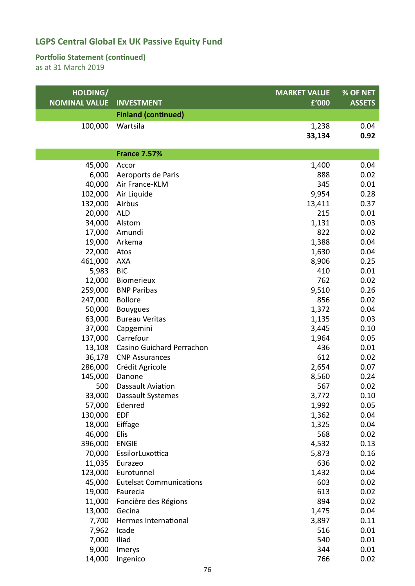#### **Portfolio Statement (continued)**

| HOLDING/             |                                | <b>MARKET VALUE</b> | % OF NET      |
|----------------------|--------------------------------|---------------------|---------------|
| <b>NOMINAL VALUE</b> | <b>INVESTMENT</b>              | £'000               | <b>ASSETS</b> |
|                      | <b>Finland (continued)</b>     |                     |               |
| 100,000              | Wartsila                       | 1,238               | 0.04          |
|                      |                                | 33,134              | 0.92          |
|                      |                                |                     |               |
|                      | <b>France 7.57%</b>            |                     |               |
| 45,000               | Accor                          | 1,400               | 0.04          |
| 6,000                | Aeroports de Paris             | 888                 | 0.02          |
| 40,000               | Air France-KLM                 | 345                 | 0.01          |
| 102,000              | Air Liquide                    | 9,954               | 0.28          |
| 132,000              | Airbus                         | 13,411              | 0.37          |
| 20,000               | <b>ALD</b>                     | 215                 | 0.01          |
| 34,000               | Alstom                         | 1,131               | 0.03          |
| 17,000               | Amundi                         | 822                 | 0.02          |
| 19,000               | Arkema                         | 1,388               | 0.04          |
| 22,000               | Atos                           | 1,630               | 0.04          |
| 461,000              | <b>AXA</b>                     | 8,906               | 0.25          |
| 5,983                | <b>BIC</b>                     | 410                 | 0.01          |
| 12,000               | Biomerieux                     | 762                 | 0.02          |
| 259,000              | <b>BNP Paribas</b>             | 9,510               | 0.26          |
| 247,000              | <b>Bollore</b>                 | 856                 | 0.02          |
| 50,000               | <b>Bouygues</b>                | 1,372               | 0.04          |
| 63,000               | <b>Bureau Veritas</b>          | 1,135               | 0.03          |
| 37,000               | Capgemini                      | 3,445               | 0.10          |
| 137,000              | Carrefour                      | 1,964               | 0.05          |
| 13,108               | Casino Guichard Perrachon      | 436                 | 0.01          |
| 36,178               | <b>CNP Assurances</b>          | 612                 | 0.02          |
| 286,000              | Crédit Agricole                | 2,654               | 0.07          |
| 145,000              | Danone                         | 8,560               | 0.24          |
| 500                  | Dassault Aviation              | 567                 | 0.02          |
| 33,000               | Dassault Systemes              | 3,772               | 0.10          |
|                      | 57,000 Edenred                 | 1,992               | 0.05          |
| 130,000              | <b>EDF</b>                     | 1,362               | 0.04          |
| 18,000               | Eiffage                        | 1,325               | 0.04          |
| 46,000               | Elis                           | 568                 | 0.02          |
| 396,000              | <b>ENGIE</b>                   | 4,532               | 0.13          |
| 70,000               | EssilorLuxottica               | 5,873               | 0.16          |
| 11,035               | Eurazeo                        | 636                 | 0.02          |
| 123,000              | Eurotunnel                     | 1,432               | 0.04          |
| 45,000               | <b>Eutelsat Communications</b> | 603                 | 0.02          |
| 19,000               | Faurecia                       | 613                 | 0.02          |
| 11,000               | Foncière des Régions           | 894                 | 0.02          |
| 13,000               | Gecina                         | 1,475               | 0.04          |
| 7,700                | Hermes International           | 3,897               | 0.11          |
| 7,962                | Icade                          | 516                 | 0.01          |
| 7,000                | Iliad                          | 540                 | 0.01          |
| 9,000                | Imerys                         | 344                 | 0.01          |
| 14,000               | Ingenico                       | 766                 | 0.02          |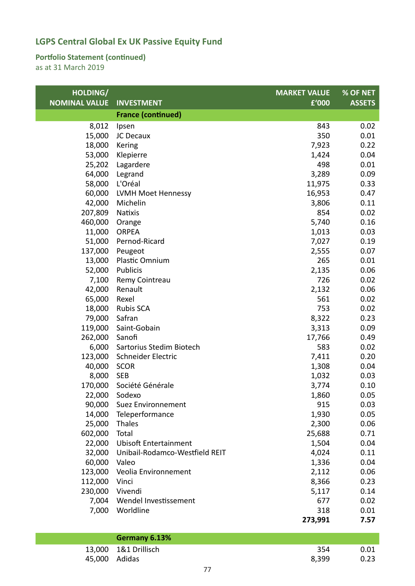#### **Portfolio Statement (continued)**

as at 31 March 2019

| HOLDING/             |                                | <b>MARKET VALUE</b> | % OF NET      |
|----------------------|--------------------------------|---------------------|---------------|
| <b>NOMINAL VALUE</b> | <b>INVESTMENT</b>              | £'000               | <b>ASSETS</b> |
|                      | <b>France (continued)</b>      |                     |               |
| 8,012                | Ipsen                          | 843                 | 0.02          |
| 15,000               | JC Decaux                      | 350                 | 0.01          |
| 18,000               | Kering                         | 7,923               | 0.22          |
| 53,000               | Klepierre                      | 1,424               | 0.04          |
| 25,202               | Lagardere                      | 498                 | 0.01          |
| 64,000               | Legrand                        | 3,289               | 0.09          |
| 58,000               | L'Oréal                        | 11,975              | 0.33          |
| 60,000               | LVMH Moet Hennessy             | 16,953              | 0.47          |
| 42,000               | Michelin                       | 3,806               | 0.11          |
| 207,809              | <b>Natixis</b>                 | 854                 | 0.02          |
| 460,000              | Orange                         | 5,740               | 0.16          |
| 11,000               | <b>ORPEA</b>                   | 1,013               | 0.03          |
| 51,000               | Pernod-Ricard                  | 7,027               | 0.19          |
| 137,000              | Peugeot                        | 2,555               | 0.07          |
| 13,000               | Plastic Omnium                 | 265                 | 0.01          |
| 52,000               | Publicis                       | 2,135               | 0.06          |
| 7,100                | Remy Cointreau                 | 726                 | 0.02          |
| 42,000               | Renault                        | 2,132               | 0.06          |
| 65,000               | Rexel                          | 561                 | 0.02          |
| 18,000               | <b>Rubis SCA</b>               | 753                 | 0.02          |
| 79,000               | Safran                         | 8,322               | 0.23          |
| 119,000              | Saint-Gobain                   | 3,313               | 0.09          |
| 262,000              | Sanofi                         | 17,766              | 0.49          |
| 6,000                | Sartorius Stedim Biotech       | 583                 | 0.02          |
| 123,000              | Schneider Electric             | 7,411               | 0.20          |
| 40,000               | <b>SCOR</b>                    | 1,308               | 0.04          |
| 8,000                | <b>SEB</b>                     | 1,032               | 0.03          |
| 170,000              | Société Générale               | 3,774               | 0.10          |
| 22,000               | Sodexo                         | 1,860               | 0.05          |
| 90,000               | <b>Suez Environnement</b>      | 915                 | 0.03          |
| 14,000               | Teleperformance                | 1,930               | 0.05          |
| 25,000               | Thales                         | 2,300               | 0.06          |
| 602,000              | Total                          | 25,688              | 0.71          |
| 22,000               | <b>Ubisoft Entertainment</b>   | 1,504               | 0.04          |
| 32,000               | Unibail-Rodamco-Westfield REIT | 4,024               | 0.11          |
| 60,000               | Valeo                          | 1,336               | 0.04          |
| 123,000              | Veolia Environnement           | 2,112               | 0.06          |
| 112,000              | Vinci                          | 8,366               | 0.23          |
| 230,000              | Vivendi                        | 5,117               | 0.14          |
| 7,004                | Wendel Investissement          | 677                 | 0.02          |
| 7,000                | Worldline                      | 318                 | 0.01          |
|                      |                                | 273,991             | 7.57          |
|                      | Germany 6.13%                  |                     |               |
| 13,000               | 1&1 Drillisch                  | 354                 | 0.01          |

45,000 Adidas 8,399 0.23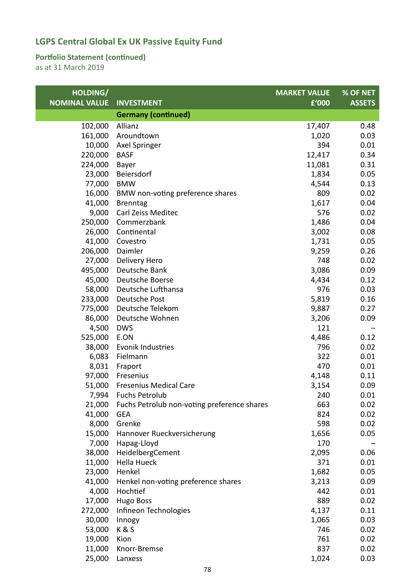#### **Portfolio Statement (continued)**

| HOLDING/             |                                             | <b>MARKET VALUE</b> | % OF NET      |
|----------------------|---------------------------------------------|---------------------|---------------|
| <b>NOMINAL VALUE</b> | <b>INVESTMENT</b>                           | £'000               | <b>ASSETS</b> |
|                      | <b>Germany (continued)</b>                  |                     |               |
| 102,000              | Allianz                                     | 17,407              | 0.48          |
| 161,000              | Aroundtown                                  | 1,020               | 0.03          |
| 10,000               | Axel Springer                               | 394                 | 0.01          |
| 220,000              | <b>BASF</b>                                 | 12,417              | 0.34          |
| 224,000              | Bayer                                       | 11,081              | 0.31          |
| 23,000               | Beiersdorf                                  | 1,834               | 0.05          |
| 77,000               | <b>BMW</b>                                  | 4,544               | 0.13          |
| 16,000               | BMW non-voting preference shares            | 809                 | 0.02          |
| 41,000               | <b>Brenntag</b>                             | 1,617               | 0.04          |
| 9,000                | Carl Zeiss Meditec                          | 576                 | 0.02          |
| 250,000              | Commerzbank                                 | 1,486               | 0.04          |
| 26,000               | Continental                                 | 3,002               | 0.08          |
| 41,000               | Covestro                                    | 1,731               | 0.05          |
| 206,000              | Daimler                                     | 9,259               | 0.26          |
| 27,000               | Delivery Hero                               | 748                 | 0.02          |
| 495,000              | Deutsche Bank                               | 3,086               | 0.09          |
| 45,000               | Deutsche Boerse                             | 4,434               | 0.12          |
| 58,000               | Deutsche Lufthansa                          | 976                 | 0.03          |
| 233,000              | Deutsche Post                               | 5,819               | 0.16          |
| 775,000              | Deutsche Telekom                            | 9,887               | 0.27          |
| 86,000               | Deutsche Wohnen                             | 3,206               | 0.09          |
| 4,500                | <b>DWS</b>                                  | 121                 |               |
| 525,000              | E.ON                                        | 4,486               | 0.12          |
| 38,000               | Evonik Industries                           | 796                 | 0.02          |
| 6,083                | Fielmann                                    | 322                 | 0.01          |
| 8,031                | Fraport                                     | 470                 | 0.01          |
| 97,000               | Fresenius                                   | 4,148               | 0.11          |
| 51,000               | <b>Fresenius Medical Care</b>               | 3,154               | 0.09          |
| 7,994                | <b>Fuchs Petrolub</b>                       | 240                 | 0.01          |
| 21,000               | Fuchs Petrolub non-voting preference shares | 663                 | 0.02          |
| 41,000               | <b>GEA</b>                                  | 824                 | 0.02          |
| 8,000                | Grenke                                      | 598                 | 0.02          |
| 15,000               | Hannover Rueckversicherung                  | 1,656               | 0.05          |
| 7,000                | Hapag-Lloyd                                 | 170                 |               |
| 38,000               | HeidelbergCement                            | 2,095               | 0.06          |
| 11,000               | <b>Hella Hueck</b>                          | 371                 | 0.01          |
| 23,000               | Henkel                                      | 1,682               | 0.05          |
| 41,000               | Henkel non-voting preference shares         | 3,213               | 0.09          |
| 4,000                | Hochtief                                    | 442                 | 0.01          |
| 17,000               | <b>Hugo Boss</b>                            | 889                 | 0.02          |
| 272,000              | Infineon Technologies                       | 4,137               | 0.11          |
| 30,000               | Innogy                                      | 1,065               | 0.03          |
| 53,000               | K&S                                         | 746                 | 0.02          |
| 19,000               | Kion                                        | 761                 | 0.02          |
| 11,000               | Knorr-Bremse                                | 837                 | 0.02          |
| 25,000               | Lanxess                                     | 1,024               | 0.03          |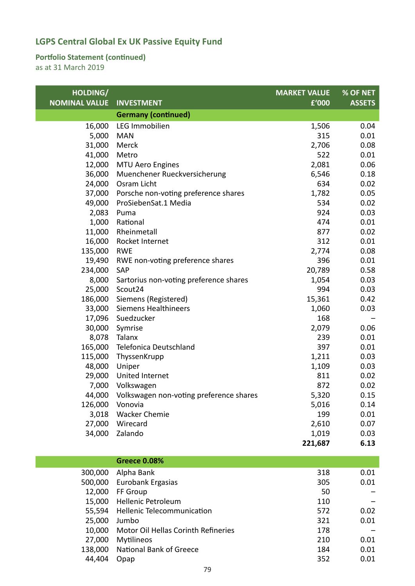#### **Portfolio Statement (continued)**

| HOLDING/<br><b>NOMINAL VALUE</b> | <b>INVESTMENT</b>                              | <b>MARKET VALUE</b><br>£'000 | % OF NET<br><b>ASSETS</b> |
|----------------------------------|------------------------------------------------|------------------------------|---------------------------|
|                                  | <b>Germany (continued)</b>                     |                              |                           |
| 16,000                           | LEG Immobilien                                 | 1,506                        | 0.04                      |
| 5,000                            | <b>MAN</b>                                     | 315                          | 0.01                      |
| 31,000                           | Merck                                          | 2,706                        | 0.08                      |
| 41,000                           | Metro                                          | 522                          | 0.01                      |
| 12,000                           | <b>MTU Aero Engines</b>                        | 2,081                        | 0.06                      |
| 36,000                           | Muenchener Rueckversicherung                   | 6,546                        | 0.18                      |
| 24,000                           | Osram Licht                                    | 634                          | 0.02                      |
| 37,000                           | Porsche non-voting preference shares           | 1,782                        | 0.05                      |
| 49,000                           | ProSiebenSat.1 Media                           | 534                          | 0.02                      |
| 2,083                            | Puma                                           | 924                          | 0.03                      |
| 1,000                            | Rational                                       | 474                          | 0.01                      |
| 11,000                           | Rheinmetall                                    | 877                          | 0.02                      |
| 16,000                           | Rocket Internet                                | 312                          | 0.01                      |
| 135,000                          | <b>RWE</b>                                     | 2,774                        | 0.08                      |
| 19,490                           | RWE non-voting preference shares               | 396                          | 0.01                      |
| 234,000                          | SAP                                            | 20,789                       | 0.58                      |
| 8,000                            | Sartorius non-voting preference shares         | 1,054                        | 0.03                      |
| 25,000                           | Scout24                                        | 994                          | 0.03                      |
| 186,000                          | Siemens (Registered)                           | 15,361                       | 0.42                      |
| 33,000                           | <b>Siemens Healthineers</b>                    | 1,060                        | 0.03                      |
| 17,096                           | Suedzucker                                     | 168                          |                           |
| 30,000                           | Symrise                                        | 2,079                        | 0.06                      |
| 8,078                            | Talanx                                         | 239                          | 0.01                      |
| 165,000                          | Telefonica Deutschland                         | 397                          | 0.01                      |
| 115,000                          | ThyssenKrupp                                   | 1,211                        | 0.03                      |
| 48,000                           | Uniper                                         | 1,109                        | 0.03                      |
| 29,000                           | United Internet                                | 811                          | 0.02                      |
| 7,000                            | Volkswagen                                     | 872                          | 0.02                      |
|                                  | 44,000 Volkswagen non-voting preference shares | 5,320                        | 0.15                      |
| 126,000                          | Vonovia                                        | 5,016                        | 0.14                      |
| 3,018                            | <b>Wacker Chemie</b>                           | 199                          | 0.01                      |
| 27,000                           | Wirecard                                       | 2,610                        | 0.07                      |
| 34,000                           | Zalando                                        | 1,019                        | 0.03                      |
|                                  |                                                | 221,687                      | 6.13                      |

|         | <b>Greece 0.08%</b>                 |     |      |
|---------|-------------------------------------|-----|------|
| 300,000 | Alpha Bank                          | 318 | 0.01 |
| 500,000 | Eurobank Ergasias                   | 305 | 0.01 |
| 12,000  | FF Group                            | 50  |      |
| 15,000  | <b>Hellenic Petroleum</b>           | 110 |      |
| 55,594  | <b>Hellenic Telecommunication</b>   | 572 | 0.02 |
| 25,000  | Jumbo                               | 321 | 0.01 |
| 10,000  | Motor Oil Hellas Corinth Refineries | 178 |      |
| 27,000  | <b>Mytilineos</b>                   | 210 | 0.01 |
| 138,000 | National Bank of Greece             | 184 | 0.01 |
| 44,404  | Opap                                | 352 | 0.01 |
|         |                                     |     |      |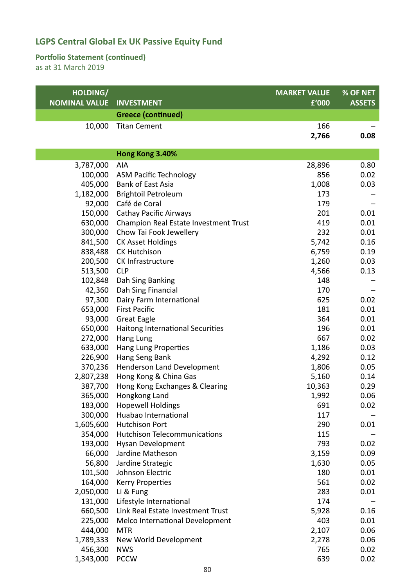#### **Portfolio Statement (continued)**

| HOLDING/<br><b>NOMINAL VALUE</b> | <b>INVESTMENT</b>                     | <b>MARKET VALUE</b><br>£'000 | % OF NET<br><b>ASSETS</b> |
|----------------------------------|---------------------------------------|------------------------------|---------------------------|
|                                  | <b>Greece (continued)</b>             |                              |                           |
| 10,000                           | <b>Titan Cement</b>                   | 166                          |                           |
|                                  |                                       | 2,766                        | 0.08                      |
|                                  |                                       |                              |                           |
|                                  | Hong Kong 3.40%                       |                              |                           |
| 3,787,000                        | AIA                                   | 28,896                       | 0.80                      |
| 100,000                          | <b>ASM Pacific Technology</b>         | 856                          | 0.02                      |
| 405,000                          | <b>Bank of East Asia</b>              | 1,008                        | 0.03                      |
| 1,182,000                        | <b>Brightoil Petroleum</b>            | 173                          |                           |
| 92,000                           | Café de Coral                         | 179                          |                           |
| 150,000                          | <b>Cathay Pacific Airways</b>         | 201                          | 0.01                      |
| 630,000                          | Champion Real Estate Investment Trust | 419                          | 0.01                      |
| 300,000                          | Chow Tai Fook Jewellery               | 232                          | 0.01                      |
| 841,500                          | <b>CK Asset Holdings</b>              | 5,742                        | 0.16                      |
| 838,488                          | <b>CK Hutchison</b>                   | 6,759                        | 0.19                      |
| 200,500                          | CK Infrastructure                     | 1,260                        | 0.03                      |
| 513,500                          | <b>CLP</b>                            | 4,566                        | 0.13                      |
| 102,848                          | Dah Sing Banking                      | 148                          |                           |
| 42,360                           | Dah Sing Financial                    | 170                          |                           |
| 97,300                           | Dairy Farm International              | 625                          | 0.02                      |
| 653,000                          | <b>First Pacific</b>                  | 181                          | 0.01                      |
| 93,000                           | <b>Great Eagle</b>                    | 364                          | 0.01                      |
| 650,000                          | Haitong International Securities      | 196                          | 0.01                      |
| 272,000                          | Hang Lung                             | 667                          | 0.02                      |
| 633,000                          | Hang Lung Properties                  | 1,186                        | 0.03                      |
| 226,900                          | Hang Seng Bank                        | 4,292                        | 0.12                      |
| 370,236                          | Henderson Land Development            | 1,806                        | 0.05                      |
| 2,807,238                        | Hong Kong & China Gas                 | 5,160                        | 0.14                      |
| 387,700                          | Hong Kong Exchanges & Clearing        | 10,363                       | 0.29                      |
|                                  | 365,000 Hongkong Land                 | 1,992                        | 0.06                      |
| 183,000                          | <b>Hopewell Holdings</b>              | 691                          | 0.02                      |
| 300,000                          | Huabao International                  | 117                          |                           |
| 1,605,600                        | <b>Hutchison Port</b>                 | 290                          | 0.01                      |
| 354,000                          | <b>Hutchison Telecommunications</b>   | 115                          |                           |
| 193,000                          | Hysan Development                     | 793                          | 0.02                      |
| 66,000                           | Jardine Matheson                      | 3,159                        | 0.09                      |
| 56,800                           | Jardine Strategic                     | 1,630                        | 0.05                      |
| 101,500                          | Johnson Electric                      | 180                          | 0.01                      |
| 164,000                          | <b>Kerry Properties</b>               | 561                          | 0.02                      |
| 2,050,000                        | Li & Fung                             | 283                          | 0.01                      |
| 131,000                          | Lifestyle International               | 174                          |                           |
| 660,500                          | Link Real Estate Investment Trust     | 5,928                        | 0.16                      |
| 225,000                          | Melco International Development       | 403                          | 0.01                      |
| 444,000                          | <b>MTR</b>                            | 2,107                        | 0.06                      |
| 1,789,333                        | New World Development                 | 2,278                        | 0.06                      |
| 456,300                          | <b>NWS</b>                            | 765                          | 0.02                      |
| 1,343,000                        | <b>PCCW</b>                           | 639                          | 0.02                      |
|                                  |                                       |                              |                           |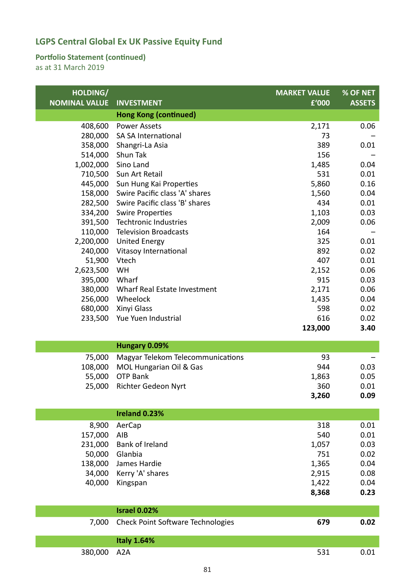#### **Portfolio Statement (continued)**

| HOLDING/             |                                          | <b>MARKET VALUE</b> | % OF NET      |
|----------------------|------------------------------------------|---------------------|---------------|
| <b>NOMINAL VALUE</b> | <b>INVESTMENT</b>                        | £'000               | <b>ASSETS</b> |
|                      | <b>Hong Kong (continued)</b>             |                     |               |
| 408,600              | <b>Power Assets</b>                      | 2,171               | 0.06          |
| 280,000              | SA SA International                      | 73                  |               |
| 358,000              | Shangri-La Asia                          | 389                 | 0.01          |
| 514,000              | Shun Tak                                 | 156                 |               |
| 1,002,000            | Sino Land                                | 1,485               | 0.04          |
| 710,500              | Sun Art Retail                           | 531                 | 0.01          |
| 445,000              | Sun Hung Kai Properties                  | 5,860               | 0.16          |
| 158,000              | Swire Pacific class 'A' shares           | 1,560               | 0.04          |
| 282,500              | Swire Pacific class 'B' shares           | 434                 | 0.01          |
| 334,200              | <b>Swire Properties</b>                  | 1,103               | 0.03          |
| 391,500              | <b>Techtronic Industries</b>             | 2,009               | 0.06          |
| 110,000              | <b>Television Broadcasts</b>             | 164                 |               |
| 2,200,000            | <b>United Energy</b>                     | 325                 | 0.01          |
| 240,000              | Vitasoy International                    | 892                 | 0.02          |
| 51,900               | Vtech                                    | 407                 | 0.01          |
| 2,623,500            | WH                                       | 2,152               | 0.06          |
| 395,000              | Wharf                                    | 915                 | 0.03          |
| 380,000              | Wharf Real Estate Investment<br>Wheelock | 2,171               | 0.06<br>0.04  |
| 256,000<br>680,000   | Xinyi Glass                              | 1,435<br>598        | 0.02          |
| 233,500              | Yue Yuen Industrial                      | 616                 | 0.02          |
|                      |                                          | 123,000             | 3.40          |
|                      |                                          |                     |               |
|                      | Hungary 0.09%                            |                     |               |
| 75,000               | Magyar Telekom Telecommunications        | 93                  |               |
| 108,000              | MOL Hungarian Oil & Gas                  | 944                 | 0.03          |
| 55,000               | <b>OTP Bank</b>                          | 1,863               | 0.05          |
| 25,000               | Richter Gedeon Nyrt                      | 360                 | 0.01          |
|                      |                                          | 3,260               | 0.09          |
|                      | Ireland 0.23%                            |                     |               |
|                      |                                          |                     | 0.01          |
| 8,900                | AerCap                                   | 318                 |               |
| 157,000              | AIB                                      | 540                 | 0.01          |
| 231,000              | Bank of Ireland                          | 1,057               | 0.03          |
| 50,000               | Glanbia                                  | 751                 | 0.02          |
| 138,000<br>34,000    | James Hardie<br>Kerry 'A' shares         | 1,365<br>2,915      | 0.04<br>0.08  |
|                      |                                          |                     |               |
| 40,000               | Kingspan                                 | 1,422               | 0.04<br>0.23  |
|                      |                                          | 8,368               |               |
|                      | <b>Israel 0.02%</b>                      |                     |               |
| 7,000                | <b>Check Point Software Technologies</b> | 679                 | 0.02          |
|                      |                                          |                     |               |
|                      | <b>Italy 1.64%</b>                       |                     |               |
| 380,000              | A <sub>2</sub> A                         | 531                 | 0.01          |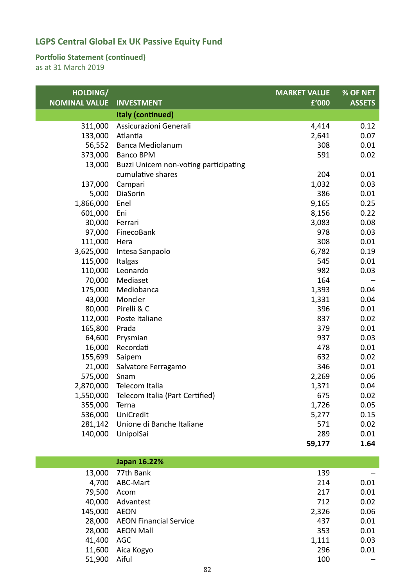#### **Portfolio Statement (continued)**

as at 31 March 2019

| HOLDING/<br><b>NOMINAL VALUE</b> | <b>INVESTMENT</b>                     | <b>MARKET VALUE</b><br>£'000 | % OF NET<br><b>ASSETS</b> |
|----------------------------------|---------------------------------------|------------------------------|---------------------------|
|                                  | <b>Italy (continued)</b>              |                              |                           |
| 311,000                          | Assicurazioni Generali                | 4,414                        | 0.12                      |
| 133,000                          | Atlantia                              | 2,641                        | 0.07                      |
| 56,552                           | <b>Banca Mediolanum</b>               | 308                          | 0.01                      |
| 373,000                          | <b>Banco BPM</b>                      | 591                          | 0.02                      |
| 13,000                           | Buzzi Unicem non-voting participating |                              |                           |
|                                  | cumulative shares                     | 204                          | 0.01                      |
| 137,000                          | Campari                               | 1,032                        | 0.03                      |
| 5,000                            | DiaSorin                              | 386                          | 0.01                      |
| 1,866,000                        | Enel                                  | 9,165                        | 0.25                      |
| 601,000                          | Eni                                   | 8,156                        | 0.22                      |
| 30,000                           | Ferrari                               | 3,083                        | 0.08                      |
| 97,000                           | FinecoBank                            | 978                          | 0.03                      |
| 111,000                          | Hera                                  | 308                          | 0.01                      |
| 3,625,000                        | Intesa Sanpaolo                       | 6,782                        | 0.19                      |
| 115,000<br>110,000               | Italgas<br>Leonardo                   | 545<br>982                   | 0.01                      |
| 70,000                           | Mediaset                              | 164                          | 0.03                      |
| 175,000                          | Mediobanca                            | 1,393                        | 0.04                      |
| 43,000                           | Moncler                               | 1,331                        | 0.04                      |
| 80,000                           | Pirelli & C                           | 396                          | 0.01                      |
| 112,000                          | Poste Italiane                        | 837                          | 0.02                      |
| 165,800                          | Prada                                 | 379                          | 0.01                      |
| 64,600                           | Prysmian                              | 937                          | 0.03                      |
| 16,000                           | Recordati                             | 478                          | 0.01                      |
| 155,699                          | Saipem                                | 632                          | 0.02                      |
| 21,000                           | Salvatore Ferragamo                   | 346                          | 0.01                      |
| 575,000                          | Snam                                  | 2,269                        | 0.06                      |
| 2,870,000                        | Telecom Italia                        | 1,371                        | 0.04                      |
| 1,550,000                        | Telecom Italia (Part Certified)       | 675                          | 0.02                      |
| 355,000                          | Terna                                 | 1,726                        | 0.05                      |
| 536,000                          | UniCredit                             | 5,277                        | 0.15                      |
| 281,142                          | Unione di Banche Italiane             | 571                          | 0.02                      |
| 140,000                          | UnipolSai                             | 289                          | 0.01                      |
|                                  |                                       | 59,177                       | 1.64                      |
|                                  | Japan 16.22%                          |                              |                           |
| 13,000                           | 77th Bank                             | 139                          |                           |
| 4,700                            | ABC-Mart                              | 214                          | 0.01                      |
| 79,500                           | Acom                                  | 217                          | 0.01                      |
| 40,000                           | Advantest                             | 712                          | 0.02                      |
| 145,000                          | <b>AEON</b>                           | 2,326                        | 0.06                      |
| 28,000                           | <b>AEON Financial Service</b>         | 437                          | 0.01                      |
| 28,000                           | <b>AEON Mall</b>                      | 353                          | 0.01                      |

41,400 AGC 1,111 0.03 11,600 Aica Kogyo 296 0.01 51,900 Aiful **100** –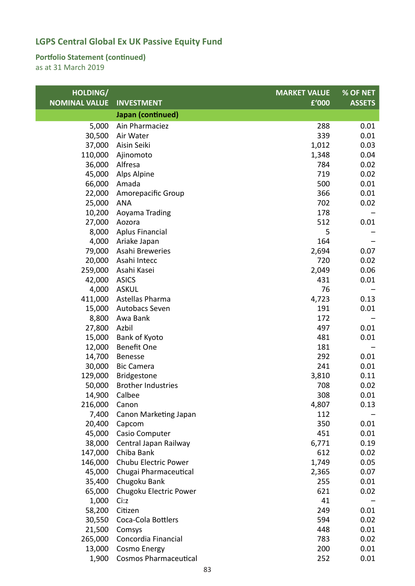#### **Portfolio Statement (continued)**

| HOLDING/             |                              | <b>MARKET VALUE</b> | % OF NET      |
|----------------------|------------------------------|---------------------|---------------|
| <b>NOMINAL VALUE</b> | <b>INVESTMENT</b>            | £'000               | <b>ASSETS</b> |
|                      | Japan (continued)            |                     |               |
| 5,000                | Ain Pharmaciez               | 288                 | 0.01          |
| 30,500               | Air Water                    | 339                 | 0.01          |
| 37,000               | Aisin Seiki                  | 1,012               | 0.03          |
| 110,000              | Ajinomoto                    | 1,348               | 0.04          |
| 36,000               | Alfresa                      | 784                 | 0.02          |
| 45,000               | Alps Alpine                  | 719                 | 0.02          |
| 66,000               | Amada                        | 500                 | 0.01          |
| 22,000               | Amorepacific Group           | 366                 | 0.01          |
| 25,000               | <b>ANA</b>                   | 702                 | 0.02          |
| 10,200               | Aoyama Trading               | 178                 |               |
| 27,000               | Aozora                       | 512                 | 0.01          |
| 8,000                | <b>Aplus Financial</b>       | 5                   |               |
| 4,000                | Ariake Japan                 | 164                 |               |
| 79,000               | Asahi Breweries              | 2,694               | 0.07          |
| 20,000               | Asahi Intecc                 | 720                 | 0.02          |
| 259,000              | Asahi Kasei                  | 2,049               | 0.06          |
| 42,000               | <b>ASICS</b>                 | 431                 | 0.01          |
| 4,000                | <b>ASKUL</b>                 | 76                  |               |
| 411,000              | Astellas Pharma              | 4,723               | 0.13          |
| 15,000               | Autobacs Seven               | 191                 | 0.01          |
| 8,800                | Awa Bank                     | 172                 |               |
| 27,800               | Azbil                        | 497                 | 0.01          |
| 15,000               | Bank of Kyoto                | 481                 | 0.01          |
| 12,000               | <b>Benefit One</b>           | 181                 |               |
| 14,700               | <b>Benesse</b>               | 292                 | 0.01          |
| 30,000               | <b>Bic Camera</b>            | 241                 | 0.01          |
| 129,000              | Bridgestone                  | 3,810               | 0.11          |
| 50,000               | <b>Brother Industries</b>    | 708                 | 0.02          |
| 14,900               | Calbee                       | 308                 | 0.01          |
| 216,000              | Canon                        | 4,807               | 0.13          |
| 7,400                | Canon Marketing Japan        | 112                 |               |
| 20,400               | Capcom                       | 350                 | 0.01          |
| 45,000               | Casio Computer               | 451                 | 0.01          |
| 38,000               | Central Japan Railway        | 6,771               | 0.19          |
| 147,000              | Chiba Bank                   | 612                 | 0.02          |
| 146,000              | Chubu Electric Power         | 1,749               | 0.05          |
| 45,000               | Chugai Pharmaceutical        | 2,365               | 0.07          |
| 35,400               | Chugoku Bank                 | 255                 | 0.01          |
| 65,000               | Chugoku Electric Power       | 621                 | 0.02          |
| 1,000                | Ci:z                         | 41                  |               |
| 58,200               | Citizen                      | 249                 | 0.01          |
| 30,550               | Coca-Cola Bottlers           | 594                 | 0.02          |
| 21,500               | Comsys                       | 448                 | 0.01          |
| 265,000              | Concordia Financial          | 783                 | 0.02          |
| 13,000               | <b>Cosmo Energy</b>          | 200                 | 0.01          |
| 1,900                | <b>Cosmos Pharmaceutical</b> | 252                 | 0.01          |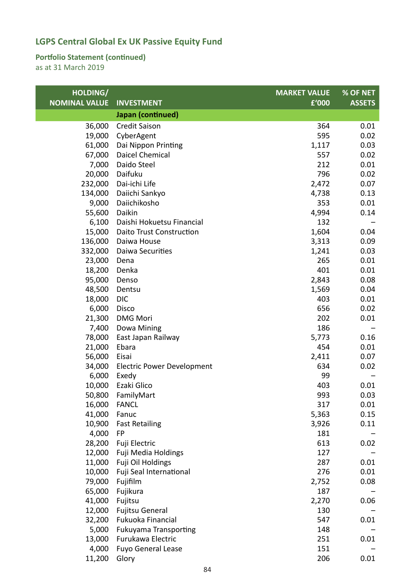#### **Portfolio Statement (continued)**

| HOLDING/             |                                 | <b>MARKET VALUE</b> | % OF NET      |
|----------------------|---------------------------------|---------------------|---------------|
| <b>NOMINAL VALUE</b> | <b>INVESTMENT</b>               | £'000               | <b>ASSETS</b> |
|                      | Japan (continued)               |                     |               |
| 36,000               | <b>Credit Saison</b>            | 364                 | 0.01          |
| 19,000               | CyberAgent                      | 595                 | 0.02          |
| 61,000               | Dai Nippon Printing             | 1,117               | 0.03          |
| 67,000               | Daicel Chemical                 | 557                 | 0.02          |
| 7,000                | Daido Steel                     | 212                 | 0.01          |
| 20,000               | Daifuku                         | 796                 | 0.02          |
| 232,000              | Dai-ichi Life                   | 2,472               | 0.07          |
| 134,000              | Daiichi Sankyo                  | 4,738               | 0.13          |
| 9,000                | Daiichikosho                    | 353                 | 0.01          |
| 55,600               | Daikin                          | 4,994               | 0.14          |
| 6,100                | Daishi Hokuetsu Financial       | 132                 |               |
| 15,000               | <b>Daito Trust Construction</b> | 1,604               | 0.04          |
| 136,000              | Daiwa House                     | 3,313               | 0.09          |
| 332,000              | Daiwa Securities                | 1,241               | 0.03          |
| 23,000               | Dena                            | 265                 | 0.01          |
| 18,200               | Denka                           | 401                 | 0.01          |
| 95,000               | Denso                           | 2,843               | 0.08          |
| 48,500               | Dentsu                          | 1,569               | 0.04          |
| 18,000               | <b>DIC</b>                      | 403                 | 0.01          |
| 6,000                | Disco                           | 656                 | 0.02          |
| 21,300               | <b>DMG Mori</b>                 | 202                 | 0.01          |
| 7,400                | Dowa Mining                     | 186                 |               |
| 78,000               | East Japan Railway              | 5,773               | 0.16          |
| 21,000               | Ebara                           | 454                 | 0.01          |
| 56,000               | Eisai                           | 2,411               | 0.07          |
| 34,000               | Electric Power Development      | 634                 | 0.02          |
| 6,000                | Exedy                           | 99                  |               |
| 10,000               | Ezaki Glico                     | 403                 | 0.01          |
| 50,800               | FamilyMart                      | 993                 | 0.03          |
| 16,000               | <b>FANCL</b>                    | 317                 | 0.01          |
| 41,000               | Fanuc                           | 5,363               | 0.15          |
| 10,900               | <b>Fast Retailing</b>           | 3,926               | 0.11          |
| 4,000                | <b>FP</b>                       | 181                 |               |
| 28,200               | Fuji Electric                   | 613                 | 0.02          |
| 12,000               | Fuji Media Holdings             | 127                 |               |
| 11,000               | Fuji Oil Holdings               | 287                 | 0.01          |
| 10,000               | Fuji Seal International         | 276                 | 0.01          |
| 79,000               | Fujifilm                        | 2,752               | 0.08          |
| 65,000               | Fujikura                        | 187                 |               |
| 41,000               | Fujitsu                         | 2,270               | 0.06          |
| 12,000               | Fujitsu General                 | 130                 |               |
| 32,200               | Fukuoka Financial               | 547                 | 0.01          |
| 5,000                | <b>Fukuyama Transporting</b>    | 148                 |               |
| 13,000               | Furukawa Electric               | 251                 | 0.01          |
| 4,000                | <b>Fuyo General Lease</b>       | 151                 |               |
| 11,200               | Glory                           | 206                 | 0.01          |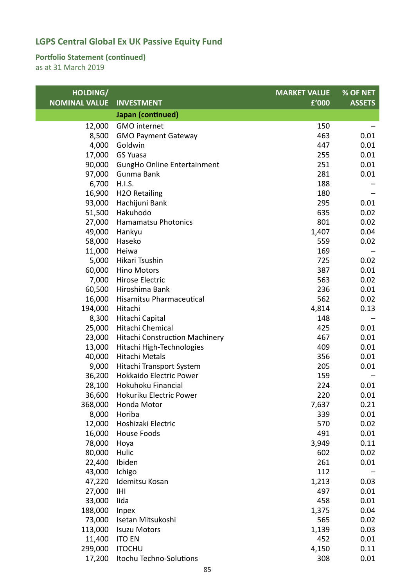#### **Portfolio Statement (continued)**

| HOLDING/             |                                       | <b>MARKET VALUE</b> | % OF NET      |
|----------------------|---------------------------------------|---------------------|---------------|
| <b>NOMINAL VALUE</b> | <b>INVESTMENT</b>                     | £'000               | <b>ASSETS</b> |
|                      | Japan (continued)                     |                     |               |
| 12,000               | <b>GMO</b> internet                   | 150                 |               |
| 8,500                | <b>GMO Payment Gateway</b>            | 463                 | 0.01          |
| 4,000                | Goldwin                               | 447                 | 0.01          |
| 17,000               | <b>GS Yuasa</b>                       | 255                 | 0.01          |
| 90,000               | GungHo Online Entertainment           | 251                 | 0.01          |
| 97,000               | Gunma Bank                            | 281                 | 0.01          |
| 6,700                | H.I.S.                                | 188                 |               |
| 16,900               | <b>H2O Retailing</b>                  | 180                 |               |
| 93,000               | Hachijuni Bank                        | 295                 | 0.01          |
| 51,500               | Hakuhodo                              | 635                 | 0.02          |
| 27,000               | <b>Hamamatsu Photonics</b>            | 801                 | 0.02          |
| 49,000               | Hankyu                                | 1,407               | 0.04          |
| 58,000               | Haseko                                | 559                 | 0.02          |
| 11,000               | Heiwa                                 | 169                 |               |
| 5,000                | Hikari Tsushin                        | 725                 | 0.02          |
| 60,000               | <b>Hino Motors</b>                    | 387                 | 0.01          |
| 7,000                | Hirose Electric                       | 563                 | 0.02          |
| 60,500               | Hiroshima Bank                        | 236                 | 0.01          |
| 16,000               | Hisamitsu Pharmaceutical              | 562                 | 0.02          |
| 194,000              | Hitachi                               | 4,814               | 0.13          |
| 8,300                | Hitachi Capital                       | 148                 |               |
| 25,000               | Hitachi Chemical                      | 425                 | 0.01          |
| 23,000               | <b>Hitachi Construction Machinery</b> | 467                 | 0.01          |
| 13,000               | Hitachi High-Technologies             | 409                 | 0.01          |
| 40,000               | Hitachi Metals                        | 356                 | 0.01          |
| 9,000                | Hitachi Transport System              | 205                 | 0.01          |
| 36,200               | <b>Hokkaido Electric Power</b>        | 159                 |               |
| 28,100               | Hokuhoku Financial                    | 224                 | 0.01          |
| 36,600               | Hokuriku Electric Power               | 220                 | 0.01          |
| 368,000              | Honda Motor                           | 7,637               | 0.21          |
| 8,000                | Horiba                                | 339                 | 0.01          |
| 12,000               | Hoshizaki Electric                    | 570                 | 0.02          |
| 16,000               | <b>House Foods</b>                    | 491                 | 0.01          |
| 78,000               | Hoya                                  | 3,949               | 0.11          |
| 80,000               | Hulic                                 | 602                 | 0.02          |
| 22,400               | Ibiden                                | 261                 | 0.01          |
| 43,000               | Ichigo                                | 112                 |               |
| 47,220               | Idemitsu Kosan                        | 1,213               | 0.03          |
| 27,000               | IHI                                   | 497                 | 0.01          |
| 33,000               | lida                                  | 458                 | 0.01          |
| 188,000              | <b>Inpex</b>                          | 1,375               | 0.04          |
| 73,000               | Isetan Mitsukoshi                     | 565                 | 0.02          |
| 113,000              | <b>Isuzu Motors</b>                   | 1,139               | 0.03          |
| 11,400               | <b>ITO EN</b>                         | 452                 | 0.01          |
| 299,000              | <b>ITOCHU</b>                         | 4,150               | 0.11          |
| 17,200               | Itochu Techno-Solutions               | 308                 | 0.01          |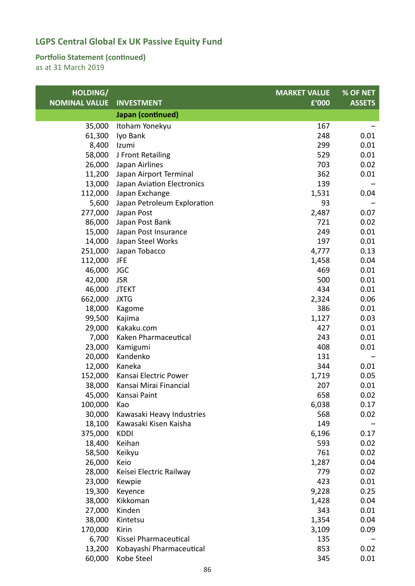#### **Portfolio Statement (continued)**

| HOLDING/             |                                        | <b>MARKET VALUE</b> | % OF NET      |
|----------------------|----------------------------------------|---------------------|---------------|
| <b>NOMINAL VALUE</b> | <b>INVESTMENT</b>                      | £'000               | <b>ASSETS</b> |
|                      | Japan (continued)                      |                     |               |
| 35,000               | Itoham Yonekyu                         | 167                 |               |
| 61,300               | Iyo Bank                               | 248                 | 0.01          |
| 8,400                | Izumi                                  | 299                 | 0.01          |
| 58,000               | J Front Retailing                      | 529                 | 0.01          |
| 26,000               | Japan Airlines                         | 703                 | 0.02          |
| 11,200               | Japan Airport Terminal                 | 362                 | 0.01          |
| 13,000               | Japan Aviation Electronics             | 139                 |               |
| 112,000              | Japan Exchange                         | 1,531               | 0.04          |
| 5,600                | Japan Petroleum Exploration            | 93                  |               |
| 277,000              | Japan Post                             | 2,487               | 0.07          |
| 86,000               | Japan Post Bank                        | 721                 | 0.02          |
| 15,000               | Japan Post Insurance                   | 249                 | 0.01          |
| 14,000               | Japan Steel Works                      | 197                 | 0.01          |
| 251,000              | Japan Tobacco                          | 4,777               | 0.13          |
| 112,000              | JFE                                    | 1,458               | 0.04          |
| 46,000               | <b>JGC</b>                             | 469                 | 0.01          |
| 42,000               | <b>JSR</b>                             | 500                 | 0.01          |
| 46,000               | <b>JTEKT</b>                           | 434                 | 0.01          |
| 662,000              | <b>JXTG</b>                            | 2,324               | 0.06          |
| 18,000               | Kagome                                 | 386                 | 0.01          |
| 99,500               | Kajima                                 | 1,127               | 0.03          |
| 29,000               | Kakaku.com                             | 427                 | 0.01          |
| 7,000                | Kaken Pharmaceutical                   | 243                 | 0.01          |
| 23,000               | Kamigumi                               | 408                 | 0.01          |
| 20,000               | Kandenko                               | 131                 |               |
| 12,000               | Kaneka                                 | 344                 | 0.01          |
| 152,000              | Kansai Electric Power                  | 1,719               | 0.05          |
| 38,000               | Kansai Mirai Financial                 | 207                 | 0.01          |
| 45,000               | Kansai Paint                           | 658                 | 0.02          |
| 100,000              | Kao                                    | 6,038               | 0.17          |
| 30,000               | Kawasaki Heavy Industries              | 568                 | 0.02          |
| 18,100               | Kawasaki Kisen Kaisha                  | 149                 |               |
| 375,000              | <b>KDDI</b>                            | 6,196               | 0.17          |
| 18,400               | Keihan                                 | 593                 | 0.02          |
| 58,500               | Keikyu                                 | 761                 | 0.02          |
| 26,000               | Keio                                   | 1,287               | 0.04          |
| 28,000               | Keisei Electric Railway                | 779                 | 0.02          |
| 23,000               | Kewpie                                 | 423                 | 0.01          |
| 19,300               | Keyence                                | 9,228               | 0.25          |
| 38,000               | Kikkoman                               | 1,428               | 0.04          |
| 27,000               | Kinden                                 | 343                 | 0.01          |
| 38,000               | Kintetsu                               | 1,354               | 0.04          |
| 170,000              | Kirin                                  | 3,109               | 0.09          |
| 6,700                | Kissei Pharmaceutical                  | 135                 |               |
| 13,200               | Kobayashi Pharmaceutical<br>Kobe Steel | 853                 | 0.02<br>0.01  |
| 60,000               |                                        | 345                 |               |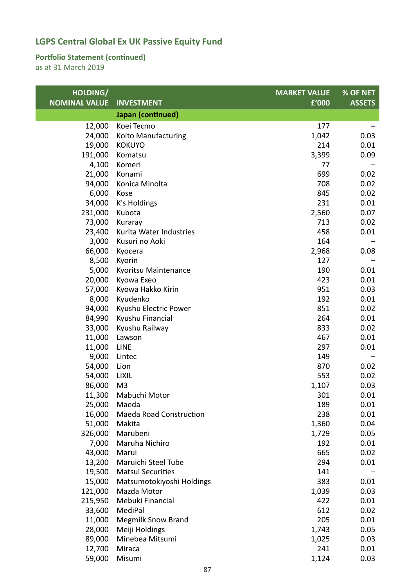#### **Portfolio Statement (continued)**

| HOLDING/             |                           | <b>MARKET VALUE</b> | <b>% OF NET</b> |
|----------------------|---------------------------|---------------------|-----------------|
| <b>NOMINAL VALUE</b> | <b>INVESTMENT</b>         | £'000               | <b>ASSETS</b>   |
|                      | Japan (continued)         |                     |                 |
| 12,000               | Koei Tecmo                | 177                 |                 |
| 24,000               | Koito Manufacturing       | 1,042               | 0.03            |
| 19,000               | <b>KOKUYO</b>             | 214                 | 0.01            |
| 191,000              | Komatsu                   | 3,399               | 0.09            |
| 4,100                | Komeri                    | 77                  |                 |
| 21,000               | Konami                    | 699                 | 0.02            |
| 94,000               | Konica Minolta            | 708                 | 0.02            |
| 6,000                | Kose                      | 845                 | 0.02            |
| 34,000               | K's Holdings              | 231                 | 0.01            |
| 231,000              | Kubota                    | 2,560               | 0.07            |
| 73,000               | Kuraray                   | 713                 | 0.02            |
| 23,400               | Kurita Water Industries   | 458                 | 0.01            |
| 3,000                | Kusuri no Aoki            | 164                 |                 |
| 66,000               | Kyocera                   | 2,968               | 0.08            |
| 8,500                | Kyorin                    | 127                 |                 |
| 5,000                | Kyoritsu Maintenance      | 190                 | 0.01            |
| 20,000               | Kyowa Exeo                | 423                 | 0.01            |
| 57,000               | Kyowa Hakko Kirin         | 951                 | 0.03            |
| 8,000                | Kyudenko                  | 192                 | 0.01            |
| 94,000               | Kyushu Electric Power     | 851                 | 0.02            |
| 84,990               | Kyushu Financial          | 264                 | 0.01            |
| 33,000               | Kyushu Railway            | 833                 | 0.02            |
| 11,000               | Lawson                    | 467                 | 0.01            |
| 11,000               | <b>LINE</b>               | 297                 | 0.01            |
| 9,000                | Lintec                    | 149                 |                 |
| 54,000               | Lion                      | 870                 | 0.02            |
| 54,000               | <b>LIXIL</b>              | 553                 | 0.02            |
| 86,000               | M <sub>3</sub>            | 1,107               | 0.03            |
| 11,300               | Mabuchi Motor             | 301                 | 0.01            |
| 25,000               | Maeda                     | 189                 | 0.01            |
| 16,000               | Maeda Road Construction   | 238                 | 0.01            |
| 51,000               | Makita                    | 1,360               | 0.04            |
| 326,000              | Marubeni                  | 1,729               | 0.05            |
| 7,000                | Maruha Nichiro            | 192                 | 0.01            |
| 43,000               | Marui                     | 665                 | 0.02            |
| 13,200               | Maruichi Steel Tube       | 294                 | 0.01            |
| 19,500               | <b>Matsui Securities</b>  | 141                 |                 |
| 15,000               | Matsumotokiyoshi Holdings | 383                 | 0.01            |
| 121,000              | Mazda Motor               | 1,039               | 0.03            |
| 215,950              | Mebuki Financial          | 422                 | 0.01            |
| 33,600               | MediPal                   | 612                 | 0.02            |
| 11,000               | <b>Megmilk Snow Brand</b> | 205                 | 0.01            |
| 28,000               | Meiji Holdings            | 1,743               | 0.05            |
| 89,000               | Minebea Mitsumi           | 1,025               | 0.03            |
| 12,700               | Miraca                    | 241                 | 0.01            |
| 59,000               | Misumi                    | 1,124               | 0.03            |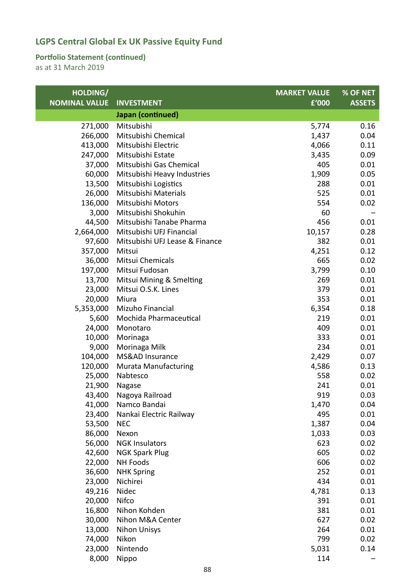### **Portfolio Statement (continued)**

| HOLDING/             |                                | <b>MARKET VALUE</b> | % OF NET      |
|----------------------|--------------------------------|---------------------|---------------|
| <b>NOMINAL VALUE</b> | <b>INVESTMENT</b>              | £'000               | <b>ASSETS</b> |
|                      | Japan (continued)              |                     |               |
| 271,000              | Mitsubishi                     | 5,774               | 0.16          |
| 266,000              | Mitsubishi Chemical            | 1,437               | 0.04          |
| 413,000              | Mitsubishi Electric            | 4,066               | 0.11          |
| 247,000              | Mitsubishi Estate              | 3,435               | 0.09          |
| 37,000               | Mitsubishi Gas Chemical        | 405                 | 0.01          |
| 60,000               | Mitsubishi Heavy Industries    | 1,909               | 0.05          |
| 13,500               | Mitsubishi Logistics           | 288                 | 0.01          |
| 26,000               | Mitsubishi Materials           | 525                 | 0.01          |
| 136,000              | Mitsubishi Motors              | 554                 | 0.02          |
| 3,000                | Mitsubishi Shokuhin            | 60                  |               |
| 44,500               | Mitsubishi Tanabe Pharma       | 456                 | 0.01          |
| 2,664,000            | Mitsubishi UFJ Financial       | 10,157              | 0.28          |
| 97,600               | Mitsubishi UFJ Lease & Finance | 382                 | 0.01          |
| 357,000              | Mitsui                         | 4,251               | 0.12          |
| 36,000               | Mitsui Chemicals               | 665                 | 0.02          |
| 197,000              | Mitsui Fudosan                 | 3,799               | 0.10          |
| 13,700               | Mitsui Mining & Smelting       | 269                 | 0.01          |
| 23,000               | Mitsui O.S.K. Lines            | 379                 | 0.01          |
| 20,000               | Miura                          | 353                 | 0.01          |
| 5,353,000            | Mizuho Financial               | 6,354               | 0.18          |
| 5,600                | Mochida Pharmaceutical         | 219                 | 0.01          |
| 24,000               | Monotaro                       | 409                 | 0.01          |
| 10,000               | Morinaga                       | 333                 | 0.01          |
| 9,000                | Morinaga Milk                  | 234                 | 0.01          |
| 104,000              | MS&AD Insurance                | 2,429               | 0.07          |
| 120,000              | <b>Murata Manufacturing</b>    | 4,586               | 0.13          |
| 25,000               | Nabtesco                       | 558                 | 0.02          |
| 21,900               | Nagase                         | 241                 | 0.01          |
| 43,400               | Nagoya Railroad                | 919                 | 0.03          |
| 41,000               | Namco Bandai                   | 1,470               | 0.04          |
| 23,400               | Nankai Electric Railway        | 495                 | 0.01          |
| 53,500               | <b>NEC</b>                     | 1,387               | 0.04          |
| 86,000               | Nexon                          | 1,033               | 0.03          |
| 56,000               | <b>NGK Insulators</b>          | 623                 | 0.02          |
| 42,600               | <b>NGK Spark Plug</b>          | 605                 | 0.02          |
| 22,000               | <b>NH Foods</b>                | 606                 | 0.02          |
| 36,600               | <b>NHK Spring</b>              | 252                 | 0.01          |
| 23,000               | Nichirei                       | 434                 | 0.01          |
| 49,216               | Nidec                          | 4,781               | 0.13          |
| 20,000               | Nifco                          | 391                 | 0.01          |
| 16,800               | Nihon Kohden                   | 381                 | 0.01          |
| 30,000               | Nihon M&A Center               | 627                 | 0.02          |
| 13,000               | <b>Nihon Unisys</b>            | 264                 | 0.01          |
| 74,000               | Nikon                          | 799                 | 0.02          |
| 23,000               | Nintendo                       | 5,031               | 0.14          |
| 8,000                | Nippo                          | 114                 |               |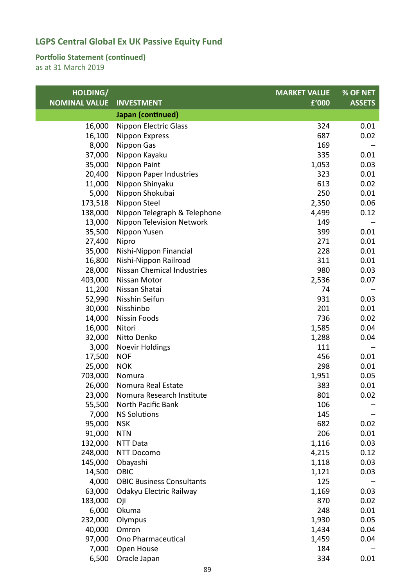### **Portfolio Statement (continued)**

| HOLDING/             |                                   | <b>MARKET VALUE</b> | % OF NET      |
|----------------------|-----------------------------------|---------------------|---------------|
| <b>NOMINAL VALUE</b> | <b>INVESTMENT</b>                 | £'000               | <b>ASSETS</b> |
|                      | Japan (continued)                 |                     |               |
| 16,000               | <b>Nippon Electric Glass</b>      | 324                 | 0.01          |
| 16,100               | Nippon Express                    | 687                 | 0.02          |
| 8,000                | Nippon Gas                        | 169                 |               |
| 37,000               | Nippon Kayaku                     | 335                 | 0.01          |
| 35,000               | Nippon Paint                      | 1,053               | 0.03          |
| 20,400               | Nippon Paper Industries           | 323                 | 0.01          |
| 11,000               | Nippon Shinyaku                   | 613                 | 0.02          |
| 5,000                | Nippon Shokubai                   | 250                 | 0.01          |
| 173,518              | Nippon Steel                      | 2,350               | 0.06          |
| 138,000              | Nippon Telegraph & Telephone      | 4,499               | 0.12          |
| 13,000               | Nippon Television Network         | 149                 |               |
| 35,500               | Nippon Yusen                      | 399                 | 0.01          |
| 27,400               | Nipro                             | 271                 | 0.01          |
| 35,000               | Nishi-Nippon Financial            | 228                 | 0.01          |
| 16,800               | Nishi-Nippon Railroad             | 311                 | 0.01          |
| 28,000               | <b>Nissan Chemical Industries</b> | 980                 | 0.03          |
| 403,000              | Nissan Motor                      | 2,536               | 0.07          |
| 11,200               | Nissan Shatai                     | 74                  |               |
| 52,990               | Nisshin Seifun                    | 931                 | 0.03          |
| 30,000               | Nisshinbo                         | 201                 | 0.01          |
| 14,000               | Nissin Foods                      | 736                 | 0.02          |
| 16,000               | Nitori                            | 1,585               | 0.04          |
| 32,000               | Nitto Denko                       | 1,288               | 0.04          |
| 3,000                | <b>Noevir Holdings</b>            | 111                 |               |
| 17,500               | <b>NOF</b>                        | 456                 | 0.01          |
| 25,000               | <b>NOK</b>                        | 298                 | 0.01          |
| 703,000              | Nomura                            | 1,951               | 0.05          |
| 26,000               | Nomura Real Estate                | 383                 | 0.01          |
| 23,000               | Nomura Research Institute         | 801                 | 0.02          |
| 55,500               | North Pacific Bank                | 106                 |               |
| 7,000                | <b>NS Solutions</b>               | 145                 |               |
| 95,000               | <b>NSK</b>                        | 682                 | 0.02          |
| 91,000               | <b>NTN</b>                        | 206                 | 0.01          |
| 132,000              | <b>NTT Data</b>                   | 1,116               | 0.03          |
| 248,000              | <b>NTT Docomo</b>                 | 4,215               | 0.12          |
| 145,000              | Obayashi                          | 1,118               | 0.03          |
| 14,500               | OBIC                              | 1,121               | 0.03          |
| 4,000                | <b>OBIC Business Consultants</b>  | 125                 |               |
| 63,000               | Odakyu Electric Railway           | 1,169               | 0.03          |
| 183,000              | Oji                               | 870                 | 0.02          |
| 6,000                | Okuma                             | 248                 | 0.01          |
| 232,000              | Olympus                           | 1,930               | 0.05          |
| 40,000               | Omron                             | 1,434               | 0.04          |
| 97,000               | Ono Pharmaceutical                | 1,459               | 0.04          |
| 7,000                | Open House                        | 184                 |               |
| 6,500                | Oracle Japan                      | 334                 | 0.01          |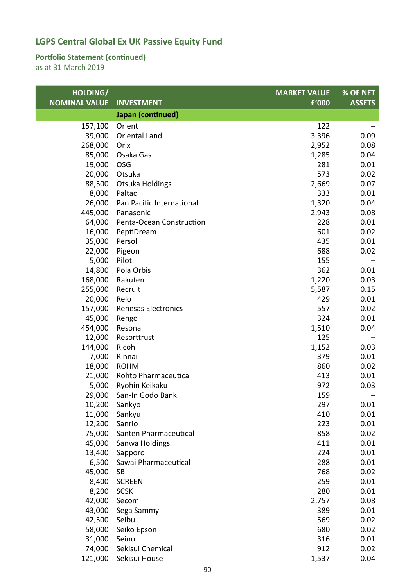### **Portfolio Statement (continued)**

| HOLDING/             |                                     | <b>MARKET VALUE</b> | % OF NET      |
|----------------------|-------------------------------------|---------------------|---------------|
| <b>NOMINAL VALUE</b> | <b>INVESTMENT</b>                   | £'000               | <b>ASSETS</b> |
|                      | Japan (continued)                   |                     |               |
| 157,100              | Orient                              | 122                 |               |
| 39,000               | Oriental Land                       | 3,396               | 0.09          |
| 268,000              | Orix                                | 2,952               | 0.08          |
| 85,000               | Osaka Gas                           | 1,285               | 0.04          |
| 19,000               | <b>OSG</b>                          | 281                 | 0.01          |
| 20,000               | Otsuka                              | 573                 | 0.02          |
| 88,500               | <b>Otsuka Holdings</b>              | 2,669               | 0.07          |
| 8,000                | Paltac                              | 333                 | 0.01          |
| 26,000               | Pan Pacific International           | 1,320               | 0.04          |
| 445,000              | Panasonic                           | 2,943               | 0.08          |
| 64,000               | Penta-Ocean Construction            | 228                 | 0.01          |
| 16,000               | PeptiDream                          | 601                 | 0.02          |
| 35,000               | Persol                              | 435                 | 0.01          |
| 22,000               | Pigeon                              | 688                 | 0.02          |
| 5,000                | Pilot                               | 155                 |               |
| 14,800               | Pola Orbis                          | 362                 | 0.01          |
| 168,000              | Rakuten                             | 1,220               | 0.03          |
| 255,000              | Recruit                             | 5,587               | 0.15          |
| 20,000               | Relo                                | 429                 | 0.01          |
| 157,000              | <b>Renesas Electronics</b>          | 557                 | 0.02          |
| 45,000               | Rengo                               | 324                 | 0.01          |
| 454,000              | Resona                              | 1,510               | 0.04          |
| 12,000               | Resorttrust                         | 125                 |               |
| 144,000              | Ricoh                               | 1,152               | 0.03          |
| 7,000                | Rinnai                              | 379<br>860          | 0.01          |
| 18,000<br>21,000     | <b>ROHM</b><br>Rohto Pharmaceutical | 413                 | 0.02<br>0.01  |
| 5,000                | Ryohin Keikaku                      | 972                 | 0.03          |
| 29,000               | San-In Godo Bank                    | 159                 |               |
| 10,200               | Sankyo                              | 297                 | 0.01          |
| 11,000               | Sankyu                              | 410                 | 0.01          |
| 12,200               | Sanrio                              | 223                 | 0.01          |
| 75,000               | Santen Pharmaceutical               | 858                 | 0.02          |
| 45,000               | Sanwa Holdings                      | 411                 | 0.01          |
| 13,400               | Sapporo                             | 224                 | 0.01          |
| 6,500                | Sawai Pharmaceutical                | 288                 | 0.01          |
| 45,000               | <b>SBI</b>                          | 768                 | 0.02          |
| 8,400                | <b>SCREEN</b>                       | 259                 | 0.01          |
| 8,200                | <b>SCSK</b>                         | 280                 | 0.01          |
| 42,000               | Secom                               | 2,757               | 0.08          |
| 43,000               | Sega Sammy                          | 389                 | 0.01          |
| 42,500               | Seibu                               | 569                 | 0.02          |
| 58,000               | Seiko Epson                         | 680                 | 0.02          |
| 31,000               | Seino                               | 316                 | 0.01          |
| 74,000               | Sekisui Chemical                    | 912                 | 0.02          |
| 121,000              | Sekisui House                       | 1,537               | 0.04          |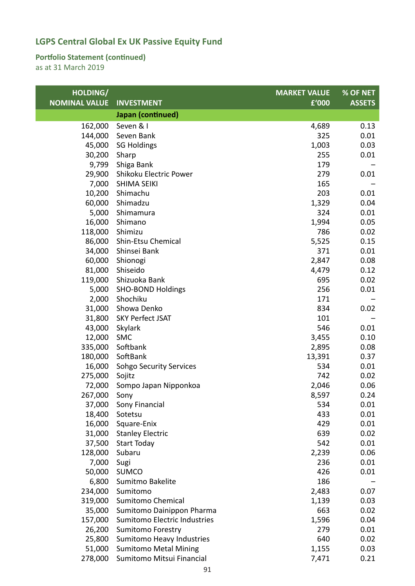### **Portfolio Statement (continued)**

| HOLDING/             |                                | <b>MARKET VALUE</b> | % OF NET      |
|----------------------|--------------------------------|---------------------|---------------|
| <b>NOMINAL VALUE</b> | <b>INVESTMENT</b>              | £'000               | <b>ASSETS</b> |
|                      | Japan (continued)              |                     |               |
| 162,000              | Seven & I                      | 4,689               | 0.13          |
| 144,000              | Seven Bank                     | 325                 | 0.01          |
| 45,000               | <b>SG Holdings</b>             | 1,003               | 0.03          |
| 30,200               | Sharp                          | 255                 | 0.01          |
| 9,799                | Shiga Bank                     | 179                 |               |
| 29,900               | Shikoku Electric Power         | 279                 | 0.01          |
| 7,000                | <b>SHIMA SEIKI</b>             | 165                 |               |
|                      | 10,200 Shimachu                | 203                 | 0.01          |
| 60,000               | Shimadzu                       | 1,329               | 0.04          |
| 5,000                | Shimamura                      | 324                 | 0.01          |
| 16,000               | Shimano                        | 1,994               | 0.05          |
| 118,000              | Shimizu                        | 786                 | 0.02          |
| 86,000               | Shin-Etsu Chemical             | 5,525               | 0.15          |
| 34,000               | Shinsei Bank                   | 371                 | 0.01          |
| 60,000               | Shionogi                       | 2,847               | 0.08          |
| 81,000               | Shiseido                       | 4,479               | 0.12          |
| 119,000              | Shizuoka Bank                  | 695                 | 0.02          |
| 5,000                | <b>SHO-BOND Holdings</b>       | 256                 | 0.01          |
| 2,000                | Shochiku                       | 171                 |               |
| 31,000               | Showa Denko                    | 834                 | 0.02          |
|                      | 31,800 SKY Perfect JSAT        | 101                 |               |
| 43,000               | Skylark                        | 546                 | 0.01          |
| 12,000               | <b>SMC</b>                     | 3,455               | 0.10          |
| 335,000              | Softbank                       | 2,895               | 0.08          |
| 180,000              | SoftBank                       | 13,391              | 0.37          |
| 16,000               | <b>Sohgo Security Services</b> | 534                 | 0.01          |
| 275,000              | Sojitz                         | 742                 | 0.02          |
| 72,000               | Sompo Japan Nipponkoa          | 2,046               | 0.06          |
| 267,000              | Sony                           | 8,597               | 0.24          |
| 37,000               | Sony Financial                 | 534                 | 0.01          |
| 18,400               | Sotetsu                        | 433                 | 0.01          |
| 16,000               | Square-Enix                    | 429                 | 0.01          |
| 31,000               | <b>Stanley Electric</b>        | 639                 | 0.02          |
| 37,500               | <b>Start Today</b>             | 542                 | 0.01          |
| 128,000              | Subaru                         | 2,239               | 0.06          |
| 7,000                | Sugi                           | 236                 | 0.01          |
| 50,000               | <b>SUMCO</b>                   | 426                 | 0.01          |
| 6,800                | Sumitmo Bakelite               | 186                 |               |
| 234,000              | Sumitomo                       | 2,483               | 0.07          |
| 319,000              | Sumitomo Chemical              | 1,139               | 0.03          |
| 35,000               | Sumitomo Dainippon Pharma      | 663                 | 0.02          |
| 157,000              | Sumitomo Electric Industries   | 1,596               | 0.04          |
| 26,200               | <b>Sumitomo Forestry</b>       | 279                 | 0.01          |
| 25,800               | Sumitomo Heavy Industries      | 640                 | 0.02          |
| 51,000               | <b>Sumitomo Metal Mining</b>   | 1,155               | 0.03          |
| 278,000              | Sumitomo Mitsui Financial      | 7,471               | 0.21          |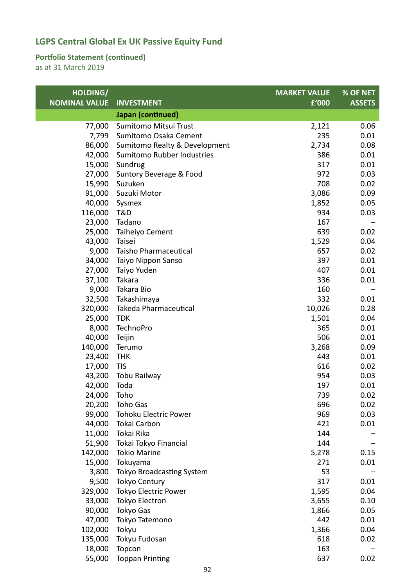### **Portfolio Statement (continued)**

| HOLDING/             |                               | <b>MARKET VALUE</b> | % OF NET      |
|----------------------|-------------------------------|---------------------|---------------|
| <b>NOMINAL VALUE</b> | <b>INVESTMENT</b>             | £'000               | <b>ASSETS</b> |
|                      | Japan (continued)             |                     |               |
| 77,000               | Sumitomo Mitsui Trust         | 2,121               | 0.06          |
| 7,799                | Sumitomo Osaka Cement         | 235                 | 0.01          |
| 86,000               | Sumitomo Realty & Development | 2,734               | 0.08          |
| 42,000               | Sumitomo Rubber Industries    | 386                 | 0.01          |
| 15,000               | Sundrug                       | 317                 | 0.01          |
| 27,000               | Suntory Beverage & Food       | 972                 | 0.03          |
| 15,990               | Suzuken                       | 708                 | 0.02          |
| 91,000               | Suzuki Motor                  | 3,086               | 0.09          |
| 40,000               | Sysmex                        | 1,852               | 0.05          |
| 116,000              | T&D                           | 934                 | 0.03          |
| 23,000               | Tadano                        | 167                 |               |
| 25,000               | Taiheiyo Cement               | 639                 | 0.02          |
| 43,000               | Taisei                        | 1,529               | 0.04          |
| 9,000                | Taisho Pharmaceutical         | 657                 | 0.02          |
| 34,000               | Taiyo Nippon Sanso            | 397                 | 0.01          |
| 27,000               | Taiyo Yuden                   | 407                 | 0.01          |
| 37,100               | Takara                        | 336                 | 0.01          |
| 9,000                | Takara Bio                    | 160                 |               |
| 32,500               | Takashimaya                   | 332                 | 0.01          |
| 320,000              | Takeda Pharmaceutical         | 10,026              | 0.28          |
| 25,000               | <b>TDK</b>                    | 1,501               | 0.04          |
| 8,000                | <b>TechnoPro</b>              | 365                 | 0.01          |
| 40,000               | Teijin                        | 506                 | 0.01          |
| 140,000              | Terumo                        | 3,268               | 0.09          |
| 23,400               | <b>THK</b>                    | 443                 | 0.01          |
| 17,000               | <b>TIS</b>                    | 616                 | 0.02          |
| 43,200               | Tobu Railway                  | 954                 | 0.03          |
| 42,000               | Toda                          | 197                 | 0.01          |
| 24,000               | Toho                          | 739                 | 0.02          |
| 20,200               | Toho Gas                      | 696                 | 0.02          |
| 99,000               | Tohoku Electric Power         | 969                 | 0.03          |
| 44,000               | Tokai Carbon                  | 421                 | 0.01          |
| 11,000               | Tokai Rika                    | 144                 |               |
| 51,900               | Tokai Tokyo Financial         | 144                 |               |
| 142,000              | <b>Tokio Marine</b>           | 5,278               | 0.15          |
| 15,000               | Tokuyama                      | 271                 | 0.01          |
| 3,800                | Tokyo Broadcasting System     | 53                  |               |
| 9,500                | <b>Tokyo Century</b>          | 317                 | 0.01          |
| 329,000              | Tokyo Electric Power          | 1,595               | 0.04          |
| 33,000               | <b>Tokyo Electron</b>         | 3,655               | 0.10          |
| 90,000               | Tokyo Gas                     | 1,866               | 0.05          |
| 47,000               | Tokyo Tatemono                | 442                 | 0.01          |
| 102,000              | Tokyu                         | 1,366               | 0.04          |
| 135,000              | Tokyu Fudosan                 | 618                 | 0.02          |
| 18,000               | Topcon                        | 163                 |               |
| 55,000               | <b>Toppan Printing</b>        | 637                 | 0.02          |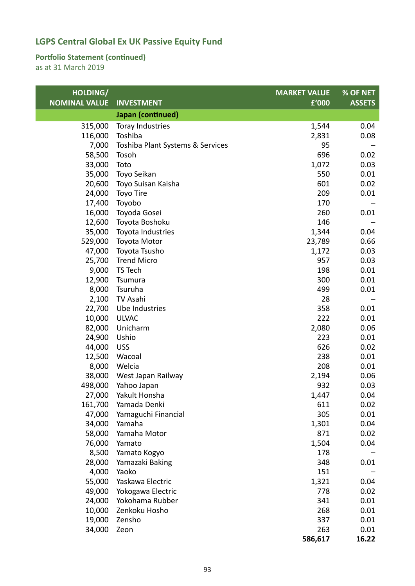### **Portfolio Statement (continued)**

| HOLDING/             |                                  | <b>MARKET VALUE</b> | % OF NET      |
|----------------------|----------------------------------|---------------------|---------------|
| <b>NOMINAL VALUE</b> | <b>INVESTMENT</b>                | £'000               | <b>ASSETS</b> |
|                      | Japan (continued)                |                     |               |
| 315,000              | Toray Industries                 | 1,544               | 0.04          |
| 116,000              | Toshiba                          | 2,831               | 0.08          |
| 7,000                | Toshiba Plant Systems & Services | 95                  |               |
| 58,500               | Tosoh                            | 696                 | 0.02          |
| 33,000               | Toto                             | 1,072               | 0.03          |
| 35,000               | Toyo Seikan                      | 550                 | 0.01          |
| 20,600               | Toyo Suisan Kaisha               | 601                 | 0.02          |
| 24,000               | Toyo Tire                        | 209                 | 0.01          |
| 17,400               | Toyobo                           | 170                 |               |
| 16,000               | Toyoda Gosei                     | 260                 | 0.01          |
| 12,600               | Toyota Boshoku                   | 146                 |               |
| 35,000               | Toyota Industries                | 1,344               | 0.04          |
| 529,000              | Toyota Motor                     | 23,789              | 0.66          |
| 47,000               | Toyota Tsusho                    | 1,172               | 0.03          |
| 25,700               | <b>Trend Micro</b>               | 957                 | 0.03          |
| 9,000                | TS Tech                          | 198                 | 0.01          |
| 12,900               | Tsumura                          | 300                 | 0.01          |
| 8,000                | Tsuruha                          | 499                 | 0.01          |
| 2,100                | TV Asahi                         | 28                  |               |
| 22,700               | Ube Industries                   | 358                 | 0.01          |
| 10,000               | <b>ULVAC</b>                     | 222                 | 0.01          |
| 82,000               | Unicharm                         | 2,080               | 0.06          |
| 24,900               | Ushio                            | 223                 | 0.01          |
| 44,000               | <b>USS</b>                       | 626                 | 0.02          |
| 12,500               | Wacoal                           | 238                 | 0.01          |
| 8,000                | Welcia                           | 208                 | 0.01          |
| 38,000               | West Japan Railway               | 2,194               | 0.06          |
| 498,000              | Yahoo Japan                      | 932                 | 0.03          |
| 27,000               | Yakult Honsha                    | 1,447               | 0.04          |
| 161,700              | Yamada Denki                     | 611                 | 0.02          |
| 47,000               | Yamaguchi Financial              | 305                 | 0.01          |
| 34,000               | Yamaha                           | 1,301               | 0.04          |
| 58,000               | Yamaha Motor                     | 871                 | 0.02          |
| 76,000               | Yamato                           | 1,504               | 0.04          |
| 8,500                | Yamato Kogyo                     | 178                 |               |
| 28,000               | Yamazaki Baking                  | 348                 | 0.01          |
| 4,000                | Yaoko                            | 151                 |               |
| 55,000               | Yaskawa Electric                 | 1,321               | 0.04          |
| 49,000               | Yokogawa Electric                | 778                 | 0.02          |
| 24,000               | Yokohama Rubber                  | 341                 | 0.01          |
| 10,000               | Zenkoku Hosho                    | 268                 | 0.01          |
| 19,000               | Zensho                           | 337                 | 0.01          |
| 34,000               | Zeon                             | 263                 | 0.01          |
|                      |                                  | 586,617             | 16.22         |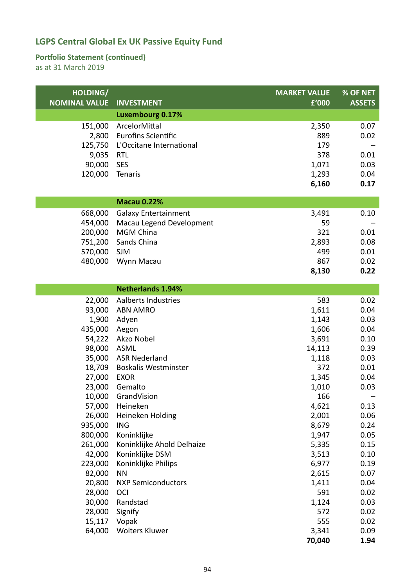### **Portfolio Statement (continued)**

| HOLDING/<br><b>NOMINAL VALUE</b> | <b>INVESTMENT</b>           | <b>MARKET VALUE</b><br>£'000 | % OF NET<br><b>ASSETS</b> |
|----------------------------------|-----------------------------|------------------------------|---------------------------|
|                                  | <b>Luxembourg 0.17%</b>     |                              |                           |
| 151,000                          | ArcelorMittal               | 2,350                        | 0.07                      |
| 2,800                            | <b>Eurofins Scientific</b>  | 889                          | 0.02                      |
| 125,750                          | L'Occitane International    | 179                          |                           |
| 9,035                            | <b>RTL</b>                  | 378                          | 0.01                      |
| 90,000                           | <b>SES</b>                  | 1,071                        | 0.03                      |
| 120,000                          | Tenaris                     | 1,293                        | 0.04                      |
|                                  |                             | 6,160                        | 0.17                      |
|                                  |                             |                              |                           |
|                                  | <b>Macau 0.22%</b>          |                              |                           |
| 668,000                          | <b>Galaxy Entertainment</b> | 3,491                        | 0.10                      |
| 454,000                          | Macau Legend Development    | 59                           |                           |
| 200,000                          | <b>MGM China</b>            | 321                          | 0.01                      |
| 751,200                          | Sands China                 | 2,893                        | 0.08                      |
| 570,000                          | <b>SJM</b>                  | 499                          | 0.01                      |
| 480,000                          | Wynn Macau                  | 867                          | 0.02                      |
|                                  |                             | 8,130                        | 0.22                      |
|                                  | <b>Netherlands 1.94%</b>    |                              |                           |
| 22,000                           | Aalberts Industries         | 583                          | 0.02                      |
| 93,000                           | <b>ABN AMRO</b>             | 1,611                        | 0.04                      |
| 1,900                            | Adyen                       | 1,143                        | 0.03                      |
| 435,000                          | Aegon                       | 1,606                        | 0.04                      |
| 54,222                           | Akzo Nobel                  | 3,691                        | 0.10                      |
| 98,000                           | <b>ASML</b>                 | 14,113                       | 0.39                      |
| 35,000                           | <b>ASR Nederland</b>        | 1,118                        | 0.03                      |
| 18,709                           | <b>Boskalis Westminster</b> | 372                          | 0.01                      |
| 27,000                           | <b>EXOR</b>                 | 1,345                        | 0.04                      |
| 23,000                           | Gemalto                     | 1,010                        | 0.03                      |
| 10,000                           | GrandVision                 | 166                          |                           |
|                                  | 57,000 Heineken             | 4,621                        | 0.13                      |
| 26,000                           | Heineken Holding            | 2,001                        | 0.06                      |
| 935,000                          | <b>ING</b>                  | 8,679                        | 0.24                      |
| 800,000                          | Koninklijke                 | 1,947                        | 0.05                      |
| 261,000                          | Koninklijke Ahold Delhaize  | 5,335                        | 0.15                      |
| 42,000                           | Koninklijke DSM             | 3,513                        | 0.10                      |
| 223,000                          | Koninklijke Philips         | 6,977                        | 0.19                      |
| 82,000                           | <b>NN</b>                   | 2,615                        | 0.07                      |
| 20,800                           | <b>NXP Semiconductors</b>   | 1,411                        | 0.04                      |
| 28,000                           | <b>OCI</b>                  | 591                          | 0.02                      |
| 30,000                           | Randstad                    | 1,124                        | 0.03                      |
| 28,000                           | Signify                     | 572                          | 0.02                      |
| 15,117                           | Vopak                       | 555                          | 0.02                      |
| 64,000                           | <b>Wolters Kluwer</b>       | 3,341                        | 0.09                      |
|                                  |                             | 70,040                       | 1.94                      |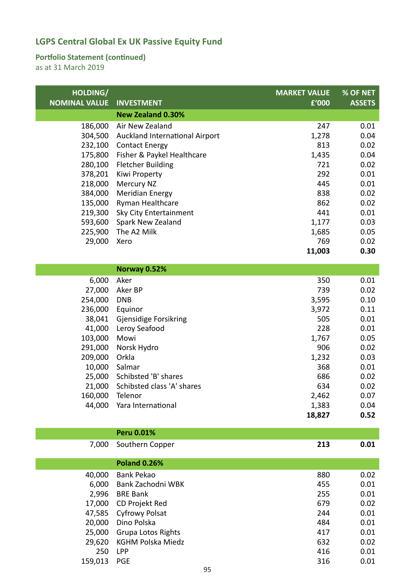#### **Portfolio Statement (continued)**

as at 31 March 2019

 $\overline{a}$ 

| HOLDING/<br><b>NOMINAL VALUE</b> | <b>INVESTMENT</b>              | <b>MARKET VALUE</b><br>£'000 | <b>% OF NET</b><br><b>ASSETS</b> |
|----------------------------------|--------------------------------|------------------------------|----------------------------------|
|                                  | <b>New Zealand 0.30%</b>       |                              |                                  |
| 186,000                          | Air New Zealand                | 247                          | 0.01                             |
| 304,500                          | Auckland International Airport | 1,278                        | 0.04                             |
| 232,100                          | <b>Contact Energy</b>          | 813                          | 0.02                             |
| 175,800                          | Fisher & Paykel Healthcare     | 1,435                        | 0.04                             |
| 280,100                          | <b>Fletcher Building</b>       | 721                          | 0.02                             |
| 378,201                          | Kiwi Property                  | 292                          | 0.01                             |
| 218,000                          | <b>Mercury NZ</b>              | 445                          | 0.01                             |
| 384,000                          | <b>Meridian Energy</b>         | 838                          | 0.02                             |
| 135,000                          | Ryman Healthcare               | 862                          | 0.02                             |
| 219,300                          | Sky City Entertainment         | 441                          | 0.01                             |
| 593,600                          | Spark New Zealand              | 1,177                        | 0.03                             |
| 225,900                          | The A2 Milk                    | 1,685                        | 0.05                             |
| 29,000                           | Xero                           | 769                          | 0.02                             |
|                                  |                                | 11,003                       | 0.30                             |
|                                  |                                |                              |                                  |

|         | <b>Norway 0.52%</b>        |        |      |
|---------|----------------------------|--------|------|
| 6,000   | Aker                       | 350    | 0.01 |
| 27,000  | Aker BP                    | 739    | 0.02 |
| 254,000 | <b>DNB</b>                 | 3,595  | 0.10 |
| 236,000 | Equinor                    | 3,972  | 0.11 |
| 38,041  | Gjensidige Forsikring      | 505    | 0.01 |
| 41,000  | Leroy Seafood              | 228    | 0.01 |
| 103,000 | Mowi                       | 1,767  | 0.05 |
| 291,000 | Norsk Hydro                | 906    | 0.02 |
| 209,000 | Orkla                      | 1,232  | 0.03 |
| 10,000  | Salmar                     | 368    | 0.01 |
| 25,000  | Schibsted 'B' shares       | 686    | 0.02 |
| 21,000  | Schibsted class 'A' shares | 634    | 0.02 |
| 160,000 | Telenor                    | 2,462  | 0.07 |
| 44,000  | Yara International         | 1,383  | 0.04 |
|         |                            | 18,827 | 0.52 |

|         | <b>Peru 0.01%</b>         |     |      |
|---------|---------------------------|-----|------|
| 7,000   | Southern Copper           | 213 | 0.01 |
|         | <b>Poland 0.26%</b>       |     |      |
| 40,000  | Bank Pekao                | 880 | 0.02 |
| 6,000   | Bank Zachodni WBK         | 455 | 0.01 |
| 2,996   | <b>BRE Bank</b>           | 255 | 0.01 |
| 17,000  | CD Projekt Red            | 679 | 0.02 |
| 47,585  | <b>Cyfrowy Polsat</b>     | 244 | 0.01 |
| 20,000  | Dino Polska               | 484 | 0.01 |
| 25,000  | <b>Grupa Lotos Rights</b> | 417 | 0.01 |
| 29,620  | <b>KGHM Polska Miedz</b>  | 632 | 0.02 |
| 250     | <b>LPP</b>                | 416 | 0.01 |
| 159,013 | <b>PGE</b>                | 316 | 0.01 |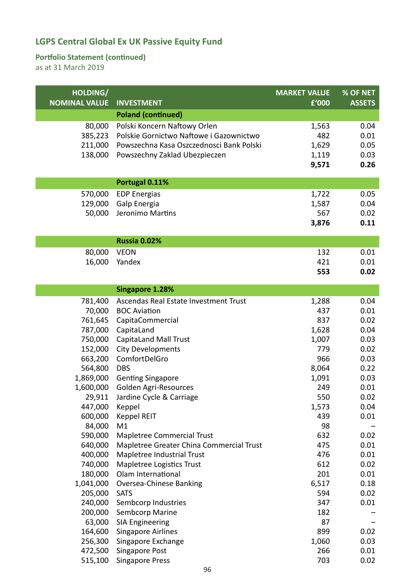### **Portfolio Statement (continued)**

| HOLDING/             |                                          | <b>MARKET VALUE</b> | % OF NET      |
|----------------------|------------------------------------------|---------------------|---------------|
| <b>NOMINAL VALUE</b> | <b>INVESTMENT</b>                        | £'000               | <b>ASSETS</b> |
|                      | <b>Poland (continued)</b>                |                     |               |
| 80,000               | Polski Koncern Naftowy Orlen             | 1,563               | 0.04          |
| 385,223              | Polskie Gornictwo Naftowe i Gazownictwo  | 482                 | 0.01          |
| 211,000              | Powszechna Kasa Oszczednosci Bank Polski | 1,629               | 0.05          |
| 138,000              | Powszechny Zaklad Ubezpieczen            | 1,119               | 0.03          |
|                      |                                          | 9,571               | 0.26          |
|                      |                                          |                     |               |
|                      | Portugal 0.11%                           |                     |               |
| 570,000              | <b>EDP Energias</b>                      | 1,722               | 0.05          |
| 129,000              | Galp Energia                             | 1,587               | 0.04          |
| 50,000               | Jeronimo Martins                         | 567                 | 0.02          |
|                      |                                          | 3,876               | 0.11          |
|                      | <b>Russia 0.02%</b>                      |                     |               |
| 80,000               | <b>VEON</b>                              | 132                 | 0.01          |
| 16,000               | Yandex                                   | 421                 | 0.01          |
|                      |                                          | 553                 | 0.02          |
|                      | <b>Singapore 1.28%</b>                   |                     |               |
| 781,400              | Ascendas Real Estate Investment Trust    |                     | 0.04          |
|                      | <b>BOC Aviation</b>                      | 1,288<br>437        | 0.01          |
| 70,000<br>761,645    |                                          | 837                 | 0.02          |
| 787,000              | CapitaCommercial<br>CapitaLand           | 1,628               | 0.04          |
| 750,000              | <b>CapitaLand Mall Trust</b>             | 1,007               | 0.03          |
| 152,000              | <b>City Developments</b>                 | 779                 | 0.02          |
| 663,200              | ComfortDelGro                            | 966                 | 0.03          |
| 564,800              | <b>DBS</b>                               | 8,064               | 0.22          |
| 1,869,000            | <b>Genting Singapore</b>                 | 1,091               | 0.03          |
| 1,600,000            | Golden Agri-Resources                    | 249                 | 0.01          |
| 29,911               | Jardine Cycle & Carriage                 | 550                 | 0.02          |
| 447,000              | Keppel                                   | 1,573               | 0.04          |
| 600,000              | Keppel REIT                              | 439                 | 0.01          |
| 84,000               | M1                                       | 98                  |               |
| 590,000              | Mapletree Commercial Trust               | 632                 | 0.02          |
| 640,000              | Mapletree Greater China Commercial Trust | 475                 | 0.01          |
| 400,000              | Mapletree Industrial Trust               | 476                 | 0.01          |
| 740,000              | Mapletree Logistics Trust                | 612                 | 0.02          |
| 180,000              | Olam International                       | 201                 | 0.01          |
| 1,041,000            | Oversea-Chinese Banking                  | 6,517               | 0.18          |
| 205,000              | <b>SATS</b>                              | 594                 | 0.02          |
| 240,000              | Sembcorp Industries                      | 347                 | 0.01          |
| 200,000              | Sembcorp Marine                          | 182                 |               |
| 63,000               | <b>SIA Engineering</b>                   | 87                  |               |
| 164,600              | Singapore Airlines                       | 899                 | 0.02          |
| 256,300              | Singapore Exchange                       | 1,060               | 0.03          |
| 472,500              | Singapore Post                           | 266                 | 0.01          |
| 515,100              | <b>Singapore Press</b>                   | 703                 | 0.02          |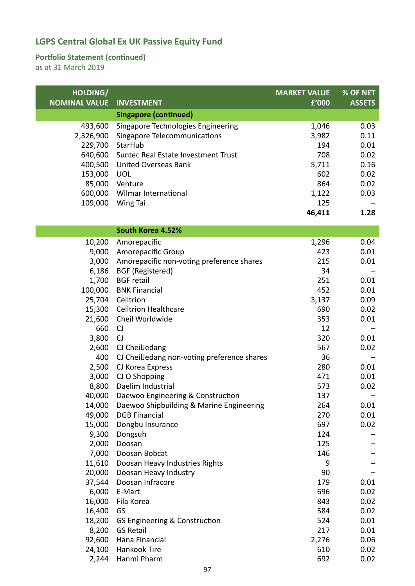### **Portfolio Statement (continued)**

| HOLDING/             |                                              | <b>MARKET VALUE</b> | % OF NET      |
|----------------------|----------------------------------------------|---------------------|---------------|
| <b>NOMINAL VALUE</b> | <b>INVESTMENT</b>                            | £'000               | <b>ASSETS</b> |
|                      | <b>Singapore (continued)</b>                 |                     |               |
| 493,600              | Singapore Technologies Engineering           | 1,046               | 0.03          |
| 2,326,900            | Singapore Telecommunications                 | 3,982               | 0.11          |
| 229,700              | StarHub                                      | 194                 | 0.01          |
| 640,600              | Suntec Real Estate Investment Trust          | 708                 | 0.02          |
| 400,500              | <b>United Overseas Bank</b>                  | 5,711               | 0.16          |
| 153,000              | <b>UOL</b>                                   | 602                 | 0.02          |
| 85,000               | Venture                                      | 864                 | 0.02          |
|                      | 600,000 Wilmar International                 | 1,122               | 0.03          |
| 109,000              | Wing Tai                                     | 125                 |               |
|                      |                                              | 46,411              | 1.28          |
|                      | South Korea 4.52%                            |                     |               |
|                      |                                              |                     |               |
| 10,200               | Amorepacific                                 | 1,296               | 0.04          |
| 9,000                | Amorepacific Group                           | 423<br>215          | 0.01          |
| 3,000                | Amorepacific non-voting preference shares    | 34                  | 0.01          |
| 6,186<br>1,700       | <b>BGF</b> (Registered)<br><b>BGF</b> retail | 251                 | 0.01          |
| 100,000              | <b>BNK Financial</b>                         | 452                 | 0.01          |
| 25,704               | Celltrion                                    | 3,137               | 0.09          |
|                      | 15,300 Celltrion Healthcare                  | 690                 | 0.02          |
| 21,600               | Cheil Worldwide                              | 353                 | 0.01          |
| 660                  | CJ                                           | 12                  |               |
| 3,800                | CJ                                           | 320                 | 0.01          |
| 2,600                | CJ CheilJedang                               | 567                 | 0.02          |
| 400                  | CJ CheilJedang non-voting preference shares  | 36                  |               |
| 2,500                | CJ Korea Express                             | 280                 | 0.01          |
| 3,000                | CJ O Shopping                                | 471                 | 0.01          |
| 8,800                | Daelim Industrial                            | 573                 | 0.02          |
| 40,000               | Daewoo Engineering & Construction            | 137                 |               |
| 14,000               | Daewoo Shipbuilding & Marine Engineering     | 264                 | 0.01          |
| 49,000               | <b>DGB Financial</b>                         | 270                 | 0.01          |
| 15,000               | Dongbu Insurance                             | 697                 | 0.02          |
| 9,300                | Dongsuh                                      | 124                 |               |
| 2,000                | Doosan                                       | 125                 |               |
| 7,000                | Doosan Bobcat                                | 146                 |               |
| 11,610               | Doosan Heavy Industries Rights               | 9                   |               |
| 20,000               | Doosan Heavy Industry                        | 90                  |               |
| 37,544               | Doosan Infracore                             | 179                 | 0.01          |
| 6,000                | E-Mart                                       | 696                 | 0.02          |
| 16,000               | Fila Korea                                   | 843                 | 0.02          |
| 16,400               | GS                                           | 584                 | 0.02          |
| 18,200               | GS Engineering & Construction                | 524                 | 0.01          |
| 8,200                | <b>GS Retail</b>                             | 217                 | 0.01          |
| 92,600               | Hana Financial                               | 2,276               | 0.06          |
| 24,100               | Hankook Tire                                 | 610                 | 0.02          |
|                      | 2,244 Hanmi Pharm                            | 692                 | 0.02          |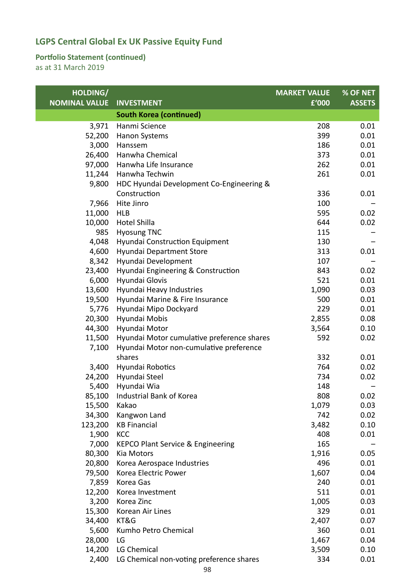### **Portfolio Statement (continued)**

| HOLDING/             |                                                | <b>MARKET VALUE</b> | % OF NET      |
|----------------------|------------------------------------------------|---------------------|---------------|
| <b>NOMINAL VALUE</b> | <b>INVESTMENT</b>                              | £'000               | <b>ASSETS</b> |
|                      | <b>South Korea (continued)</b>                 |                     |               |
| 3,971                | Hanmi Science                                  | 208                 | 0.01          |
| 52,200               | Hanon Systems                                  | 399                 | 0.01          |
| 3,000                | Hanssem                                        | 186                 | 0.01          |
| 26,400               | Hanwha Chemical                                | 373                 | 0.01          |
| 97,000               | Hanwha Life Insurance                          | 262                 | 0.01          |
| 11,244               | Hanwha Techwin                                 | 261                 | 0.01          |
| 9,800                | HDC Hyundai Development Co-Engineering &       |                     |               |
|                      | Construction                                   | 336                 | 0.01          |
| 7,966                | Hite Jinro                                     | 100                 |               |
| 11,000               | <b>HLB</b>                                     | 595                 | 0.02          |
| 10,000               | <b>Hotel Shilla</b>                            | 644                 | 0.02          |
| 985                  | <b>Hyosung TNC</b>                             | 115                 |               |
| 4,048                | Hyundai Construction Equipment                 | 130                 |               |
| 4,600                | Hyundai Department Store                       | 313                 | 0.01          |
| 8,342                | Hyundai Development                            | 107                 |               |
| 23,400               | Hyundai Engineering & Construction             | 843                 | 0.02          |
| 6,000                | Hyundai Glovis                                 | 521                 | 0.01          |
| 13,600               | Hyundai Heavy Industries                       | 1,090               | 0.03          |
| 19,500               | Hyundai Marine & Fire Insurance                | 500                 | 0.01          |
| 5,776                | Hyundai Mipo Dockyard                          | 229                 | 0.01          |
| 20,300               | Hyundai Mobis                                  | 2,855               | 0.08          |
| 44,300               | Hyundai Motor                                  | 3,564               | 0.10          |
| 11,500               | Hyundai Motor cumulative preference shares     | 592                 | 0.02          |
| 7,100                | Hyundai Motor non-cumulative preference        |                     |               |
|                      | shares                                         | 332                 | 0.01          |
| 3,400                | Hyundai Robotics                               | 764                 | 0.02          |
| 24,200               | Hyundai Steel                                  | 734                 | 0.02          |
| 5,400                | Hyundai Wia                                    | 148                 |               |
|                      | 85,100 Industrial Bank of Korea                | 808                 | 0.02          |
| 15,500               | Kakao                                          | 1,079               | 0.03          |
| 34,300               | Kangwon Land                                   | 742                 | 0.02          |
| 123,200              | <b>KB Financial</b>                            | 3,482               | 0.10          |
| 1,900                | <b>KCC</b>                                     | 408                 | 0.01          |
| 7,000                | <b>KEPCO Plant Service &amp; Engineering</b>   | 165                 |               |
| 80,300               | Kia Motors                                     | 1,916               | 0.05          |
| 20,800               | Korea Aerospace Industries                     | 496                 | 0.01          |
| 79,500               | Korea Electric Power                           | 1,607               | 0.04          |
| 7,859                | Korea Gas                                      | 240                 | 0.01          |
| 12,200               | Korea Investment                               | 511                 | 0.01          |
| 3,200                | Korea Zinc                                     | 1,005               | 0.03          |
| 15,300               | Korean Air Lines                               | 329                 | 0.01          |
| 34,400               | KT&G                                           | 2,407               | 0.07          |
| 5,600                | Kumho Petro Chemical                           | 360                 | 0.01          |
| 28,000               | LG                                             | 1,467               | 0.04          |
| 14,200               | LG Chemical                                    | 3,509               | 0.10          |
|                      | 2,400 LG Chemical non-voting preference shares | 334                 | 0.01          |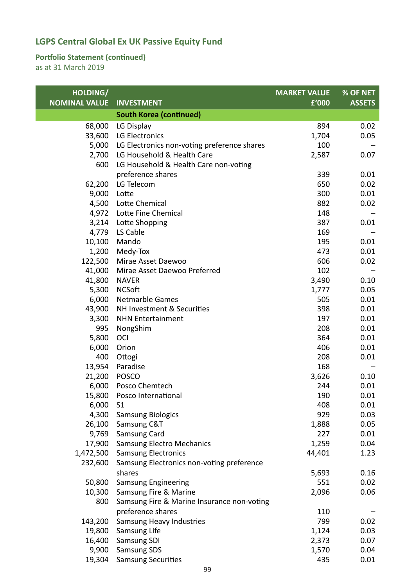### **Portfolio Statement (continued)**

| HOLDING/             |                                             | <b>MARKET VALUE</b> | % OF NET      |
|----------------------|---------------------------------------------|---------------------|---------------|
| <b>NOMINAL VALUE</b> | <b>INVESTMENT</b>                           | £'000               | <b>ASSETS</b> |
|                      | <b>South Korea (continued)</b>              |                     |               |
| 68,000               | LG Display                                  | 894                 | 0.02          |
| 33,600               | LG Electronics                              | 1,704               | 0.05          |
| 5,000                | LG Electronics non-voting preference shares | 100                 |               |
| 2,700                | LG Household & Health Care                  | 2,587               | 0.07          |
| 600                  | LG Household & Health Care non-voting       |                     |               |
|                      | preference shares                           | 339                 | 0.01          |
| 62,200               | LG Telecom                                  | 650                 | 0.02          |
| 9,000                | Lotte                                       | 300                 | 0.01          |
| 4,500                | Lotte Chemical                              | 882                 | 0.02          |
| 4,972                | Lotte Fine Chemical                         | 148                 |               |
| 3,214                | Lotte Shopping                              | 387                 | 0.01          |
| 4,779                | LS Cable                                    | 169                 |               |
| 10,100               | Mando                                       | 195                 | 0.01          |
| 1,200                | Medy-Tox                                    | 473                 | 0.01          |
| 122,500              | Mirae Asset Daewoo                          | 606                 | 0.02          |
| 41,000               | Mirae Asset Daewoo Preferred                | 102                 |               |
| 41,800               | <b>NAVER</b>                                | 3,490               | $0.10\,$      |
| 5,300                | <b>NCSoft</b>                               | 1,777               | 0.05          |
| 6,000                | <b>Netmarble Games</b>                      | 505                 | 0.01          |
| 43,900               | NH Investment & Securities                  | 398                 | 0.01          |
| 3,300                | <b>NHN Entertainment</b>                    | 197                 | 0.01          |
| 995                  | NongShim                                    | 208                 | 0.01          |
| 5,800                | OCI                                         | 364                 | 0.01          |
| 6,000                | Orion                                       | 406                 | 0.01          |
| 400                  | Ottogi                                      | 208                 | 0.01          |
| 13,954               | Paradise                                    | 168                 |               |
| 21,200               | <b>POSCO</b>                                | 3,626               | 0.10          |
| 6,000                | Posco Chemtech                              | 244                 | 0.01          |
| 15,800               | Posco International                         | 190                 | 0.01          |
| 6,000                | S <sub>1</sub>                              | 408                 | 0.01          |
| 4,300                | <b>Samsung Biologics</b>                    | 929                 | 0.03          |
| 26,100               | Samsung C&T                                 | 1,888               | 0.05          |
| 9,769                | Samsung Card                                | 227                 | 0.01          |
| 17,900               | <b>Samsung Electro Mechanics</b>            | 1,259               | 0.04          |
| 1,472,500            | <b>Samsung Electronics</b>                  | 44,401              | 1.23          |
| 232,600              | Samsung Electronics non-voting preference   |                     |               |
|                      | shares                                      | 5,693               | 0.16          |
| 50,800               | <b>Samsung Engineering</b>                  | 551                 | 0.02          |
| 10,300               | Samsung Fire & Marine                       | 2,096               | 0.06          |
| 800                  | Samsung Fire & Marine Insurance non-voting  |                     |               |
|                      | preference shares                           | 110                 |               |
| 143,200              | <b>Samsung Heavy Industries</b>             | 799                 | 0.02          |
| 19,800               | Samsung Life                                | 1,124               | 0.03          |
| 16,400               | Samsung SDI                                 | 2,373               | 0.07          |
| 9,900                | Samsung SDS                                 | 1,570               | 0.04          |
| 19,304               | <b>Samsung Securities</b>                   | 435                 | 0.01          |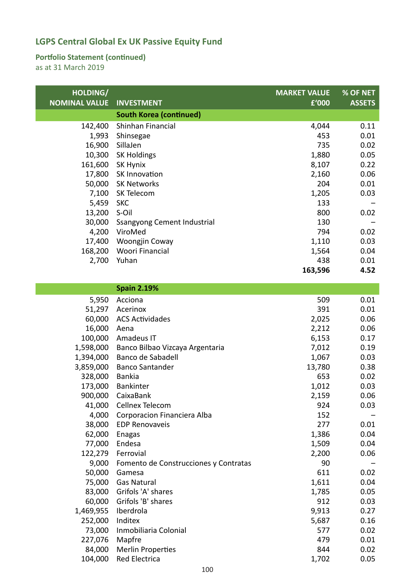### **Portfolio Statement (continued)**

| HOLDING/<br><b>NOMINAL VALUE</b> | <b>INVESTMENT</b>              | <b>MARKET VALUE</b><br>£'000 | % OF NET<br><b>ASSETS</b> |
|----------------------------------|--------------------------------|------------------------------|---------------------------|
|                                  | <b>South Korea (continued)</b> |                              |                           |
| 142,400                          | Shinhan Financial              | 4,044                        | 0.11                      |
| 1,993                            | Shinsegae                      | 453                          | 0.01                      |
| 16,900                           | SillaJen                       | 735                          | 0.02                      |
| 10,300                           | <b>SK Holdings</b>             | 1,880                        | 0.05                      |
| 161,600                          | SK Hynix                       | 8,107                        | 0.22                      |
| 17,800                           | SK Innovation                  | 2,160                        | 0.06                      |
| 50,000                           | SK Networks                    | 204                          | 0.01                      |
| 7,100                            | SK Telecom                     | 1,205                        | 0.03                      |
| 5,459                            | <b>SKC</b>                     | 133                          |                           |
| 13,200                           | S-Oil                          | 800                          | 0.02                      |
| 30,000                           | Ssangyong Cement Industrial    | 130                          |                           |
| 4,200                            | ViroMed                        | 794                          | 0.02                      |
| 17,400                           | <b>Woongjin Coway</b>          | 1,110                        | 0.03                      |
| 168,200                          | Woori Financial                | 1,564                        | 0.04                      |
| 2,700                            | Yuhan                          | 438                          | 0.01                      |
|                                  |                                | 163,596                      | 4.52                      |

| <b>Spain 2.19%</b>                    |                                                                                                                                                                                                                          |                                                                                                      |
|---------------------------------------|--------------------------------------------------------------------------------------------------------------------------------------------------------------------------------------------------------------------------|------------------------------------------------------------------------------------------------------|
| Acciona                               | 509                                                                                                                                                                                                                      | 0.01                                                                                                 |
| Acerinox                              | 391                                                                                                                                                                                                                      | 0.01                                                                                                 |
| <b>ACS Actividades</b>                | 2,025                                                                                                                                                                                                                    | 0.06                                                                                                 |
| Aena                                  | 2,212                                                                                                                                                                                                                    | 0.06                                                                                                 |
| Amadeus IT                            | 6,153                                                                                                                                                                                                                    | 0.17                                                                                                 |
| Banco Bilbao Vizcaya Argentaria       | 7,012                                                                                                                                                                                                                    | 0.19                                                                                                 |
| Banco de Sabadell                     | 1,067                                                                                                                                                                                                                    | 0.03                                                                                                 |
| <b>Banco Santander</b>                | 13,780                                                                                                                                                                                                                   | 0.38                                                                                                 |
| <b>Bankia</b>                         | 653                                                                                                                                                                                                                      | 0.02                                                                                                 |
| <b>Bankinter</b>                      | 1,012                                                                                                                                                                                                                    | 0.03                                                                                                 |
| CaixaBank                             | 2,159                                                                                                                                                                                                                    | 0.06                                                                                                 |
| Cellnex Telecom                       | 924                                                                                                                                                                                                                      | 0.03                                                                                                 |
| Corporacion Financiera Alba           | 152                                                                                                                                                                                                                      |                                                                                                      |
| <b>EDP Renovaveis</b>                 | 277                                                                                                                                                                                                                      | 0.01                                                                                                 |
|                                       |                                                                                                                                                                                                                          | 0.04                                                                                                 |
|                                       |                                                                                                                                                                                                                          | 0.04                                                                                                 |
|                                       |                                                                                                                                                                                                                          | 0.06                                                                                                 |
| Fomento de Construcciones y Contratas |                                                                                                                                                                                                                          |                                                                                                      |
|                                       |                                                                                                                                                                                                                          | 0.02                                                                                                 |
|                                       |                                                                                                                                                                                                                          | 0.04                                                                                                 |
|                                       |                                                                                                                                                                                                                          | 0.05                                                                                                 |
|                                       |                                                                                                                                                                                                                          | 0.03                                                                                                 |
|                                       |                                                                                                                                                                                                                          | 0.27                                                                                                 |
|                                       |                                                                                                                                                                                                                          | 0.16                                                                                                 |
|                                       |                                                                                                                                                                                                                          | 0.02                                                                                                 |
|                                       |                                                                                                                                                                                                                          | 0.01                                                                                                 |
|                                       |                                                                                                                                                                                                                          | 0.02                                                                                                 |
|                                       | 1,702                                                                                                                                                                                                                    | 0.05                                                                                                 |
|                                       | Enagas<br>Endesa<br>Ferrovial<br>Gamesa<br><b>Gas Natural</b><br>Grifols 'A' shares<br>Grifols 'B' shares<br>Iberdrola<br>Inditex<br>Inmobiliaria Colonial<br>Mapfre<br><b>Merlin Properties</b><br><b>Red Electrica</b> | 1,386<br>1,509<br>2,200<br>90<br>611<br>1,611<br>1,785<br>912<br>9,913<br>5,687<br>577<br>479<br>844 |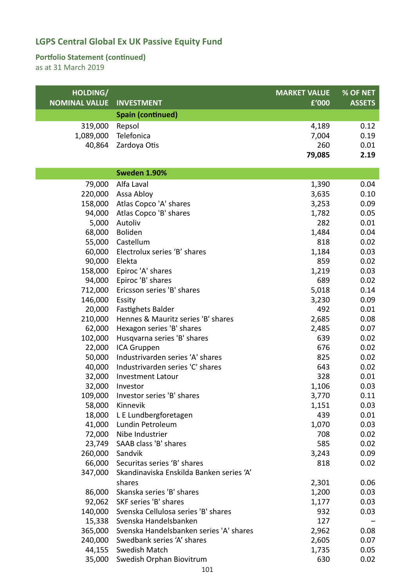### **Portfolio Statement (continued)**

| HOLDING/             |                                          | <b>MARKET VALUE</b> | % OF NET      |
|----------------------|------------------------------------------|---------------------|---------------|
| <b>NOMINAL VALUE</b> | <b>INVESTMENT</b>                        | £'000               | <b>ASSETS</b> |
|                      | <b>Spain (continued)</b>                 |                     |               |
| 319,000              | Repsol                                   | 4,189               | 0.12          |
| 1,089,000            | Telefonica                               | 7,004               | 0.19          |
| 40,864               | Zardoya Otis                             | 260                 | 0.01          |
|                      |                                          | 79,085              | 2.19          |
|                      | <b>Sweden 1.90%</b>                      |                     |               |
| 79,000               | Alfa Laval                               | 1,390               | 0.04          |
| 220,000              | Assa Abloy                               | 3,635               | 0.10          |
| 158,000              | Atlas Copco 'A' shares                   | 3,253               | 0.09          |
| 94,000               | Atlas Copco 'B' shares                   | 1,782               | 0.05          |
| 5,000                | Autoliv                                  | 282                 | 0.01          |
| 68,000               | Boliden                                  | 1,484               | 0.04          |
| 55,000               | Castellum                                | 818                 | 0.02          |
| 60,000               | Electrolux series 'B' shares             | 1,184               | 0.03          |
| 90,000               | Elekta                                   | 859                 | 0.02          |
| 158,000              | Epiroc 'A' shares                        | 1,219               | 0.03          |
| 94,000               | Epiroc 'B' shares                        | 689                 | 0.02          |
| 712,000              | Ericsson series 'B' shares               | 5,018               | 0.14          |
| 146,000              | Essity                                   | 3,230               | 0.09          |
| 20,000               | <b>Fastighets Balder</b>                 | 492                 | 0.01          |
| 210,000              | Hennes & Mauritz series 'B' shares       | 2,685               | 0.08          |
| 62,000               | Hexagon series 'B' shares                | 2,485               | 0.07          |
| 102,000              | Husqvarna series 'B' shares              | 639                 | 0.02          |
| 22,000               | ICA Gruppen                              | 676                 | 0.02          |
| 50,000               | Industrivarden series 'A' shares         | 825                 | 0.02          |
| 40,000               | Industrivarden series 'C' shares         | 643                 | 0.02          |
| 32,000               | <b>Investment Latour</b>                 | 328                 | 0.01          |
| 32,000               | Investor                                 | 1,106               | 0.03          |
| 109,000              | Investor series 'B' shares               | 3,770               | 0.11          |
| 58,000<br>18,000     | Kinnevik<br>L E Lundbergforetagen        | 1,151<br>439        | 0.03<br>0.01  |
| 41,000               | Lundin Petroleum                         | 1,070               | 0.03          |
| 72,000               | Nibe Industrier                          | 708                 | 0.02          |
| 23,749               | SAAB class 'B' shares                    | 585                 | 0.02          |
| 260,000              | Sandvik                                  | 3,243               | 0.09          |
| 66,000               | Securitas series 'B' shares              | 818                 | 0.02          |
| 347,000              | Skandinaviska Enskilda Banken series 'A' |                     |               |
|                      | shares                                   | 2,301               | 0.06          |
| 86,000               | Skanska series 'B' shares                | 1,200               | 0.03          |
| 92,062               | SKF series 'B' shares                    | 1,177               | 0.03          |
| 140,000              | Svenska Cellulosa series 'B' shares      | 932                 | 0.03          |
| 15,338               | Svenska Handelsbanken                    | 127                 |               |
| 365,000              | Svenska Handelsbanken series 'A' shares  | 2,962               | 0.08          |
| 240,000              | Swedbank series 'A' shares               | 2,605               | 0.07          |
| 44,155               | Swedish Match                            | 1,735               | 0.05          |
| 35,000               | Swedish Orphan Biovitrum                 | 630                 | 0.02          |
|                      |                                          |                     |               |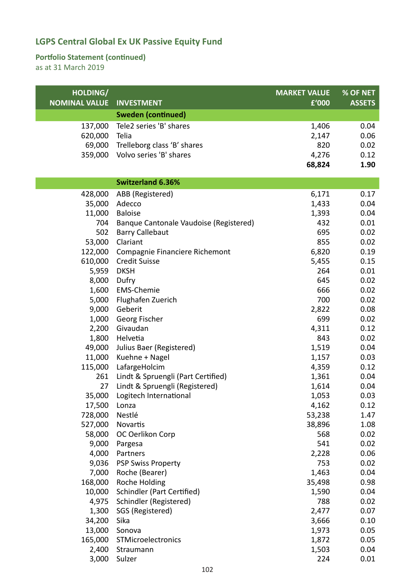### **Portfolio Statement (continued)**

| HOLDING/<br><b>NOMINAL VALUE</b> | <b>INVESTMENT</b>                      | <b>MARKET VALUE</b><br>£'000 | % OF NET<br><b>ASSETS</b> |
|----------------------------------|----------------------------------------|------------------------------|---------------------------|
|                                  | <b>Sweden (continued)</b>              |                              |                           |
| 137,000                          | Tele2 series 'B' shares                | 1,406                        | 0.04                      |
| 620,000                          | Telia                                  | 2,147                        | 0.06                      |
| 69,000                           | Trelleborg class 'B' shares            | 820                          | 0.02                      |
| 359,000                          | Volvo series 'B' shares                | 4,276                        | 0.12                      |
|                                  |                                        | 68,824                       | 1.90                      |
|                                  | <b>Switzerland 6.36%</b>               |                              |                           |
| 428,000                          | ABB (Registered)                       | 6,171                        | 0.17                      |
| 35,000                           | Adecco                                 | 1,433                        | 0.04                      |
| 11,000                           | <b>Baloise</b>                         | 1,393                        | 0.04                      |
| 704                              | Banque Cantonale Vaudoise (Registered) | 432                          | 0.01                      |
| 502                              | <b>Barry Callebaut</b>                 | 695                          | 0.02                      |
| 53,000                           | Clariant                               | 855                          | 0.02                      |
| 122,000                          | Compagnie Financiere Richemont         | 6,820                        | 0.19                      |
| 610,000                          | <b>Credit Suisse</b>                   | 5,455                        | 0.15                      |
| 5,959                            | <b>DKSH</b>                            | 264                          | 0.01                      |
| 8,000                            | Dufry                                  | 645                          | 0.02                      |
| 1,600                            | <b>EMS-Chemie</b>                      | 666                          | 0.02                      |
| 5,000                            | Flughafen Zuerich                      | 700                          | 0.02                      |
| 9,000                            | Geberit                                | 2,822                        | 0.08                      |
| 1,000                            | Georg Fischer                          | 699                          | 0.02                      |
| 2,200                            | Givaudan                               | 4,311                        | 0.12                      |
| 1,800                            | Helvetia                               | 843                          | 0.02                      |
| 49,000                           | Julius Baer (Registered)               | 1,519                        | 0.04                      |
| 11,000                           | Kuehne + Nagel                         | 1,157                        | 0.03                      |
| 115,000                          | LafargeHolcim                          | 4,359                        | 0.12                      |
| 261                              | Lindt & Spruengli (Part Certified)     | 1,361                        | 0.04                      |
| 27                               | Lindt & Spruengli (Registered)         | 1,614                        | 0.04                      |
|                                  | 35,000 Logitech International          | 1,053                        | 0.03                      |
| 17,500                           | Lonza                                  | 4,162                        | 0.12                      |
| 728,000                          | Nestlé                                 | 53,238                       | 1.47                      |
| 527,000                          | Novartis                               | 38,896                       | 1.08                      |
| 58,000                           | OC Oerlikon Corp                       | 568                          | 0.02                      |
| 9,000                            | Pargesa                                | 541                          | 0.02                      |
| 4,000                            | Partners                               | 2,228                        | 0.06                      |
| 9,036                            | <b>PSP Swiss Property</b>              | 753                          | 0.02                      |
| 7,000                            | Roche (Bearer)                         | 1,463                        | 0.04                      |
| 168,000                          | Roche Holding                          | 35,498                       | 0.98                      |
| 10,000                           | <b>Schindler (Part Certified)</b>      | 1,590                        | 0.04                      |
| 4,975                            | Schindler (Registered)                 | 788                          | 0.02                      |
| 1,300                            | SGS (Registered)                       | 2,477                        | 0.07                      |
| 34,200                           | Sika                                   | 3,666                        | 0.10                      |
| 13,000                           | Sonova                                 | 1,973                        | 0.05                      |
| 165,000                          | STMicroelectronics                     | 1,872                        | 0.05                      |
| 2,400                            | Straumann                              | 1,503                        | 0.04                      |
| 3,000                            | Sulzer                                 | 224                          | 0.01                      |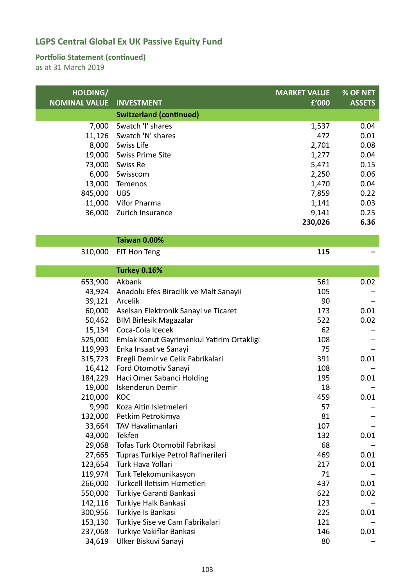### **Portfolio Statement (continued)**

as at 31 March 2019

| HOLDING/<br><b>NOMINAL VALUE</b> | <b>INVESTMENT</b>              | <b>MARKET VALUE</b><br>£'000 | % OF NET<br><b>ASSETS</b> |
|----------------------------------|--------------------------------|------------------------------|---------------------------|
|                                  | <b>Switzerland (continued)</b> |                              |                           |
| 7,000                            | Swatch 'I' shares              | 1,537                        | 0.04                      |
| 11,126                           | Swatch 'N' shares              | 472                          | 0.01                      |
| 8,000                            | Swiss Life                     | 2,701                        | 0.08                      |
| 19,000                           | <b>Swiss Prime Site</b>        | 1,277                        | 0.04                      |
| 73,000                           | Swiss Re                       | 5,471                        | 0.15                      |
| 6,000                            | Swisscom                       | 2,250                        | 0.06                      |
| 13,000                           | Temenos                        | 1,470                        | 0.04                      |
| 845,000                          | <b>UBS</b>                     | 7,859                        | 0.22                      |
| 11,000                           | Vifor Pharma                   | 1,141                        | 0.03                      |
| 36,000                           | Zurich Insurance               | 9,141                        | 0.25                      |
|                                  |                                | 230,026                      | 6.36                      |

| Taiwan 0.00% |
|--------------|
|--------------|

310,000 FIT Hon Teng **115 –**

|         | <b>Turkey 0.16%</b>                       |     |      |
|---------|-------------------------------------------|-----|------|
| 653,900 | Akbank                                    | 561 | 0.02 |
| 43,924  | Anadolu Efes Biracilik ve Malt Sanayii    | 105 |      |
| 39,121  | Arcelik                                   | 90  |      |
| 60,000  | Aselsan Elektronik Sanayi ve Ticaret      | 173 | 0.01 |
| 50,462  | <b>BIM Birlesik Magazalar</b>             | 522 | 0.02 |
| 15,134  | Coca-Cola Icecek                          | 62  |      |
| 525,000 | Emlak Konut Gayrimenkul Yatirim Ortakligi | 108 |      |
| 119,993 | Enka Insaat ve Sanayi                     | 75  |      |
| 315,723 | Eregli Demir ve Celik Fabrikalari         | 391 | 0.01 |
| 16,412  | Ford Otomotiv Sanayi                      | 108 |      |
| 184,229 | Haci Omer Sabanci Holding                 | 195 | 0.01 |
| 19,000  | Iskenderun Demir                          | 18  |      |
| 210,000 | <b>KOC</b>                                | 459 | 0.01 |
| 9,990   | Koza Altin Isletmeleri                    | 57  |      |
| 132,000 | Petkim Petrokimya                         | 81  |      |
| 33,664  | <b>TAV Havalimanlari</b>                  | 107 |      |
| 43,000  | Tekfen                                    | 132 | 0.01 |
| 29,068  | Tofas Turk Otomobil Fabrikasi             | 68  |      |
| 27,665  | Tupras Turkiye Petrol Rafinerileri        | 469 | 0.01 |
| 123,654 | Turk Hava Yollari                         | 217 | 0.01 |
| 119,974 | Turk Telekomunikasyon                     | 71  |      |
| 266,000 | Turkcell Iletisim Hizmetleri              | 437 | 0.01 |
| 550,000 | Turkiye Garanti Bankasi                   | 622 | 0.02 |
| 142,116 | Turkiye Halk Bankasi                      | 123 |      |
| 300,956 | Turkiye Is Bankasi                        | 225 | 0.01 |
| 153,130 | Turkiye Sise ve Cam Fabrikalari           | 121 |      |
| 237,068 | Turkiye Vakiflar Bankasi                  | 146 | 0.01 |
| 34,619  | Ulker Biskuvi Sanayi                      | 80  |      |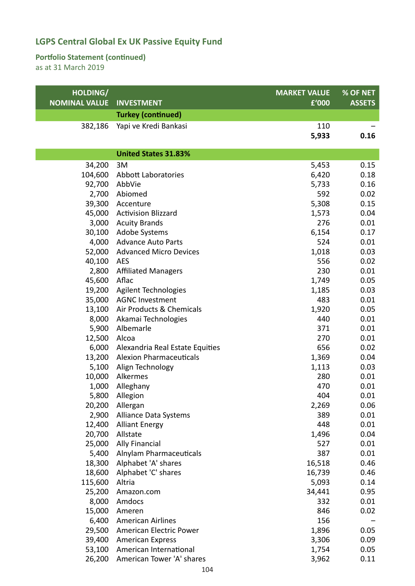### **Portfolio Statement (continued)**

| HOLDING/             |                                 | <b>MARKET VALUE</b> | % OF NET      |
|----------------------|---------------------------------|---------------------|---------------|
| <b>NOMINAL VALUE</b> | <b>INVESTMENT</b>               | £'000               | <b>ASSETS</b> |
|                      | <b>Turkey (continued)</b>       |                     |               |
| 382,186              | Yapi ve Kredi Bankasi           | 110                 |               |
|                      |                                 | 5,933               | 0.16          |
|                      |                                 |                     |               |
|                      | <b>United States 31.83%</b>     |                     |               |
| 34,200               | 3M                              | 5,453               | 0.15          |
| 104,600              | Abbott Laboratories             | 6,420               | 0.18          |
| 92,700               | AbbVie                          | 5,733               | 0.16          |
| 2,700                | Abiomed                         | 592                 | 0.02          |
| 39,300               | Accenture                       | 5,308               | 0.15          |
| 45,000               | <b>Activision Blizzard</b>      | 1,573               | 0.04          |
| 3,000                | <b>Acuity Brands</b>            | 276                 | 0.01          |
| 30,100               | <b>Adobe Systems</b>            | 6,154               | 0.17          |
| 4,000                | <b>Advance Auto Parts</b>       | 524                 | 0.01          |
| 52,000               | <b>Advanced Micro Devices</b>   | 1,018               | 0.03          |
| 40,100               | <b>AES</b>                      | 556                 | 0.02          |
| 2,800                | <b>Affiliated Managers</b>      | 230                 | 0.01          |
| 45,600               | Aflac                           | 1,749               | 0.05          |
| 19,200               | <b>Agilent Technologies</b>     | 1,185               | 0.03          |
| 35,000               | <b>AGNC Investment</b>          | 483                 | 0.01          |
| 13,100               | Air Products & Chemicals        | 1,920               | 0.05          |
| 8,000                | Akamai Technologies             | 440                 | 0.01          |
| 5,900                | Albemarle                       | 371                 | 0.01          |
| 12,500               | Alcoa                           | 270                 | 0.01          |
| 6,000                | Alexandria Real Estate Equities | 656                 | 0.02          |
| 13,200               | <b>Alexion Pharmaceuticals</b>  | 1,369               | 0.04          |
| 5,100                | Align Technology                | 1,113               | 0.03          |
| 10,000               | Alkermes                        | 280                 | 0.01          |
| 1,000                | Alleghany                       | 470                 | 0.01          |
|                      | 5,800 Allegion                  | 404                 | 0.01          |
|                      | 20,200 Allergan                 | 2,269               | 0.06          |
| 2,900                | Alliance Data Systems           | 389                 | 0.01          |
| 12,400               | <b>Alliant Energy</b>           | 448                 | 0.01          |
| 20,700               | Allstate                        | 1,496               | 0.04          |
| 25,000               | <b>Ally Financial</b>           | 527                 | 0.01          |
| 5,400                | Alnylam Pharmaceuticals         | 387                 | 0.01          |
| 18,300               | Alphabet 'A' shares             | 16,518              | 0.46          |
| 18,600               | Alphabet 'C' shares             | 16,739              | 0.46          |
| 115,600              | Altria                          | 5,093               | 0.14          |
| 25,200               | Amazon.com                      | 34,441              | 0.95          |
| 8,000                | Amdocs                          | 332                 | 0.01          |
| 15,000               | Ameren                          | 846                 | 0.02          |
| 6,400                | <b>American Airlines</b>        | 156                 |               |
| 29,500               | American Electric Power         | 1,896               | 0.05          |
| 39,400               | <b>American Express</b>         | 3,306               | 0.09          |
| 53,100               | American International          | 1,754               | 0.05          |
| 26,200               | American Tower 'A' shares       | 3,962               | 0.11          |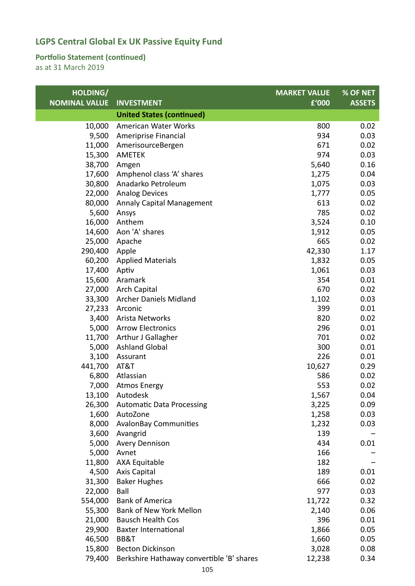### **Portfolio Statement (continued)**

| HOLDING/             |                                           | <b>MARKET VALUE</b> | % OF NET      |
|----------------------|-------------------------------------------|---------------------|---------------|
| <b>NOMINAL VALUE</b> | <b>INVESTMENT</b>                         | £'000               | <b>ASSETS</b> |
|                      | <b>United States (continued)</b>          |                     |               |
| 10,000               | American Water Works                      | 800                 | 0.02          |
| 9,500                | Ameriprise Financial                      | 934                 | 0.03          |
| 11,000               | AmerisourceBergen                         | 671                 | 0.02          |
| 15,300               | AMETEK                                    | 974                 | 0.03          |
| 38,700               | Amgen                                     | 5,640               | 0.16          |
| 17,600               | Amphenol class 'A' shares                 | 1,275               | 0.04          |
| 30,800               | Anadarko Petroleum                        | 1,075               | 0.03          |
| 22,000               | <b>Analog Devices</b>                     | 1,777               | 0.05          |
| 80,000               | <b>Annaly Capital Management</b>          | 613                 | 0.02          |
| 5,600                | Ansys                                     | 785                 | 0.02          |
| 16,000               | Anthem                                    | 3,524               | 0.10          |
| 14,600               | Aon 'A' shares                            | 1,912               | 0.05          |
| 25,000               | Apache                                    | 665                 | 0.02          |
| 290,400 Apple        |                                           | 42,330              | 1.17          |
|                      | 60,200 Applied Materials                  | 1,832               | 0.05          |
| 17,400               | Aptiv                                     | 1,061               | 0.03          |
| 15,600               | Aramark                                   | 354                 | 0.01          |
| 27,000               | <b>Arch Capital</b>                       | 670                 | 0.02          |
| 33,300               | <b>Archer Daniels Midland</b>             | 1,102               | 0.03          |
| 27,233               | Arconic                                   | 399                 | 0.01          |
|                      | 3,400 Arista Networks                     | 820                 | 0.02          |
| 5,000                | <b>Arrow Electronics</b>                  | 296                 | 0.01          |
| 11,700               | Arthur J Gallagher                        | 701                 | 0.02          |
| 5,000                | <b>Ashland Global</b>                     | 300                 | 0.01          |
| 3,100                | Assurant                                  | 226                 | 0.01          |
| 441,700              | AT&T                                      | 10,627              | 0.29          |
| 6,800                | Atlassian                                 | 586                 | 0.02          |
| 7,000                | <b>Atmos Energy</b>                       | 553                 | 0.02          |
| 13,100               | Autodesk                                  | 1,567               | 0.04          |
| 26,300               | <b>Automatic Data Processing</b>          | 3,225               | 0.09          |
| 1,600                | AutoZone                                  | 1,258               | 0.03          |
| 8,000                | <b>AvalonBay Communities</b>              | 1,232               | 0.03          |
| 3,600                | Avangrid                                  | 139                 |               |
| 5,000                | <b>Avery Dennison</b>                     | 434                 | 0.01          |
| 5,000                | Avnet                                     | 166                 |               |
| 11,800               | <b>AXA Equitable</b>                      | 182                 |               |
| 4,500                | <b>Axis Capital</b>                       | 189                 | 0.01          |
| 31,300               | <b>Baker Hughes</b>                       | 666                 | 0.02          |
| 22,000               | Ball                                      | 977                 | 0.03          |
| 554,000              | <b>Bank of America</b>                    | 11,722              | 0.32          |
| 55,300               | Bank of New York Mellon                   | 2,140               | 0.06          |
| 21,000               | <b>Bausch Health Cos</b>                  | 396                 | 0.01          |
| 29,900               | <b>Baxter International</b>               | 1,866               | 0.05          |
| 46,500               | BB&T                                      | 1,660               | 0.05          |
| 15,800               | <b>Becton Dickinson</b>                   | 3,028               | 0.08          |
| 79,400               | Berkshire Hathaway convertible 'B' shares | 12,238              | 0.34          |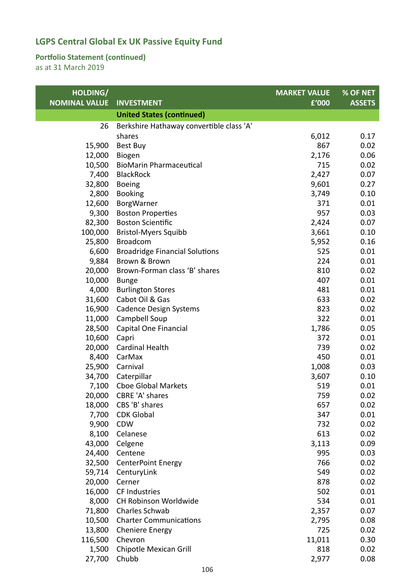### **Portfolio Statement (continued)**

| HOLDING/             |                                          | <b>MARKET VALUE</b> | % OF NET      |
|----------------------|------------------------------------------|---------------------|---------------|
| <b>NOMINAL VALUE</b> | <b>INVESTMENT</b>                        | £'000               | <b>ASSETS</b> |
|                      | <b>United States (continued)</b>         |                     |               |
| 26                   | Berkshire Hathaway convertible class 'A' |                     |               |
|                      | shares                                   | 6,012               | 0.17          |
| 15,900               | Best Buy                                 | 867                 | 0.02          |
| 12,000               | Biogen                                   | 2,176               | 0.06          |
| 10,500               | <b>BioMarin Pharmaceutical</b>           | 715                 | 0.02          |
| 7,400                | <b>BlackRock</b>                         | 2,427               | 0.07          |
| 32,800               | <b>Boeing</b>                            | 9,601               | 0.27          |
| 2,800                | <b>Booking</b>                           | 3,749               | 0.10          |
| 12,600               | BorgWarner                               | 371                 | 0.01          |
| 9,300                | <b>Boston Properties</b>                 | 957                 | 0.03          |
| 82,300               | <b>Boston Scientific</b>                 | 2,424               | 0.07          |
| 100,000              | <b>Bristol-Myers Squibb</b>              | 3,661               | 0.10          |
| 25,800               | <b>Broadcom</b>                          | 5,952               | 0.16          |
| 6,600                | <b>Broadridge Financial Solutions</b>    | 525                 | 0.01          |
| 9,884                | Brown & Brown                            | 224                 | 0.01          |
| 20,000               | Brown-Forman class 'B' shares            | 810                 | 0.02          |
| 10,000               | <b>Bunge</b>                             | 407                 | 0.01          |
| 4,000                | <b>Burlington Stores</b>                 | 481                 | 0.01          |
| 31,600               | Cabot Oil & Gas                          | 633                 | 0.02          |
| 16,900               | <b>Cadence Design Systems</b>            | 823                 | 0.02          |
| 11,000               | Campbell Soup                            | 322                 | 0.01          |
| 28,500               | Capital One Financial                    | 1,786               | 0.05          |
| 10,600               | Capri                                    | 372                 | 0.01          |
| 20,000               | <b>Cardinal Health</b>                   | 739                 | 0.02          |
| 8,400                | CarMax                                   | 450                 | 0.01          |
| 25,900               | Carnival                                 | 1,008               | 0.03          |
| 34,700               | Caterpillar                              | 3,607               | 0.10          |
| 7,100                | <b>Cboe Global Markets</b>               | 519                 | 0.01          |
| 20,000               | CBRE 'A' shares                          | 759                 | 0.02          |
| 18,000               | CBS 'B' shares                           | 657                 | 0.02          |
| 7,700                | <b>CDK Global</b>                        | 347                 | 0.01          |
| 9,900                | <b>CDW</b>                               | 732                 | 0.02          |
| 8,100                | Celanese                                 | 613                 | 0.02          |
| 43,000               | Celgene                                  | 3,113               | 0.09          |
| 24,400               | Centene                                  | 995                 | 0.03          |
| 32,500               | <b>CenterPoint Energy</b>                | 766                 | 0.02          |
| 59,714               | CenturyLink                              | 549                 | 0.02          |
| 20,000               | Cerner                                   | 878                 | 0.02          |
| 16,000               | CF Industries                            | 502                 | 0.01          |
| 8,000                | CH Robinson Worldwide                    | 534                 | 0.01          |
| 71,800               | Charles Schwab                           | 2,357               | 0.07          |
| 10,500               | <b>Charter Communications</b>            | 2,795               | 0.08          |
| 13,800               | <b>Cheniere Energy</b>                   | 725                 | 0.02          |
| 116,500              | Chevron                                  | 11,011              | 0.30          |
| 1,500                | Chipotle Mexican Grill                   | 818                 | 0.02          |
| 27,700               | Chubb                                    | 2,977               | 0.08          |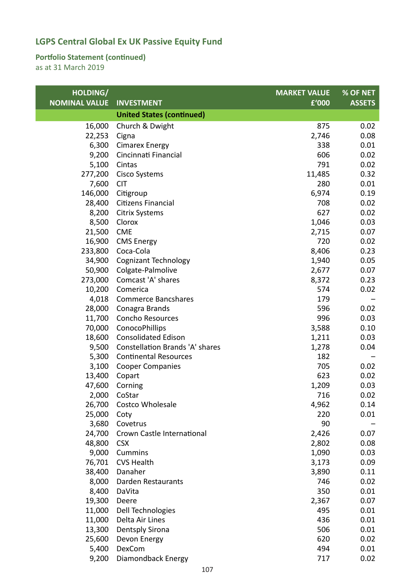### **Portfolio Statement (continued)**

| HOLDING/             |                                        | <b>MARKET VALUE</b> | % OF NET      |
|----------------------|----------------------------------------|---------------------|---------------|
| <b>NOMINAL VALUE</b> | <b>INVESTMENT</b>                      | £'000               | <b>ASSETS</b> |
|                      | <b>United States (continued)</b>       |                     |               |
| 16,000               | Church & Dwight                        | 875                 | 0.02          |
| 22,253               | Cigna                                  | 2,746               | 0.08          |
| 6,300                | <b>Cimarex Energy</b>                  | 338                 | 0.01          |
| 9,200                | Cincinnati Financial                   | 606                 | 0.02          |
| 5,100                | Cintas                                 | 791                 | 0.02          |
| 277,200              | <b>Cisco Systems</b>                   | 11,485              | 0.32          |
| 7,600                | <b>CIT</b>                             | 280                 | 0.01          |
| 146,000              | Citigroup                              | 6,974               | 0.19          |
| 28,400               | Citizens Financial                     | 708                 | 0.02          |
| 8,200                | <b>Citrix Systems</b>                  | 627                 | 0.02          |
| 8,500                | Clorox                                 | 1,046               | 0.03          |
| 21,500               | <b>CME</b>                             | 2,715               | 0.07          |
| 16,900               | <b>CMS Energy</b>                      | 720                 | 0.02          |
| 233,800              | Coca-Cola                              | 8,406               | 0.23          |
| 34,900               | <b>Cognizant Technology</b>            | 1,940               | 0.05          |
| 50,900               | Colgate-Palmolive                      | 2,677               | 0.07          |
| 273,000              | Comcast 'A' shares                     | 8,372               | 0.23          |
| 10,200               | Comerica                               | 574                 | 0.02          |
| 4,018                | <b>Commerce Bancshares</b>             | 179                 |               |
| 28,000               | Conagra Brands                         | 596                 | 0.02          |
| 11,700               | <b>Concho Resources</b>                | 996                 | 0.03          |
| 70,000               | ConocoPhillips                         | 3,588               | 0.10          |
| 18,600               | <b>Consolidated Edison</b>             | 1,211               | 0.03          |
| 9,500                | <b>Constellation Brands 'A' shares</b> | 1,278               | 0.04          |
| 5,300                | <b>Continental Resources</b>           | 182                 |               |
| 3,100                | <b>Cooper Companies</b>                | 705                 | 0.02          |
| 13,400               | Copart                                 | 623                 | 0.02          |
| 47,600               | Corning                                | 1,209               | 0.03          |
| 2,000                | CoStar                                 | 716                 | 0.02          |
| 26,700               | Costco Wholesale                       | 4,962               | 0.14          |
| 25,000               | Coty                                   | 220                 | 0.01          |
| 3,680                | Covetrus                               | 90                  |               |
| 24,700               | Crown Castle International             | 2,426               | 0.07          |
| 48,800               | <b>CSX</b>                             | 2,802               | 0.08          |
| 9,000                | Cummins                                | 1,090               | 0.03          |
| 76,701               | <b>CVS Health</b>                      | 3,173               | 0.09          |
| 38,400               | Danaher                                | 3,890               | 0.11          |
| 8,000                | Darden Restaurants                     | 746                 | 0.02          |
| 8,400                | DaVita                                 | 350                 | 0.01          |
| 19,300               | Deere                                  | 2,367               | 0.07          |
| 11,000               | Dell Technologies                      | 495                 | 0.01          |
| 11,000               | Delta Air Lines                        | 436                 | 0.01          |
| 13,300               | <b>Dentsply Sirona</b>                 | 506                 | 0.01          |
| 25,600               | Devon Energy                           | 620                 | 0.02          |
| 5,400                | DexCom                                 | 494                 | 0.01          |
| 9,200                | Diamondback Energy                     | 717                 | 0.02          |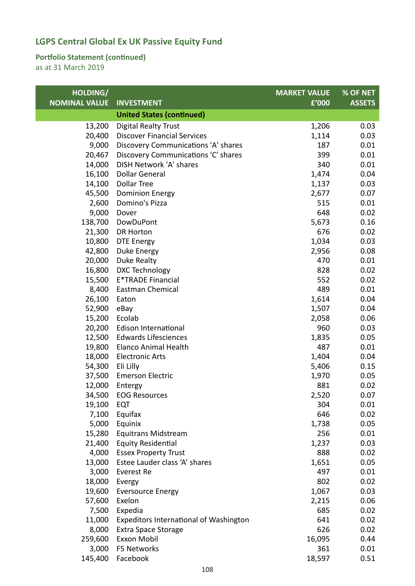### **Portfolio Statement (continued)**

| HOLDING/             |                                        | <b>MARKET VALUE</b> | % OF NET      |
|----------------------|----------------------------------------|---------------------|---------------|
| <b>NOMINAL VALUE</b> | <b>INVESTMENT</b>                      | £'000               | <b>ASSETS</b> |
|                      | <b>United States (continued)</b>       |                     |               |
| 13,200               | <b>Digital Realty Trust</b>            | 1,206               | 0.03          |
| 20,400               | <b>Discover Financial Services</b>     | 1,114               | 0.03          |
| 9,000                | Discovery Communications 'A' shares    | 187                 | 0.01          |
| 20,467               | Discovery Communications 'C' shares    | 399                 | 0.01          |
| 14,000               | DISH Network 'A' shares                | 340                 | 0.01          |
| 16,100               | <b>Dollar General</b>                  | 1,474               | 0.04          |
| 14,100               | <b>Dollar Tree</b>                     | 1,137               | 0.03          |
| 45,500               | <b>Dominion Energy</b>                 | 2,677               | 0.07          |
| 2,600                | Domino's Pizza                         | 515                 | 0.01          |
| 9,000                | Dover                                  | 648                 | 0.02          |
| 138,700              | DowDuPont                              | 5,673               | 0.16          |
| 21,300               | <b>DR Horton</b>                       | 676                 | 0.02          |
| 10,800               | <b>DTE Energy</b>                      | 1,034               | 0.03          |
| 42,800               | Duke Energy                            | 2,956               | 0.08          |
| 20,000               | Duke Realty                            | 470                 | 0.01          |
| 16,800               | <b>DXC Technology</b>                  | 828                 | 0.02          |
| 15,500               | <b>E*TRADE Financial</b>               | 552                 | 0.02          |
| 8,400                | <b>Eastman Chemical</b>                | 489                 | 0.01          |
| 26,100               | Eaton                                  | 1,614               | 0.04          |
| 52,900               | eBay                                   | 1,507               | 0.04          |
| 15,200               | Ecolab                                 | 2,058               | 0.06          |
| 20,200               | Edison International                   | 960                 | 0.03          |
| 12,500               | <b>Edwards Lifesciences</b>            | 1,835               | 0.05          |
| 19,800               | <b>Elanco Animal Health</b>            | 487                 | 0.01          |
| 18,000               | <b>Electronic Arts</b>                 | 1,404               | 0.04          |
| 54,300               | Eli Lilly                              | 5,406               | 0.15          |
| 37,500               | <b>Emerson Electric</b>                | 1,970               | 0.05          |
| 12,000               | Entergy                                | 881                 | 0.02          |
| 34,500               | <b>EOG Resources</b>                   | 2,520               | 0.07          |
| 19,100               | EQT                                    | 304                 | 0.01          |
| 7,100                | Equifax                                | 646                 | 0.02          |
| 5,000                | Equinix                                | 1,738               | 0.05          |
| 15,280               | <b>Equitrans Midstream</b>             | 256                 | 0.01          |
| 21,400               | <b>Equity Residential</b>              | 1,237               | 0.03          |
| 4,000                | <b>Essex Property Trust</b>            | 888                 | 0.02          |
| 13,000               | Estee Lauder class 'A' shares          | 1,651               | 0.05          |
| 3,000                | Everest Re                             | 497                 | 0.01          |
| 18,000               | Evergy                                 | 802                 | 0.02          |
| 19,600               | <b>Eversource Energy</b>               | 1,067               | 0.03          |
| 57,600               | Exelon                                 | 2,215               | 0.06          |
| 7,500                | Expedia                                | 685                 | 0.02          |
| 11,000               | Expeditors International of Washington | 641                 | 0.02          |
| 8,000                | <b>Extra Space Storage</b>             | 626                 | 0.02          |
| 259,600              | Exxon Mobil                            | 16,095              | 0.44          |
| 3,000                | F5 Networks                            | 361                 | 0.01          |
| 145,400              | Facebook                               | 18,597              | 0.51          |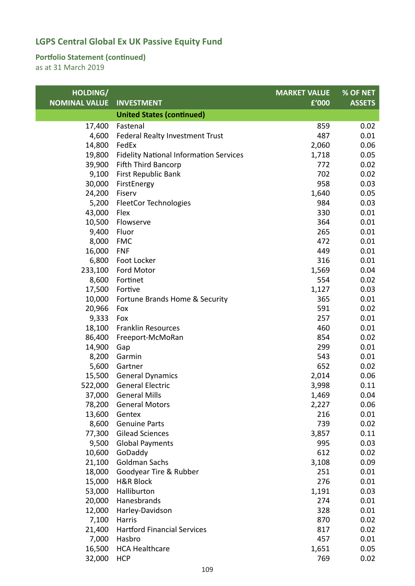### **Portfolio Statement (continued)**

| HOLDING/             |                                                  | <b>MARKET VALUE</b> | % OF NET      |
|----------------------|--------------------------------------------------|---------------------|---------------|
| <b>NOMINAL VALUE</b> | <b>INVESTMENT</b>                                | £'000               | <b>ASSETS</b> |
|                      | <b>United States (continued)</b>                 |                     |               |
| 17,400               | Fastenal                                         | 859                 | 0.02          |
| 4,600                | Federal Realty Investment Trust                  | 487                 | 0.01          |
| 14,800               | FedEx                                            | 2,060               | 0.06          |
| 19,800               | <b>Fidelity National Information Services</b>    | 1,718               | 0.05          |
| 39,900               | Fifth Third Bancorp                              | 772                 | 0.02          |
| 9,100                | First Republic Bank                              | 702                 | 0.02          |
| 30,000               | FirstEnergy                                      | 958                 | 0.03          |
| 24,200               | Fiserv                                           | 1,640               | 0.05          |
| 5,200                | <b>FleetCor Technologies</b>                     | 984                 | 0.03          |
| 43,000               | Flex                                             | 330                 | 0.01          |
| 10,500               | Flowserve                                        | 364                 | 0.01          |
| 9,400                | Fluor                                            | 265                 | 0.01          |
| 8,000                | <b>FMC</b>                                       | 472                 | 0.01          |
| 16,000               | <b>FNF</b>                                       | 449                 | 0.01          |
| 6,800                | Foot Locker                                      | 316                 | 0.01          |
| 233,100              | Ford Motor                                       | 1,569               | 0.04          |
| 8,600                | Fortinet                                         | 554                 | 0.02          |
| 17,500               | Fortive                                          | 1,127               | 0.03          |
| 10,000               | Fortune Brands Home & Security                   | 365                 | 0.01          |
| 20,966               | Fox                                              | 591                 | 0.02          |
| 9,333                | Fox                                              | 257                 | 0.01          |
| 18,100               | <b>Franklin Resources</b>                        | 460                 | 0.01          |
| 86,400               | Freeport-McMoRan                                 | 854                 | 0.02          |
| 14,900               | Gap                                              | 299                 | 0.01          |
| 8,200                | Garmin                                           | 543                 | 0.01          |
| 5,600                | Gartner                                          | 652                 | 0.02          |
| 15,500               | <b>General Dynamics</b>                          | 2,014               | 0.06          |
| 522,000              | <b>General Electric</b>                          | 3,998               | 0.11          |
| 37,000               | <b>General Mills</b>                             | 1,469               | 0.04          |
| 78,200               | <b>General Motors</b>                            | 2,227               | 0.06          |
| 13,600               | Gentex                                           | 216                 | 0.01          |
| 8,600                | <b>Genuine Parts</b>                             | 739                 | 0.02          |
| 77,300               | <b>Gilead Sciences</b><br><b>Global Payments</b> | 3,857<br>995        | 0.11<br>0.03  |
| 9,500<br>10,600      | GoDaddy                                          | 612                 | 0.02          |
| 21,100               | <b>Goldman Sachs</b>                             | 3,108               | 0.09          |
| 18,000               | Goodyear Tire & Rubber                           | 251                 | 0.01          |
| 15,000               | <b>H&amp;R Block</b>                             | 276                 | 0.01          |
| 53,000               | Halliburton                                      | 1,191               | 0.03          |
| 20,000               | Hanesbrands                                      | 274                 | 0.01          |
| 12,000               | Harley-Davidson                                  | 328                 | 0.01          |
| 7,100                | Harris                                           | 870                 | 0.02          |
| 21,400               | <b>Hartford Financial Services</b>               | 817                 | 0.02          |
| 7,000                | Hasbro                                           | 457                 | 0.01          |
| 16,500               | <b>HCA Healthcare</b>                            | 1,651               | 0.05          |
| 32,000               | <b>HCP</b>                                       | 769                 | 0.02          |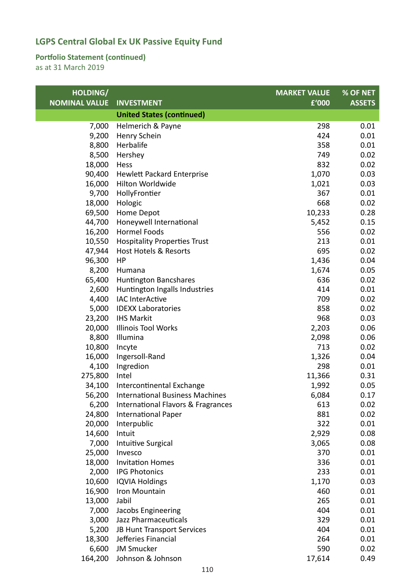### **Portfolio Statement (continued)**

| <b>NOMINAL VALUE</b><br><b>INVESTMENT</b><br>£'000<br><b>ASSETS</b><br><b>United States (continued)</b><br>298<br>7,000<br>Helmerich & Payne<br>0.01<br>9,200<br>Henry Schein<br>424<br>0.01<br>Herbalife<br>358<br>0.01<br>8,800<br>0.02<br>8,500<br>749<br>Hershey<br>18,000<br>832<br>0.02<br>Hess<br>90,400<br>1,070<br>0.03<br><b>Hewlett Packard Enterprise</b><br>16,000<br>Hilton Worldwide<br>1,021<br>0.03<br>367<br>9,700<br>HollyFrontier<br>0.01<br>18,000<br>Hologic<br>668<br>0.02<br>69,500<br>Home Depot<br>10,233<br>0.28<br>44,700<br>Honeywell International<br>5,452<br>0.15<br><b>Hormel Foods</b><br>16,200<br>556<br>0.02<br><b>Hospitality Properties Trust</b><br>213<br>0.01<br>10,550<br>695<br>0.02<br>47,944<br><b>Host Hotels &amp; Resorts</b><br>96,300<br>1,436<br>0.04<br>HP<br>8,200<br>0.05<br>Humana<br>1,674<br>636<br>0.02<br>65,400<br><b>Huntington Bancshares</b><br>2,600<br>Huntington Ingalls Industries<br>414<br>0.01<br>4,400<br><b>IAC InterActive</b><br>709<br>0.02<br>5,000<br><b>IDEXX Laboratories</b><br>858<br>0.02<br>968<br>23,200<br><b>IHS Markit</b><br>0.03<br>20,000<br><b>Illinois Tool Works</b><br>2,203<br>0.06<br>8,800<br>Illumina<br>0.06<br>2,098<br>10,800<br>713<br>0.02<br>Incyte<br>16,000<br>1,326<br>0.04<br>Ingersoll-Rand<br>Ingredion<br>298<br>0.01<br>4,100<br>275,800<br>11,366<br>0.31<br>Intel<br>34,100<br>Intercontinental Exchange<br>1,992<br>0.05<br>6,084<br>56,200<br><b>International Business Machines</b><br>0.17<br>6,200<br>International Flavors & Fragrances<br>613<br>0.02<br>24,800<br>881<br>0.02<br><b>International Paper</b><br>322<br>20,000<br>Interpublic<br>0.01<br>14,600<br>2,929<br>0.08<br>Intuit<br>7,000<br>Intuitive Surgical<br>3,065<br>0.08<br>25,000<br>370<br>0.01<br>Invesco<br>336<br>0.01<br>18,000<br><b>Invitation Homes</b><br>2,000<br><b>IPG Photonics</b><br>233<br>0.01<br>10,600<br><b>IQVIA Holdings</b><br>0.03<br>1,170<br>16,900<br>460<br>0.01<br>Iron Mountain<br>13,000<br>0.01<br>Jabil<br>265<br>Jacobs Engineering<br>404<br>7,000<br>0.01<br>3,000<br>Jazz Pharmaceuticals<br>329<br>0.01<br>404<br>0.01<br>5,200<br>JB Hunt Transport Services<br>18,300<br>Jefferies Financial<br>264<br>0.01<br>6,600<br><b>JM Smucker</b><br>590<br>0.02<br>Johnson & Johnson<br>164,200<br>17,614<br>0.49 | HOLDING/ | <b>MARKET VALUE</b> | % OF NET |
|------------------------------------------------------------------------------------------------------------------------------------------------------------------------------------------------------------------------------------------------------------------------------------------------------------------------------------------------------------------------------------------------------------------------------------------------------------------------------------------------------------------------------------------------------------------------------------------------------------------------------------------------------------------------------------------------------------------------------------------------------------------------------------------------------------------------------------------------------------------------------------------------------------------------------------------------------------------------------------------------------------------------------------------------------------------------------------------------------------------------------------------------------------------------------------------------------------------------------------------------------------------------------------------------------------------------------------------------------------------------------------------------------------------------------------------------------------------------------------------------------------------------------------------------------------------------------------------------------------------------------------------------------------------------------------------------------------------------------------------------------------------------------------------------------------------------------------------------------------------------------------------------------------------------------------------------------------------------------------------------------------------------------------------------------------------------------------------------------------------------------------------------------------------------------------------------------------------------------------------------------------------------------------------------------------------------------------------------|----------|---------------------|----------|
|                                                                                                                                                                                                                                                                                                                                                                                                                                                                                                                                                                                                                                                                                                                                                                                                                                                                                                                                                                                                                                                                                                                                                                                                                                                                                                                                                                                                                                                                                                                                                                                                                                                                                                                                                                                                                                                                                                                                                                                                                                                                                                                                                                                                                                                                                                                                                |          |                     |          |
|                                                                                                                                                                                                                                                                                                                                                                                                                                                                                                                                                                                                                                                                                                                                                                                                                                                                                                                                                                                                                                                                                                                                                                                                                                                                                                                                                                                                                                                                                                                                                                                                                                                                                                                                                                                                                                                                                                                                                                                                                                                                                                                                                                                                                                                                                                                                                |          |                     |          |
|                                                                                                                                                                                                                                                                                                                                                                                                                                                                                                                                                                                                                                                                                                                                                                                                                                                                                                                                                                                                                                                                                                                                                                                                                                                                                                                                                                                                                                                                                                                                                                                                                                                                                                                                                                                                                                                                                                                                                                                                                                                                                                                                                                                                                                                                                                                                                |          |                     |          |
|                                                                                                                                                                                                                                                                                                                                                                                                                                                                                                                                                                                                                                                                                                                                                                                                                                                                                                                                                                                                                                                                                                                                                                                                                                                                                                                                                                                                                                                                                                                                                                                                                                                                                                                                                                                                                                                                                                                                                                                                                                                                                                                                                                                                                                                                                                                                                |          |                     |          |
|                                                                                                                                                                                                                                                                                                                                                                                                                                                                                                                                                                                                                                                                                                                                                                                                                                                                                                                                                                                                                                                                                                                                                                                                                                                                                                                                                                                                                                                                                                                                                                                                                                                                                                                                                                                                                                                                                                                                                                                                                                                                                                                                                                                                                                                                                                                                                |          |                     |          |
|                                                                                                                                                                                                                                                                                                                                                                                                                                                                                                                                                                                                                                                                                                                                                                                                                                                                                                                                                                                                                                                                                                                                                                                                                                                                                                                                                                                                                                                                                                                                                                                                                                                                                                                                                                                                                                                                                                                                                                                                                                                                                                                                                                                                                                                                                                                                                |          |                     |          |
|                                                                                                                                                                                                                                                                                                                                                                                                                                                                                                                                                                                                                                                                                                                                                                                                                                                                                                                                                                                                                                                                                                                                                                                                                                                                                                                                                                                                                                                                                                                                                                                                                                                                                                                                                                                                                                                                                                                                                                                                                                                                                                                                                                                                                                                                                                                                                |          |                     |          |
|                                                                                                                                                                                                                                                                                                                                                                                                                                                                                                                                                                                                                                                                                                                                                                                                                                                                                                                                                                                                                                                                                                                                                                                                                                                                                                                                                                                                                                                                                                                                                                                                                                                                                                                                                                                                                                                                                                                                                                                                                                                                                                                                                                                                                                                                                                                                                |          |                     |          |
|                                                                                                                                                                                                                                                                                                                                                                                                                                                                                                                                                                                                                                                                                                                                                                                                                                                                                                                                                                                                                                                                                                                                                                                                                                                                                                                                                                                                                                                                                                                                                                                                                                                                                                                                                                                                                                                                                                                                                                                                                                                                                                                                                                                                                                                                                                                                                |          |                     |          |
|                                                                                                                                                                                                                                                                                                                                                                                                                                                                                                                                                                                                                                                                                                                                                                                                                                                                                                                                                                                                                                                                                                                                                                                                                                                                                                                                                                                                                                                                                                                                                                                                                                                                                                                                                                                                                                                                                                                                                                                                                                                                                                                                                                                                                                                                                                                                                |          |                     |          |
|                                                                                                                                                                                                                                                                                                                                                                                                                                                                                                                                                                                                                                                                                                                                                                                                                                                                                                                                                                                                                                                                                                                                                                                                                                                                                                                                                                                                                                                                                                                                                                                                                                                                                                                                                                                                                                                                                                                                                                                                                                                                                                                                                                                                                                                                                                                                                |          |                     |          |
|                                                                                                                                                                                                                                                                                                                                                                                                                                                                                                                                                                                                                                                                                                                                                                                                                                                                                                                                                                                                                                                                                                                                                                                                                                                                                                                                                                                                                                                                                                                                                                                                                                                                                                                                                                                                                                                                                                                                                                                                                                                                                                                                                                                                                                                                                                                                                |          |                     |          |
|                                                                                                                                                                                                                                                                                                                                                                                                                                                                                                                                                                                                                                                                                                                                                                                                                                                                                                                                                                                                                                                                                                                                                                                                                                                                                                                                                                                                                                                                                                                                                                                                                                                                                                                                                                                                                                                                                                                                                                                                                                                                                                                                                                                                                                                                                                                                                |          |                     |          |
|                                                                                                                                                                                                                                                                                                                                                                                                                                                                                                                                                                                                                                                                                                                                                                                                                                                                                                                                                                                                                                                                                                                                                                                                                                                                                                                                                                                                                                                                                                                                                                                                                                                                                                                                                                                                                                                                                                                                                                                                                                                                                                                                                                                                                                                                                                                                                |          |                     |          |
|                                                                                                                                                                                                                                                                                                                                                                                                                                                                                                                                                                                                                                                                                                                                                                                                                                                                                                                                                                                                                                                                                                                                                                                                                                                                                                                                                                                                                                                                                                                                                                                                                                                                                                                                                                                                                                                                                                                                                                                                                                                                                                                                                                                                                                                                                                                                                |          |                     |          |
|                                                                                                                                                                                                                                                                                                                                                                                                                                                                                                                                                                                                                                                                                                                                                                                                                                                                                                                                                                                                                                                                                                                                                                                                                                                                                                                                                                                                                                                                                                                                                                                                                                                                                                                                                                                                                                                                                                                                                                                                                                                                                                                                                                                                                                                                                                                                                |          |                     |          |
|                                                                                                                                                                                                                                                                                                                                                                                                                                                                                                                                                                                                                                                                                                                                                                                                                                                                                                                                                                                                                                                                                                                                                                                                                                                                                                                                                                                                                                                                                                                                                                                                                                                                                                                                                                                                                                                                                                                                                                                                                                                                                                                                                                                                                                                                                                                                                |          |                     |          |
|                                                                                                                                                                                                                                                                                                                                                                                                                                                                                                                                                                                                                                                                                                                                                                                                                                                                                                                                                                                                                                                                                                                                                                                                                                                                                                                                                                                                                                                                                                                                                                                                                                                                                                                                                                                                                                                                                                                                                                                                                                                                                                                                                                                                                                                                                                                                                |          |                     |          |
|                                                                                                                                                                                                                                                                                                                                                                                                                                                                                                                                                                                                                                                                                                                                                                                                                                                                                                                                                                                                                                                                                                                                                                                                                                                                                                                                                                                                                                                                                                                                                                                                                                                                                                                                                                                                                                                                                                                                                                                                                                                                                                                                                                                                                                                                                                                                                |          |                     |          |
|                                                                                                                                                                                                                                                                                                                                                                                                                                                                                                                                                                                                                                                                                                                                                                                                                                                                                                                                                                                                                                                                                                                                                                                                                                                                                                                                                                                                                                                                                                                                                                                                                                                                                                                                                                                                                                                                                                                                                                                                                                                                                                                                                                                                                                                                                                                                                |          |                     |          |
|                                                                                                                                                                                                                                                                                                                                                                                                                                                                                                                                                                                                                                                                                                                                                                                                                                                                                                                                                                                                                                                                                                                                                                                                                                                                                                                                                                                                                                                                                                                                                                                                                                                                                                                                                                                                                                                                                                                                                                                                                                                                                                                                                                                                                                                                                                                                                |          |                     |          |
|                                                                                                                                                                                                                                                                                                                                                                                                                                                                                                                                                                                                                                                                                                                                                                                                                                                                                                                                                                                                                                                                                                                                                                                                                                                                                                                                                                                                                                                                                                                                                                                                                                                                                                                                                                                                                                                                                                                                                                                                                                                                                                                                                                                                                                                                                                                                                |          |                     |          |
|                                                                                                                                                                                                                                                                                                                                                                                                                                                                                                                                                                                                                                                                                                                                                                                                                                                                                                                                                                                                                                                                                                                                                                                                                                                                                                                                                                                                                                                                                                                                                                                                                                                                                                                                                                                                                                                                                                                                                                                                                                                                                                                                                                                                                                                                                                                                                |          |                     |          |
|                                                                                                                                                                                                                                                                                                                                                                                                                                                                                                                                                                                                                                                                                                                                                                                                                                                                                                                                                                                                                                                                                                                                                                                                                                                                                                                                                                                                                                                                                                                                                                                                                                                                                                                                                                                                                                                                                                                                                                                                                                                                                                                                                                                                                                                                                                                                                |          |                     |          |
|                                                                                                                                                                                                                                                                                                                                                                                                                                                                                                                                                                                                                                                                                                                                                                                                                                                                                                                                                                                                                                                                                                                                                                                                                                                                                                                                                                                                                                                                                                                                                                                                                                                                                                                                                                                                                                                                                                                                                                                                                                                                                                                                                                                                                                                                                                                                                |          |                     |          |
|                                                                                                                                                                                                                                                                                                                                                                                                                                                                                                                                                                                                                                                                                                                                                                                                                                                                                                                                                                                                                                                                                                                                                                                                                                                                                                                                                                                                                                                                                                                                                                                                                                                                                                                                                                                                                                                                                                                                                                                                                                                                                                                                                                                                                                                                                                                                                |          |                     |          |
|                                                                                                                                                                                                                                                                                                                                                                                                                                                                                                                                                                                                                                                                                                                                                                                                                                                                                                                                                                                                                                                                                                                                                                                                                                                                                                                                                                                                                                                                                                                                                                                                                                                                                                                                                                                                                                                                                                                                                                                                                                                                                                                                                                                                                                                                                                                                                |          |                     |          |
|                                                                                                                                                                                                                                                                                                                                                                                                                                                                                                                                                                                                                                                                                                                                                                                                                                                                                                                                                                                                                                                                                                                                                                                                                                                                                                                                                                                                                                                                                                                                                                                                                                                                                                                                                                                                                                                                                                                                                                                                                                                                                                                                                                                                                                                                                                                                                |          |                     |          |
|                                                                                                                                                                                                                                                                                                                                                                                                                                                                                                                                                                                                                                                                                                                                                                                                                                                                                                                                                                                                                                                                                                                                                                                                                                                                                                                                                                                                                                                                                                                                                                                                                                                                                                                                                                                                                                                                                                                                                                                                                                                                                                                                                                                                                                                                                                                                                |          |                     |          |
|                                                                                                                                                                                                                                                                                                                                                                                                                                                                                                                                                                                                                                                                                                                                                                                                                                                                                                                                                                                                                                                                                                                                                                                                                                                                                                                                                                                                                                                                                                                                                                                                                                                                                                                                                                                                                                                                                                                                                                                                                                                                                                                                                                                                                                                                                                                                                |          |                     |          |
|                                                                                                                                                                                                                                                                                                                                                                                                                                                                                                                                                                                                                                                                                                                                                                                                                                                                                                                                                                                                                                                                                                                                                                                                                                                                                                                                                                                                                                                                                                                                                                                                                                                                                                                                                                                                                                                                                                                                                                                                                                                                                                                                                                                                                                                                                                                                                |          |                     |          |
|                                                                                                                                                                                                                                                                                                                                                                                                                                                                                                                                                                                                                                                                                                                                                                                                                                                                                                                                                                                                                                                                                                                                                                                                                                                                                                                                                                                                                                                                                                                                                                                                                                                                                                                                                                                                                                                                                                                                                                                                                                                                                                                                                                                                                                                                                                                                                |          |                     |          |
|                                                                                                                                                                                                                                                                                                                                                                                                                                                                                                                                                                                                                                                                                                                                                                                                                                                                                                                                                                                                                                                                                                                                                                                                                                                                                                                                                                                                                                                                                                                                                                                                                                                                                                                                                                                                                                                                                                                                                                                                                                                                                                                                                                                                                                                                                                                                                |          |                     |          |
|                                                                                                                                                                                                                                                                                                                                                                                                                                                                                                                                                                                                                                                                                                                                                                                                                                                                                                                                                                                                                                                                                                                                                                                                                                                                                                                                                                                                                                                                                                                                                                                                                                                                                                                                                                                                                                                                                                                                                                                                                                                                                                                                                                                                                                                                                                                                                |          |                     |          |
|                                                                                                                                                                                                                                                                                                                                                                                                                                                                                                                                                                                                                                                                                                                                                                                                                                                                                                                                                                                                                                                                                                                                                                                                                                                                                                                                                                                                                                                                                                                                                                                                                                                                                                                                                                                                                                                                                                                                                                                                                                                                                                                                                                                                                                                                                                                                                |          |                     |          |
|                                                                                                                                                                                                                                                                                                                                                                                                                                                                                                                                                                                                                                                                                                                                                                                                                                                                                                                                                                                                                                                                                                                                                                                                                                                                                                                                                                                                                                                                                                                                                                                                                                                                                                                                                                                                                                                                                                                                                                                                                                                                                                                                                                                                                                                                                                                                                |          |                     |          |
|                                                                                                                                                                                                                                                                                                                                                                                                                                                                                                                                                                                                                                                                                                                                                                                                                                                                                                                                                                                                                                                                                                                                                                                                                                                                                                                                                                                                                                                                                                                                                                                                                                                                                                                                                                                                                                                                                                                                                                                                                                                                                                                                                                                                                                                                                                                                                |          |                     |          |
|                                                                                                                                                                                                                                                                                                                                                                                                                                                                                                                                                                                                                                                                                                                                                                                                                                                                                                                                                                                                                                                                                                                                                                                                                                                                                                                                                                                                                                                                                                                                                                                                                                                                                                                                                                                                                                                                                                                                                                                                                                                                                                                                                                                                                                                                                                                                                |          |                     |          |
|                                                                                                                                                                                                                                                                                                                                                                                                                                                                                                                                                                                                                                                                                                                                                                                                                                                                                                                                                                                                                                                                                                                                                                                                                                                                                                                                                                                                                                                                                                                                                                                                                                                                                                                                                                                                                                                                                                                                                                                                                                                                                                                                                                                                                                                                                                                                                |          |                     |          |
|                                                                                                                                                                                                                                                                                                                                                                                                                                                                                                                                                                                                                                                                                                                                                                                                                                                                                                                                                                                                                                                                                                                                                                                                                                                                                                                                                                                                                                                                                                                                                                                                                                                                                                                                                                                                                                                                                                                                                                                                                                                                                                                                                                                                                                                                                                                                                |          |                     |          |
|                                                                                                                                                                                                                                                                                                                                                                                                                                                                                                                                                                                                                                                                                                                                                                                                                                                                                                                                                                                                                                                                                                                                                                                                                                                                                                                                                                                                                                                                                                                                                                                                                                                                                                                                                                                                                                                                                                                                                                                                                                                                                                                                                                                                                                                                                                                                                |          |                     |          |
|                                                                                                                                                                                                                                                                                                                                                                                                                                                                                                                                                                                                                                                                                                                                                                                                                                                                                                                                                                                                                                                                                                                                                                                                                                                                                                                                                                                                                                                                                                                                                                                                                                                                                                                                                                                                                                                                                                                                                                                                                                                                                                                                                                                                                                                                                                                                                |          |                     |          |
|                                                                                                                                                                                                                                                                                                                                                                                                                                                                                                                                                                                                                                                                                                                                                                                                                                                                                                                                                                                                                                                                                                                                                                                                                                                                                                                                                                                                                                                                                                                                                                                                                                                                                                                                                                                                                                                                                                                                                                                                                                                                                                                                                                                                                                                                                                                                                |          |                     |          |
|                                                                                                                                                                                                                                                                                                                                                                                                                                                                                                                                                                                                                                                                                                                                                                                                                                                                                                                                                                                                                                                                                                                                                                                                                                                                                                                                                                                                                                                                                                                                                                                                                                                                                                                                                                                                                                                                                                                                                                                                                                                                                                                                                                                                                                                                                                                                                |          |                     |          |
|                                                                                                                                                                                                                                                                                                                                                                                                                                                                                                                                                                                                                                                                                                                                                                                                                                                                                                                                                                                                                                                                                                                                                                                                                                                                                                                                                                                                                                                                                                                                                                                                                                                                                                                                                                                                                                                                                                                                                                                                                                                                                                                                                                                                                                                                                                                                                |          |                     |          |
|                                                                                                                                                                                                                                                                                                                                                                                                                                                                                                                                                                                                                                                                                                                                                                                                                                                                                                                                                                                                                                                                                                                                                                                                                                                                                                                                                                                                                                                                                                                                                                                                                                                                                                                                                                                                                                                                                                                                                                                                                                                                                                                                                                                                                                                                                                                                                |          |                     |          |
|                                                                                                                                                                                                                                                                                                                                                                                                                                                                                                                                                                                                                                                                                                                                                                                                                                                                                                                                                                                                                                                                                                                                                                                                                                                                                                                                                                                                                                                                                                                                                                                                                                                                                                                                                                                                                                                                                                                                                                                                                                                                                                                                                                                                                                                                                                                                                |          |                     |          |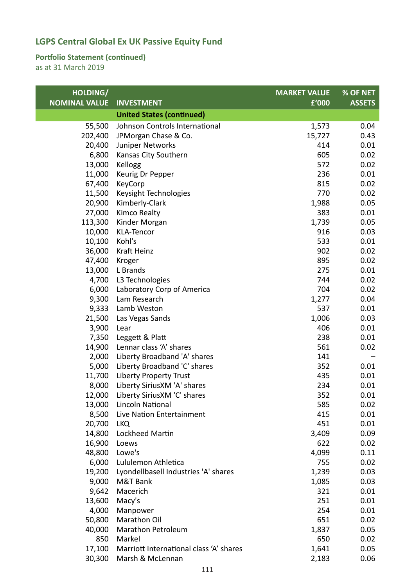### **Portfolio Statement (continued)**

| HOLDING/             |                                         | <b>MARKET VALUE</b> | % OF NET      |
|----------------------|-----------------------------------------|---------------------|---------------|
| <b>NOMINAL VALUE</b> | <b>INVESTMENT</b>                       | £'000               | <b>ASSETS</b> |
|                      | <b>United States (continued)</b>        |                     |               |
| 55,500               | Johnson Controls International          | 1,573               | 0.04          |
| 202,400              | JPMorgan Chase & Co.                    | 15,727              | 0.43          |
| 20,400               | Juniper Networks                        | 414                 | 0.01          |
| 6,800                | Kansas City Southern                    | 605                 | 0.02          |
| 13,000               | Kellogg                                 | 572                 | 0.02          |
| 11,000               | Keurig Dr Pepper                        | 236                 | 0.01          |
| 67,400               | KeyCorp                                 | 815                 | 0.02          |
| 11,500               | Keysight Technologies                   | 770                 | 0.02          |
| 20,900               | Kimberly-Clark                          | 1,988               | 0.05          |
| 27,000               | Kimco Realty                            | 383                 | 0.01          |
| 113,300              | Kinder Morgan                           | 1,739               | 0.05          |
| 10,000               | <b>KLA-Tencor</b>                       | 916                 | 0.03          |
| 10,100               | Kohl's                                  | 533                 | 0.01          |
| 36,000               | Kraft Heinz                             | 902                 | 0.02          |
| 47,400               | Kroger                                  | 895                 | 0.02          |
| 13,000               | L Brands                                | 275                 | 0.01          |
| 4,700                | L3 Technologies                         | 744                 | 0.02          |
| 6,000                | Laboratory Corp of America              | 704                 | 0.02          |
| 9,300                | Lam Research                            | 1,277               | 0.04          |
| 9,333                | Lamb Weston                             | 537                 | 0.01          |
| 21,500               | Las Vegas Sands                         | 1,006               | 0.03          |
| 3,900                | Lear                                    | 406                 | 0.01          |
| 7,350                | Leggett & Platt                         | 238                 | 0.01          |
| 14,900               | Lennar class 'A' shares                 | 561                 | 0.02          |
| 2,000                | Liberty Broadband 'A' shares            | 141                 |               |
| 5,000                | Liberty Broadband 'C' shares            | 352                 | 0.01          |
| 11,700               | <b>Liberty Property Trust</b>           | 435                 | 0.01          |
| 8,000                | Liberty SiriusXM 'A' shares             | 234                 | 0.01          |
| 12,000               | Liberty SiriusXM 'C' shares             | 352                 | 0.01          |
| 13,000               | Lincoln National                        | 585                 | 0.02          |
| 8,500                | Live Nation Entertainment               | 415                 | 0.01          |
| 20,700               | LKQ                                     | 451                 | 0.01          |
| 14,800               | Lockheed Martin                         | 3,409               | 0.09          |
| 16,900               | Loews                                   | 622                 | 0.02          |
| 48,800               | Lowe's                                  | 4,099               | 0.11          |
| 6,000                | Lululemon Athletica                     | 755                 | 0.02          |
| 19,200               | Lyondellbasell Industries 'A' shares    | 1,239               | 0.03          |
| 9,000                | M&T Bank                                | 1,085               | 0.03          |
| 9,642                | Macerich                                | 321                 | 0.01          |
| 13,600               | Macy's                                  | 251                 | 0.01          |
| 4,000                | Manpower<br>Marathon Oil                | 254                 | 0.01          |
| 50,800<br>40,000     | Marathon Petroleum                      | 651                 | 0.02<br>0.05  |
| 850                  | Markel                                  | 1,837<br>650        | 0.02          |
| 17,100               | Marriott International class 'A' shares | 1,641               | 0.05          |
| 30,300               | Marsh & McLennan                        | 2,183               | 0.06          |
|                      |                                         |                     |               |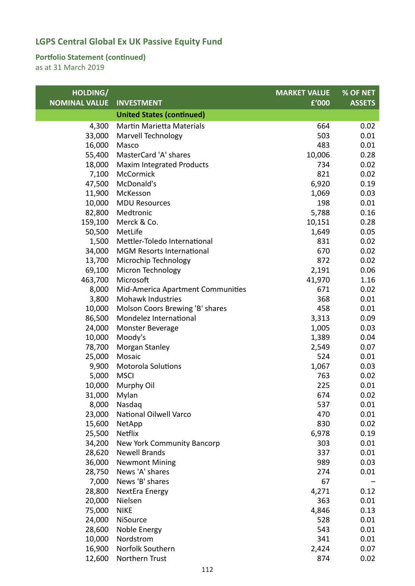### **Portfolio Statement (continued)**

| HOLDING/             |                                   | <b>MARKET VALUE</b> | % OF NET      |
|----------------------|-----------------------------------|---------------------|---------------|
| <b>NOMINAL VALUE</b> | <b>INVESTMENT</b>                 | £'000               | <b>ASSETS</b> |
|                      | <b>United States (continued)</b>  |                     |               |
| 4,300                | <b>Martin Marietta Materials</b>  | 664                 | 0.02          |
| 33,000               | Marvell Technology                | 503                 | 0.01          |
| 16,000               | Masco                             | 483                 | 0.01          |
| 55,400               | MasterCard 'A' shares             | 10,006              | 0.28          |
| 18,000               | <b>Maxim Integrated Products</b>  | 734                 | 0.02          |
| 7,100                | McCormick                         | 821                 | 0.02          |
| 47,500               | McDonald's                        | 6,920               | 0.19          |
| 11,900               | McKesson                          | 1,069               | 0.03          |
| 10,000               | <b>MDU Resources</b>              | 198                 | 0.01          |
| 82,800               | Medtronic                         | 5,788               | 0.16          |
| 159,100              | Merck & Co.                       | 10,151              | 0.28          |
| 50,500               | MetLife                           | 1,649               | 0.05          |
| 1,500                | Mettler-Toledo International      | 831                 | 0.02          |
| 34,000               | <b>MGM Resorts International</b>  | 670                 | 0.02          |
| 13,700               | Microchip Technology              | 872                 | 0.02          |
| 69,100               | Micron Technology                 | 2,191               | 0.06          |
| 463,700              | Microsoft                         | 41,970              | 1.16          |
| 8,000                | Mid-America Apartment Communities | 671                 | 0.02          |
| 3,800                | Mohawk Industries                 | 368                 | 0.01          |
| 10,000               | Molson Coors Brewing 'B' shares   | 458                 | 0.01          |
| 86,500               | Mondelez International            | 3,313               | 0.09          |
| 24,000               | Monster Beverage                  | 1,005               | 0.03          |
| 10,000               | Moody's                           | 1,389               | 0.04          |
| 78,700               | Morgan Stanley                    | 2,549               | 0.07          |
| 25,000               | Mosaic                            | 524                 | 0.01          |
| 9,900                | <b>Motorola Solutions</b>         | 1,067               | 0.03          |
| 5,000                | <b>MSCI</b>                       | 763                 | 0.02          |
| 10,000               | Murphy Oil                        | 225                 | 0.01          |
| 31,000               | Mylan                             | 674                 | 0.02          |
| 8,000                | Nasdaq                            | 537                 | 0.01          |
| 23,000               | National Oilwell Varco            | 470                 | 0.01          |
| 15,600               | NetApp                            | 830                 | 0.02          |
| 25,500               | <b>Netflix</b>                    | 6,978               | 0.19          |
| 34,200               | New York Community Bancorp        | 303                 | 0.01          |
| 28,620               | <b>Newell Brands</b>              | 337                 | 0.01          |
| 36,000               | <b>Newmont Mining</b>             | 989                 | 0.03          |
| 28,750               | News 'A' shares                   | 274                 | 0.01          |
| 7,000                | News 'B' shares                   | 67                  |               |
| 28,800               | NextEra Energy                    | 4,271               | 0.12          |
| 20,000               | Nielsen                           | 363                 | 0.01          |
| 75,000               | <b>NIKE</b>                       | 4,846               | 0.13          |
| 24,000               | NiSource                          | 528                 | 0.01          |
| 28,600               | Noble Energy                      | 543                 | 0.01          |
| 10,000               | Nordstrom                         | 341                 | 0.01          |
| 16,900               | Norfolk Southern                  | 2,424               | 0.07          |
| 12,600               | Northern Trust                    | 874                 | 0.02          |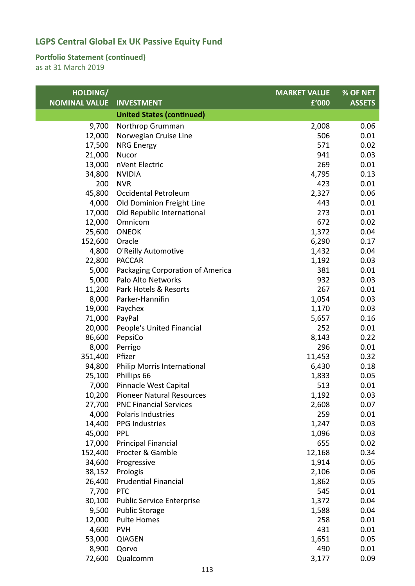### **Portfolio Statement (continued)**

| HOLDING/             |                                  | <b>MARKET VALUE</b> | % OF NET      |
|----------------------|----------------------------------|---------------------|---------------|
| <b>NOMINAL VALUE</b> | <b>INVESTMENT</b>                | £'000               | <b>ASSETS</b> |
|                      | <b>United States (continued)</b> |                     |               |
| 9,700                | Northrop Grumman                 | 2,008               | 0.06          |
| 12,000               | Norwegian Cruise Line            | 506                 | 0.01          |
| 17,500               | <b>NRG Energy</b>                | 571                 | 0.02          |
| 21,000               | Nucor                            | 941                 | 0.03          |
| 13,000               | nVent Electric                   | 269                 | 0.01          |
| 34,800               | <b>NVIDIA</b>                    | 4,795               | 0.13          |
| 200                  | <b>NVR</b>                       | 423                 | 0.01          |
| 45,800               | Occidental Petroleum             | 2,327               | 0.06          |
| 4,000                | Old Dominion Freight Line        | 443                 | 0.01          |
| 17,000               | Old Republic International       | 273                 | 0.01          |
| 12,000               | Omnicom                          | 672                 | 0.02          |
| 25,600               | <b>ONEOK</b>                     | 1,372               | 0.04          |
| 152,600              | Oracle                           | 6,290               | 0.17          |
| 4,800                | O'Reilly Automotive              | 1,432               | 0.04          |
| 22,800               | <b>PACCAR</b>                    | 1,192               | 0.03          |
| 5,000                | Packaging Corporation of America | 381                 | 0.01          |
| 5,000                | Palo Alto Networks               | 932                 | 0.03          |
| 11,200               | Park Hotels & Resorts            | 267                 | 0.01          |
| 8,000                | Parker-Hannifin                  | 1,054               | 0.03          |
| 19,000               | Paychex                          | 1,170               | 0.03          |
| 71,000               | PayPal                           | 5,657               | 0.16          |
| 20,000               | People's United Financial        | 252                 | 0.01          |
| 86,600               | PepsiCo                          | 8,143               | 0.22          |
| 8,000                | Perrigo                          | 296                 | 0.01          |
| 351,400              | Pfizer                           | 11,453              | 0.32          |
| 94,800               | Philip Morris International      | 6,430               | 0.18          |
| 25,100               | Phillips 66                      | 1,833               | 0.05          |
| 7,000                | Pinnacle West Capital            | 513                 | 0.01          |
| 10,200               | <b>Pioneer Natural Resources</b> | 1,192               | 0.03          |
| 27,700               | <b>PNC Financial Services</b>    | 2,608               | 0.07          |
| 4,000                | Polaris Industries               | 259                 | 0.01          |
| 14,400               | <b>PPG Industries</b>            | 1,247               | 0.03          |
| 45,000               | <b>PPL</b>                       | 1,096               | 0.03          |
| 17,000               | <b>Principal Financial</b>       | 655                 | 0.02          |
| 152,400              | Procter & Gamble                 | 12,168              | 0.34          |
| 34,600               | Progressive                      | 1,914               | 0.05          |
| 38,152               | Prologis                         | 2,106               | 0.06          |
| 26,400               | <b>Prudential Financial</b>      | 1,862               | 0.05          |
| 7,700                | <b>PTC</b>                       | 545                 | 0.01          |
| 30,100               | <b>Public Service Enterprise</b> | 1,372               | 0.04          |
| 9,500                | <b>Public Storage</b>            | 1,588               | 0.04          |
| 12,000               | <b>Pulte Homes</b>               | 258                 | 0.01          |
| 4,600                | <b>PVH</b>                       | 431                 | 0.01          |
| 53,000               | <b>QIAGEN</b>                    | 1,651               | 0.05          |
| 8,900                | Qorvo                            | 490                 | 0.01          |
| 72,600               | Qualcomm                         | 3,177               | 0.09          |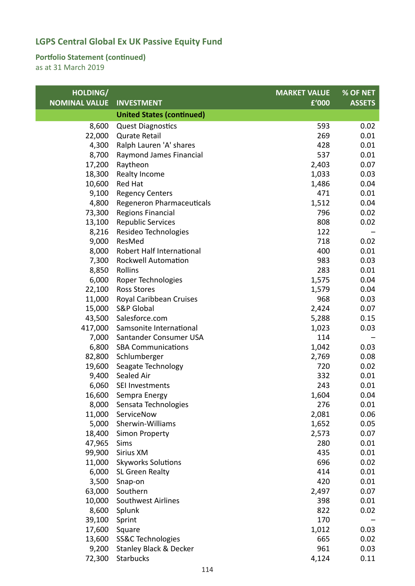### **Portfolio Statement (continued)**

| HOLDING/             |                                   | <b>MARKET VALUE</b> | % OF NET      |
|----------------------|-----------------------------------|---------------------|---------------|
| <b>NOMINAL VALUE</b> | <b>INVESTMENT</b>                 | £'000               | <b>ASSETS</b> |
|                      | <b>United States (continued)</b>  |                     |               |
| 8,600                | <b>Quest Diagnostics</b>          | 593                 | 0.02          |
| 22,000               | <b>Qurate Retail</b>              | 269                 | 0.01          |
| 4,300                | Ralph Lauren 'A' shares           | 428                 | 0.01          |
| 8,700                | Raymond James Financial           | 537                 | 0.01          |
| 17,200               | Raytheon                          | 2,403               | 0.07          |
| 18,300               | Realty Income                     | 1,033               | 0.03          |
| 10,600               | Red Hat                           | 1,486               | 0.04          |
| 9,100                | <b>Regency Centers</b>            | 471                 | 0.01          |
| 4,800                | Regeneron Pharmaceuticals         | 1,512               | 0.04          |
| 73,300               | <b>Regions Financial</b>          | 796                 | 0.02          |
| 13,100               | <b>Republic Services</b>          | 808                 | 0.02          |
| 8,216                | Resideo Technologies              | 122                 |               |
| 9,000                | ResMed                            | 718                 | 0.02          |
| 8,000                | Robert Half International         | 400                 | 0.01          |
| 7,300                | <b>Rockwell Automation</b>        | 983                 | 0.03          |
| 8,850                | Rollins                           | 283                 | 0.01          |
| 6,000                | Roper Technologies                | 1,575               | 0.04          |
| 22,100               | <b>Ross Stores</b>                | 1,579               | 0.04          |
| 11,000               | Royal Caribbean Cruises           | 968                 | 0.03          |
| 15,000               | S&P Global                        | 2,424               | 0.07          |
| 43,500               | Salesforce.com                    | 5,288               | 0.15          |
| 417,000              | Samsonite International           | 1,023               | 0.03          |
| 7,000                | Santander Consumer USA            | 114                 |               |
| 6,800                | <b>SBA Communications</b>         | 1,042               | 0.03          |
| 82,800               | Schlumberger                      | 2,769               | 0.08          |
| 19,600               | Seagate Technology                | 720                 | 0.02          |
| 9,400                | Sealed Air                        | 332                 | 0.01          |
| 6,060                | SEI Investments                   | 243                 | 0.01          |
| 16,600               | Sempra Energy                     | 1,604               | 0.04          |
| 8,000                | Sensata Technologies              | 276                 | 0.01          |
| 11,000               | ServiceNow                        | 2,081               | 0.06          |
| 5,000                | Sherwin-Williams                  | 1,652               | 0.05          |
| 18,400               | <b>Simon Property</b>             | 2,573               | 0.07          |
| 47,965               | Sims                              | 280                 | 0.01          |
| 99,900               | Sirius XM                         | 435                 | 0.01          |
| 11,000               | <b>Skyworks Solutions</b>         | 696                 | 0.02          |
| 6,000                | SL Green Realty                   | 414                 | 0.01          |
| 3,500                | Snap-on                           | 420                 | 0.01          |
| 63,000               | Southern                          | 2,497               | 0.07          |
| 10,000               | <b>Southwest Airlines</b>         | 398                 | 0.01          |
| 8,600                | Splunk                            | 822                 | 0.02          |
| 39,100               | Sprint                            | 170                 |               |
| 17,600               | Square                            | 1,012               | 0.03          |
| 13,600               | SS&C Technologies                 | 665                 | 0.02          |
| 9,200                | <b>Stanley Black &amp; Decker</b> | 961                 | 0.03          |
| 72,300               | Starbucks                         | 4,124               | 0.11          |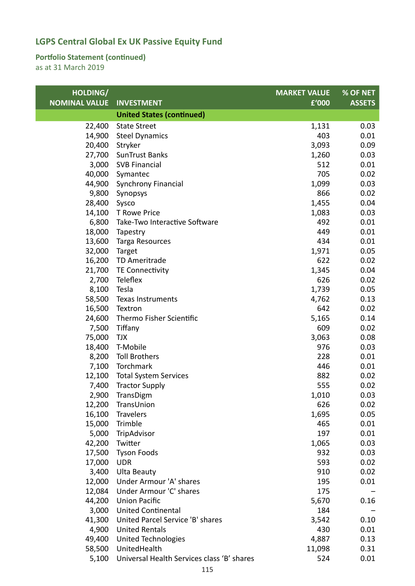### **Portfolio Statement (continued)**

| HOLDING/             |                                            | <b>MARKET VALUE</b> | % OF NET      |
|----------------------|--------------------------------------------|---------------------|---------------|
| <b>NOMINAL VALUE</b> | <b>INVESTMENT</b>                          | £'000               | <b>ASSETS</b> |
|                      | <b>United States (continued)</b>           |                     |               |
| 22,400               | <b>State Street</b>                        | 1,131               | 0.03          |
| 14,900               | <b>Steel Dynamics</b>                      | 403                 | 0.01          |
| 20,400               | Stryker                                    | 3,093               | 0.09          |
| 27,700               | <b>SunTrust Banks</b>                      | 1,260               | 0.03          |
| 3,000                | <b>SVB Financial</b>                       | 512                 | 0.01          |
| 40,000               | Symantec                                   | 705                 | 0.02          |
| 44,900               | <b>Synchrony Financial</b>                 | 1,099               | 0.03          |
| 9,800                | Synopsys                                   | 866                 | 0.02          |
| 28,400               | Sysco                                      | 1,455               | 0.04          |
| 14,100               | T Rowe Price                               | 1,083               | 0.03          |
| 6,800                | Take-Two Interactive Software              | 492                 | 0.01          |
| 18,000               | Tapestry                                   | 449                 | 0.01          |
| 13,600               | Targa Resources                            | 434                 | 0.01          |
| 32,000               | Target                                     | 1,971               | 0.05          |
| 16,200               | TD Ameritrade                              | 622                 | 0.02          |
| 21,700               | TE Connectivity                            | 1,345               | 0.04          |
| 2,700                | Teleflex                                   | 626                 | 0.02          |
| 8,100                | Tesla                                      | 1,739               | 0.05          |
| 58,500               | Texas Instruments                          | 4,762               | 0.13          |
| 16,500               | Textron                                    | 642                 | 0.02          |
| 24,600               | Thermo Fisher Scientific                   | 5,165               | 0.14          |
| 7,500                | Tiffany                                    | 609                 | 0.02          |
| 75,000               | <b>TJX</b>                                 | 3,063               | 0.08          |
| 18,400               | T-Mobile                                   | 976                 | 0.03          |
| 8,200                | <b>Toll Brothers</b>                       | 228                 | 0.01          |
| 7,100                | Torchmark                                  | 446                 | 0.01          |
| 12,100               | <b>Total System Services</b>               | 882                 | 0.02          |
| 7,400                | <b>Tractor Supply</b>                      | 555                 | 0.02          |
| 2,900                | TransDigm                                  | 1,010               | 0.03          |
| 12,200               | TransUnion                                 | 626                 | 0.02          |
| 16,100               | Travelers                                  | 1,695               | 0.05          |
| 15,000               | Trimble                                    | 465                 | 0.01          |
| 5,000                | TripAdvisor                                | 197                 | 0.01          |
| 42,200               | Twitter                                    | 1,065               | 0.03          |
| 17,500               | <b>Tyson Foods</b>                         | 932                 | 0.03          |
| 17,000               | <b>UDR</b>                                 | 593                 | 0.02          |
| 3,400                | <b>Ulta Beauty</b>                         | 910                 | 0.02          |
| 12,000               | Under Armour 'A' shares                    | 195                 | 0.01          |
| 12,084               | Under Armour 'C' shares                    | 175                 |               |
| 44,200               | <b>Union Pacific</b>                       | 5,670               | 0.16          |
| 3,000                | <b>United Continental</b>                  | 184                 |               |
| 41,300               | United Parcel Service 'B' shares           | 3,542               | 0.10          |
| 4,900                | <b>United Rentals</b>                      | 430                 | 0.01          |
| 49,400               | <b>United Technologies</b>                 | 4,887               | 0.13          |
| 58,500               | UnitedHealth                               | 11,098              | 0.31          |
| 5,100                | Universal Health Services class 'B' shares | 524                 | 0.01          |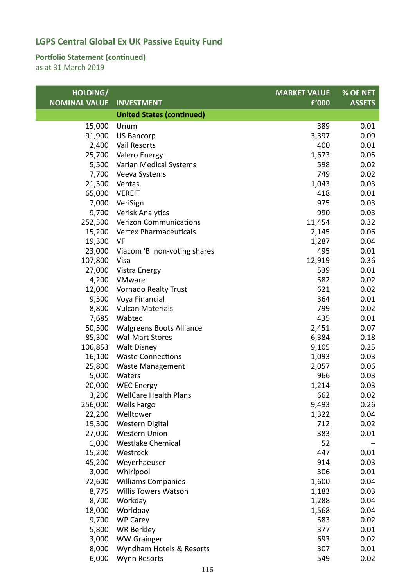### **Portfolio Statement (continued)**

| HOLDING/             |                                  | <b>MARKET VALUE</b> | % OF NET      |
|----------------------|----------------------------------|---------------------|---------------|
| <b>NOMINAL VALUE</b> | <b>INVESTMENT</b>                | £'000               | <b>ASSETS</b> |
|                      | <b>United States (continued)</b> |                     |               |
| 15,000               | Unum                             | 389                 | 0.01          |
| 91,900               | <b>US Bancorp</b>                | 3,397               | 0.09          |
| 2,400                | Vail Resorts                     | 400                 | 0.01          |
| 25,700               | Valero Energy                    | 1,673               | 0.05          |
| 5,500                | Varian Medical Systems           | 598                 | 0.02          |
| 7,700                | Veeva Systems                    | 749                 | 0.02          |
| 21,300               | Ventas                           | 1,043               | 0.03          |
| 65,000               | <b>VEREIT</b>                    | 418                 | 0.01          |
| 7,000                | VeriSign                         | 975                 | 0.03          |
| 9,700                | Verisk Analytics                 | 990                 | 0.03          |
| 252,500              | <b>Verizon Communications</b>    | 11,454              | 0.32          |
| 15,200               | <b>Vertex Pharmaceuticals</b>    | 2,145               | 0.06          |
| 19,300               | VF                               | 1,287               | 0.04          |
| 23,000               | Viacom 'B' non-voting shares     | 495                 | 0.01          |
| 107,800              | Visa                             | 12,919              | 0.36          |
| 27,000               | Vistra Energy                    | 539                 | 0.01          |
| 4,200                | VMware                           | 582                 | 0.02          |
| 12,000               | <b>Vornado Realty Trust</b>      | 621                 | 0.02          |
| 9,500                | Voya Financial                   | 364                 | 0.01          |
| 8,800                | <b>Vulcan Materials</b>          | 799                 | 0.02          |
| 7,685                | Wabtec                           | 435                 | 0.01          |
| 50,500               | <b>Walgreens Boots Alliance</b>  | 2,451               | 0.07          |
| 85,300               | <b>Wal-Mart Stores</b>           | 6,384               | 0.18          |
| 106,853              | <b>Walt Disney</b>               | 9,105               | 0.25          |
| 16,100               | <b>Waste Connections</b>         | 1,093               | 0.03          |
| 25,800               | <b>Waste Management</b>          | 2,057               | 0.06          |
| 5,000                | Waters                           | 966                 | 0.03          |
| 20,000               | <b>WEC Energy</b>                | 1,214               | 0.03          |
| 3,200                | <b>WellCare Health Plans</b>     | 662                 | 0.02          |
| 256,000              | <b>Wells Fargo</b>               | 9,493               | 0.26          |
| 22,200               | Welltower                        | 1,322               | 0.04          |
| 19,300               | Western Digital                  | 712                 | 0.02          |
| 27,000               | <b>Western Union</b>             | 383                 | 0.01          |
| 1,000                | <b>Westlake Chemical</b>         | 52                  |               |
| 15,200               | Westrock                         | 447                 | 0.01          |
| 45,200               | Weyerhaeuser                     | 914                 | 0.03          |
| 3,000                | Whirlpool                        | 306                 | 0.01          |
| 72,600               | <b>Williams Companies</b>        | 1,600               | 0.04          |
| 8,775                | Willis Towers Watson             | 1,183               | 0.03          |
| 8,700                | Workday                          | 1,288               | 0.04          |
| 18,000               | Worldpay                         | 1,568               | 0.04          |
| 9,700                | <b>WP Carey</b>                  | 583                 | 0.02          |
| 5,800                | <b>WR Berkley</b>                | 377                 | 0.01          |
| 3,000                | <b>WW Grainger</b>               | 693                 | 0.02          |
| 8,000                | Wyndham Hotels & Resorts         | 307                 | 0.01          |
| 6,000                | <b>Wynn Resorts</b>              | 549                 | 0.02          |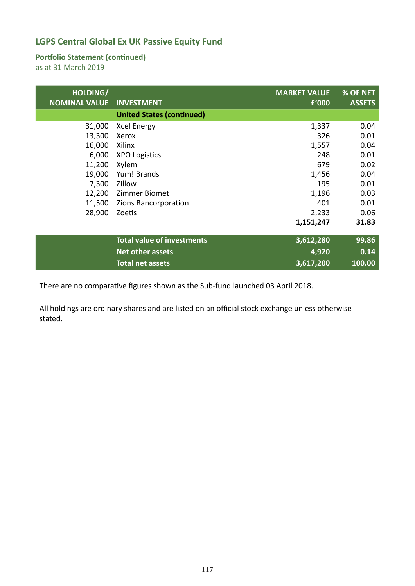#### **Portfolio Statement (continued)**

as at 31 March 2019

| HOLDING/<br><b>NOMINAL VALUE</b> | <b>INVESTMENT</b>                 | <b>MARKET VALUE</b><br>£'000 | % OF NET<br><b>ASSETS</b> |
|----------------------------------|-----------------------------------|------------------------------|---------------------------|
|                                  | <b>United States (continued)</b>  |                              |                           |
| 31,000                           | <b>Xcel Energy</b>                | 1,337                        | 0.04                      |
| 13,300                           | Xerox                             | 326                          | 0.01                      |
| 16,000                           | Xilinx                            | 1,557                        | 0.04                      |
| 6,000                            | <b>XPO Logistics</b>              | 248                          | 0.01                      |
| 11,200                           | Xylem                             | 679                          | 0.02                      |
| 19,000                           | Yum! Brands                       | 1,456                        | 0.04                      |
| 7,300                            | Zillow                            | 195                          | 0.01                      |
| 12,200                           | Zimmer Biomet                     | 1,196                        | 0.03                      |
| 11,500                           | Zions Bancorporation              | 401                          | 0.01                      |
| 28,900                           | Zoetis                            | 2,233                        | 0.06                      |
|                                  |                                   | 1,151,247                    | 31.83                     |
|                                  | <b>Total value of investments</b> | 3,612,280                    | 99.86                     |
|                                  | Net other assets                  | 4,920                        | 0.14                      |
|                                  | <b>Total net assets</b>           | 3,617,200                    | 100.00                    |

There are no comparative figures shown as the Sub‐fund launched 03 April 2018.

All holdings are ordinary shares and are listed on an official stock exchange unless otherwise stated.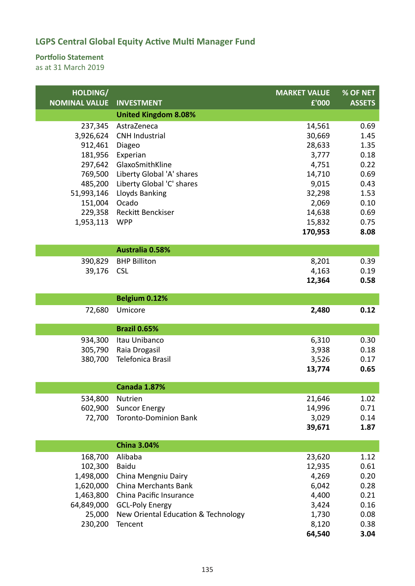### **Portfolio Statement**

| HOLDING/             |                                     | <b>MARKET VALUE</b> | % OF NET      |
|----------------------|-------------------------------------|---------------------|---------------|
| <b>NOMINAL VALUE</b> | <b>INVESTMENT</b>                   | £'000               | <b>ASSETS</b> |
|                      | <b>United Kingdom 8.08%</b>         |                     |               |
| 237,345              | AstraZeneca                         | 14,561              | 0.69          |
| 3,926,624            | <b>CNH Industrial</b>               | 30,669              | 1.45          |
| 912,461              | Diageo                              | 28,633              | 1.35          |
| 181,956              | Experian                            | 3,777               | 0.18          |
| 297,642              | GlaxoSmithKline                     | 4,751               | 0.22          |
| 769,500              | Liberty Global 'A' shares           | 14,710              | 0.69          |
| 485,200              | Liberty Global 'C' shares           | 9,015               | 0.43          |
| 51,993,146           | Lloyds Banking                      | 32,298              | 1.53          |
| 151,004              | Ocado                               | 2,069               | 0.10          |
| 229,358              | Reckitt Benckiser                   | 14,638              | 0.69          |
| 1,953,113            | <b>WPP</b>                          | 15,832              | 0.75          |
|                      |                                     | 170,953             | 8.08          |
|                      | <b>Australia 0.58%</b>              |                     |               |
| 390,829              | <b>BHP Billiton</b>                 | 8,201               | 0.39          |
| 39,176               | <b>CSL</b>                          | 4,163               | 0.19          |
|                      |                                     | 12,364              | 0.58          |
|                      |                                     |                     |               |
|                      | Belgium 0.12%                       |                     |               |
| 72,680               | Umicore                             | 2,480               | 0.12          |
|                      | <b>Brazil 0.65%</b>                 |                     |               |
| 934,300              | Itau Unibanco                       | 6,310               | 0.30          |
| 305,790              | Raia Drogasil                       | 3,938               | 0.18          |
| 380,700              | Telefonica Brasil                   | 3,526               | 0.17          |
|                      |                                     | 13,774              | 0.65          |
|                      |                                     |                     |               |
|                      | <b>Canada 1.87%</b>                 |                     |               |
| 534,800              | Nutrien                             | 21,646              | 1.02          |
| 602,900              | <b>Suncor Energy</b>                | 14,996              | 0.71          |
| 72,700               | <b>Toronto-Dominion Bank</b>        | 3,029               | 0.14          |
|                      |                                     | 39,671              | 1.87          |
|                      | <b>China 3.04%</b>                  |                     |               |
| 168,700              | Alibaba                             | 23,620              | 1.12          |
| 102,300              | <b>Baidu</b>                        | 12,935              | 0.61          |
| 1,498,000            | China Mengniu Dairy                 | 4,269               | 0.20          |
| 1,620,000            | China Merchants Bank                | 6,042               | 0.28          |
| 1,463,800            | China Pacific Insurance             | 4,400               | 0.21          |
| 64,849,000           | <b>GCL-Poly Energy</b>              | 3,424               | 0.16          |
| 25,000               | New Oriental Education & Technology | 1,730               | 0.08          |
| 230,200              | Tencent                             | 8,120               | 0.38          |
|                      |                                     | 64,540              | 3.04          |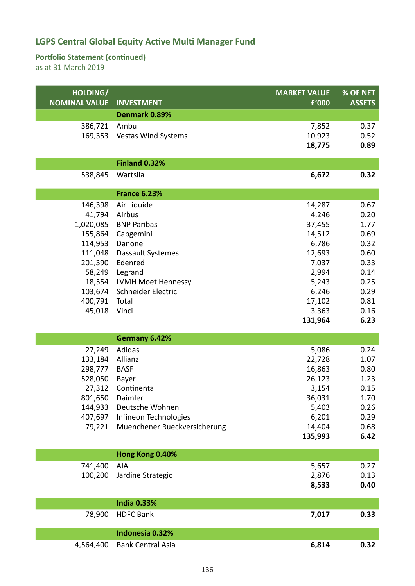### **Portfolio Statement (continued)**

| HOLDING/<br><b>NOMINAL VALUE</b> | <b>INVESTMENT</b>            | <b>MARKET VALUE</b><br>£'000 | % OF NET<br><b>ASSETS</b> |
|----------------------------------|------------------------------|------------------------------|---------------------------|
|                                  | Denmark 0.89%                |                              |                           |
| 386,721                          | Ambu                         | 7,852                        | 0.37                      |
| 169,353                          | <b>Vestas Wind Systems</b>   | 10,923                       | 0.52                      |
|                                  |                              | 18,775                       | 0.89                      |
|                                  | <b>Finland 0.32%</b>         |                              |                           |
| 538,845                          | Wartsila                     | 6,672                        | 0.32                      |
|                                  | <b>France 6.23%</b>          |                              |                           |
| 146,398                          | Air Liquide                  | 14,287                       | 0.67                      |
| 41,794                           | Airbus                       | 4,246                        | 0.20                      |
| 1,020,085                        | <b>BNP Paribas</b>           | 37,455                       | 1.77                      |
| 155,864                          | Capgemini                    | 14,512                       | 0.69                      |
| 114,953                          | Danone                       | 6,786                        | 0.32                      |
| 111,048                          | Dassault Systemes            | 12,693                       | 0.60                      |
| 201,390                          | Edenred                      | 7,037                        | 0.33                      |
| 58,249                           | Legrand                      | 2,994                        | 0.14                      |
| 18,554                           | LVMH Moet Hennessy           | 5,243                        | 0.25                      |
| 103,674                          | Schneider Electric           | 6,246                        | 0.29                      |
| 400,791                          | Total                        | 17,102                       | 0.81                      |
| 45,018                           | Vinci                        | 3,363                        | 0.16                      |
|                                  |                              | 131,964                      | 6.23                      |
|                                  | Germany 6.42%                |                              |                           |
| 27,249                           | Adidas                       | 5,086                        | 0.24                      |
| 133,184                          | Allianz                      | 22,728                       | 1.07                      |
| 298,777                          | <b>BASF</b>                  | 16,863                       | 0.80                      |
| 528,050                          | Bayer                        | 26,123                       | 1.23                      |
| 27,312                           | Continental                  | 3,154                        | 0.15                      |
|                                  | 801,650 Daimler              | 36,031                       | 1.70                      |
| 144,933                          | Deutsche Wohnen              | 5,403                        | 0.26                      |
| 407,697                          | Infineon Technologies        | 6,201                        | 0.29                      |
| 79,221                           | Muenchener Rueckversicherung | 14,404                       | 0.68                      |
|                                  |                              | 135,993                      | 6.42                      |
|                                  |                              |                              |                           |
|                                  | Hong Kong 0.40%              |                              |                           |
| 741,400                          | AIA                          | 5,657                        | 0.27                      |
| 100,200                          | Jardine Strategic            | 2,876                        | 0.13                      |
|                                  |                              | 8,533                        | 0.40                      |
|                                  | <b>India 0.33%</b>           |                              |                           |
| 78,900                           | <b>HDFC Bank</b>             | 7,017                        | 0.33                      |
|                                  | Indonesia 0.32%              |                              |                           |
| 4,564,400                        | <b>Bank Central Asia</b>     | 6,814                        | 0.32                      |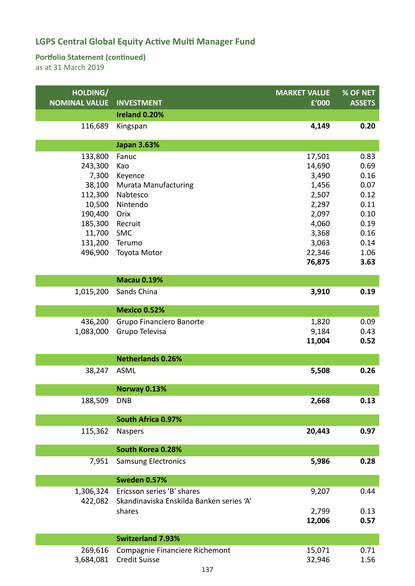### **Portfolio Statement (continued)**

| HOLDING/             |                                          | <b>MARKET VALUE</b> | % OF NET      |
|----------------------|------------------------------------------|---------------------|---------------|
| <b>NOMINAL VALUE</b> | <b>INVESTMENT</b>                        | £'000               | <b>ASSETS</b> |
|                      | Ireland 0.20%                            |                     |               |
| 116,689              | Kingspan                                 | 4,149               | 0.20          |
|                      | <b>Japan 3.63%</b>                       |                     |               |
| 133,800              | Fanuc                                    | 17,501              | 0.83          |
| 243,300              | Kao                                      | 14,690              | 0.69          |
| 7,300                | Keyence                                  | 3,490               | 0.16          |
| 38,100               | Murata Manufacturing                     | 1,456               | 0.07          |
| 112,300              | Nabtesco                                 | 2,507               | 0.12          |
| 10,500               | Nintendo                                 | 2,297               | 0.11          |
| 190,400              | Orix                                     | 2,097               | 0.10          |
| 185,300              | Recruit                                  | 4,060               | 0.19          |
| 11,700               | <b>SMC</b>                               | 3,368               | 0.16          |
| 131,200              | Terumo                                   | 3,063               | 0.14          |
| 496,900              | Toyota Motor                             | 22,346              | 1.06          |
|                      |                                          | 76,875              | 3.63          |
|                      | <b>Macau 0.19%</b>                       |                     |               |
| 1,015,200            | Sands China                              | 3,910               | 0.19          |
|                      |                                          |                     |               |
|                      | Mexico 0.52%                             |                     |               |
| 436,200              | Grupo Financiero Banorte                 | 1,820               | 0.09          |
| 1,083,000            | Grupo Televisa                           | 9,184               | 0.43          |
|                      |                                          | 11,004              | 0.52          |
|                      | <b>Netherlands 0.26%</b>                 |                     |               |
| 38,247               | <b>ASML</b>                              | 5,508               | 0.26          |
|                      | Norway 0.13%                             |                     |               |
| 188,509              | <b>DNB</b>                               | 2,668               | 0.13          |
|                      |                                          |                     |               |
|                      | South Africa 0.97%                       |                     |               |
| 115,362              | <b>Naspers</b>                           | 20,443              | 0.97          |
|                      | South Korea 0.28%                        |                     |               |
| 7,951                | <b>Samsung Electronics</b>               | 5,986               | 0.28          |
|                      |                                          |                     |               |
|                      | Sweden 0.57%                             |                     |               |
| 1,306,324            | Ericsson series 'B' shares               | 9,207               | 0.44          |
| 422,082              | Skandinaviska Enskilda Banken series 'A' |                     |               |
|                      | shares                                   | 2,799               | 0.13          |
|                      |                                          | 12,006              | 0.57          |
|                      | <b>Switzerland 7.93%</b>                 |                     |               |
| 269,616              | Compagnie Financiere Richemont           | 15,071              | 0.71          |
| 3,684,081            | <b>Credit Suisse</b>                     | 32,946              | 1.56          |
|                      | 137                                      |                     |               |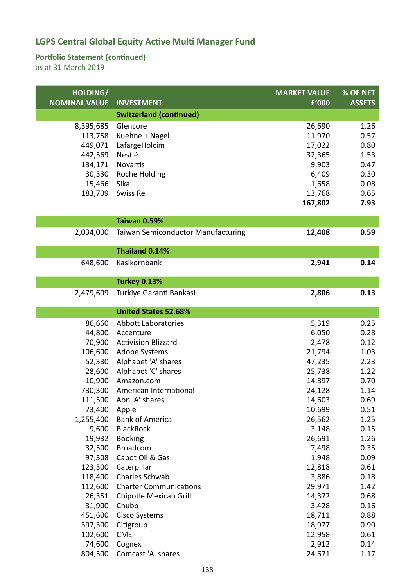### **Portfolio Statement (continued)**

| <b>Switzerland (continued)</b><br>26,690<br>1.26<br>8,395,685<br>Glencore<br>Kuehne + Nagel<br>113,758<br>11,970<br>0.57<br>17,022<br>449,071<br>LafargeHolcim<br>0.80<br>442,569<br>Nestlé<br>32,365<br>1.53<br>9,903<br>134,171<br>Novartis<br>0.47<br>30,330<br>0.30<br>Roche Holding<br>6,409<br>1,658<br>15,466<br>Sika<br>0.08<br>183,709<br>Swiss Re<br>13,768<br>0.65<br>167,802<br>7.93<br>Taiwan 0.59%<br>2,034,000<br><b>Taiwan Semiconductor Manufacturing</b><br>12,408<br>0.59<br>Thailand 0.14%<br>Kasikornbank<br>2,941<br>0.14<br>648,600<br><b>Turkey 0.13%</b><br>Turkiye Garanti Bankasi<br>2,806<br>0.13<br>2,479,609<br><b>United States 52.68%</b><br>86,660<br><b>Abbott Laboratories</b><br>5,319<br>0.25<br>44,800<br>6,050<br>0.28<br>Accenture<br>70,900<br>2,478<br><b>Activision Blizzard</b><br>0.12<br>106,600<br>1.03<br>Adobe Systems<br>21,794<br>Alphabet 'A' shares<br>52,330<br>47,235<br>2.23<br>1.22<br>28,600<br>Alphabet 'C' shares<br>25,738<br>10,900<br>14,897<br>0.70<br>Amazon.com<br>730,300<br>24,128<br>1.14<br>American International<br>111,500<br>Aon 'A' shares<br>14,603<br>0.69<br>73,400<br>10,699<br>Apple<br>0.51<br>1,255,400<br><b>Bank of America</b><br>26,562<br>1.25<br>9,600<br><b>BlackRock</b><br>3,148<br>0.15<br>19,932<br><b>Booking</b><br>26,691<br>1.26<br>32,500<br><b>Broadcom</b><br>7,498<br>0.35<br>Cabot Oil & Gas<br>97,308<br>1,948<br>0.09<br>123,300<br>Caterpillar<br>12,818<br>0.61<br>Charles Schwab<br>118,400<br>3,886<br>0.18<br><b>Charter Communications</b><br>29,971<br>112,600<br>1.42<br>26,351<br>Chipotle Mexican Grill<br>14,372<br>0.68<br>31,900<br>Chubb<br>3,428<br>0.16<br>451,600<br><b>Cisco Systems</b><br>18,711<br>0.88<br>397,300<br>18,977<br>Citigroup<br>0.90<br>102,600<br><b>CME</b><br>12,958<br>0.61<br>74,600<br>2,912<br>Cognex<br>0.14 | HOLDING/<br><b>NOMINAL VALUE</b> | <b>INVESTMENT</b>  | <b>MARKET VALUE</b><br>£'000 | % OF NET<br><b>ASSETS</b> |
|----------------------------------------------------------------------------------------------------------------------------------------------------------------------------------------------------------------------------------------------------------------------------------------------------------------------------------------------------------------------------------------------------------------------------------------------------------------------------------------------------------------------------------------------------------------------------------------------------------------------------------------------------------------------------------------------------------------------------------------------------------------------------------------------------------------------------------------------------------------------------------------------------------------------------------------------------------------------------------------------------------------------------------------------------------------------------------------------------------------------------------------------------------------------------------------------------------------------------------------------------------------------------------------------------------------------------------------------------------------------------------------------------------------------------------------------------------------------------------------------------------------------------------------------------------------------------------------------------------------------------------------------------------------------------------------------------------------------------------------------------------------------------------------------------------------------------------------------------------------|----------------------------------|--------------------|------------------------------|---------------------------|
|                                                                                                                                                                                                                                                                                                                                                                                                                                                                                                                                                                                                                                                                                                                                                                                                                                                                                                                                                                                                                                                                                                                                                                                                                                                                                                                                                                                                                                                                                                                                                                                                                                                                                                                                                                                                                                                                |                                  |                    |                              |                           |
|                                                                                                                                                                                                                                                                                                                                                                                                                                                                                                                                                                                                                                                                                                                                                                                                                                                                                                                                                                                                                                                                                                                                                                                                                                                                                                                                                                                                                                                                                                                                                                                                                                                                                                                                                                                                                                                                |                                  |                    |                              |                           |
|                                                                                                                                                                                                                                                                                                                                                                                                                                                                                                                                                                                                                                                                                                                                                                                                                                                                                                                                                                                                                                                                                                                                                                                                                                                                                                                                                                                                                                                                                                                                                                                                                                                                                                                                                                                                                                                                |                                  |                    |                              |                           |
|                                                                                                                                                                                                                                                                                                                                                                                                                                                                                                                                                                                                                                                                                                                                                                                                                                                                                                                                                                                                                                                                                                                                                                                                                                                                                                                                                                                                                                                                                                                                                                                                                                                                                                                                                                                                                                                                |                                  |                    |                              |                           |
|                                                                                                                                                                                                                                                                                                                                                                                                                                                                                                                                                                                                                                                                                                                                                                                                                                                                                                                                                                                                                                                                                                                                                                                                                                                                                                                                                                                                                                                                                                                                                                                                                                                                                                                                                                                                                                                                |                                  |                    |                              |                           |
|                                                                                                                                                                                                                                                                                                                                                                                                                                                                                                                                                                                                                                                                                                                                                                                                                                                                                                                                                                                                                                                                                                                                                                                                                                                                                                                                                                                                                                                                                                                                                                                                                                                                                                                                                                                                                                                                |                                  |                    |                              |                           |
|                                                                                                                                                                                                                                                                                                                                                                                                                                                                                                                                                                                                                                                                                                                                                                                                                                                                                                                                                                                                                                                                                                                                                                                                                                                                                                                                                                                                                                                                                                                                                                                                                                                                                                                                                                                                                                                                |                                  |                    |                              |                           |
|                                                                                                                                                                                                                                                                                                                                                                                                                                                                                                                                                                                                                                                                                                                                                                                                                                                                                                                                                                                                                                                                                                                                                                                                                                                                                                                                                                                                                                                                                                                                                                                                                                                                                                                                                                                                                                                                |                                  |                    |                              |                           |
|                                                                                                                                                                                                                                                                                                                                                                                                                                                                                                                                                                                                                                                                                                                                                                                                                                                                                                                                                                                                                                                                                                                                                                                                                                                                                                                                                                                                                                                                                                                                                                                                                                                                                                                                                                                                                                                                |                                  |                    |                              |                           |
|                                                                                                                                                                                                                                                                                                                                                                                                                                                                                                                                                                                                                                                                                                                                                                                                                                                                                                                                                                                                                                                                                                                                                                                                                                                                                                                                                                                                                                                                                                                                                                                                                                                                                                                                                                                                                                                                |                                  |                    |                              |                           |
|                                                                                                                                                                                                                                                                                                                                                                                                                                                                                                                                                                                                                                                                                                                                                                                                                                                                                                                                                                                                                                                                                                                                                                                                                                                                                                                                                                                                                                                                                                                                                                                                                                                                                                                                                                                                                                                                |                                  |                    |                              |                           |
|                                                                                                                                                                                                                                                                                                                                                                                                                                                                                                                                                                                                                                                                                                                                                                                                                                                                                                                                                                                                                                                                                                                                                                                                                                                                                                                                                                                                                                                                                                                                                                                                                                                                                                                                                                                                                                                                |                                  |                    |                              |                           |
|                                                                                                                                                                                                                                                                                                                                                                                                                                                                                                                                                                                                                                                                                                                                                                                                                                                                                                                                                                                                                                                                                                                                                                                                                                                                                                                                                                                                                                                                                                                                                                                                                                                                                                                                                                                                                                                                |                                  |                    |                              |                           |
|                                                                                                                                                                                                                                                                                                                                                                                                                                                                                                                                                                                                                                                                                                                                                                                                                                                                                                                                                                                                                                                                                                                                                                                                                                                                                                                                                                                                                                                                                                                                                                                                                                                                                                                                                                                                                                                                |                                  |                    |                              |                           |
|                                                                                                                                                                                                                                                                                                                                                                                                                                                                                                                                                                                                                                                                                                                                                                                                                                                                                                                                                                                                                                                                                                                                                                                                                                                                                                                                                                                                                                                                                                                                                                                                                                                                                                                                                                                                                                                                |                                  |                    |                              |                           |
|                                                                                                                                                                                                                                                                                                                                                                                                                                                                                                                                                                                                                                                                                                                                                                                                                                                                                                                                                                                                                                                                                                                                                                                                                                                                                                                                                                                                                                                                                                                                                                                                                                                                                                                                                                                                                                                                |                                  |                    |                              |                           |
|                                                                                                                                                                                                                                                                                                                                                                                                                                                                                                                                                                                                                                                                                                                                                                                                                                                                                                                                                                                                                                                                                                                                                                                                                                                                                                                                                                                                                                                                                                                                                                                                                                                                                                                                                                                                                                                                |                                  |                    |                              |                           |
|                                                                                                                                                                                                                                                                                                                                                                                                                                                                                                                                                                                                                                                                                                                                                                                                                                                                                                                                                                                                                                                                                                                                                                                                                                                                                                                                                                                                                                                                                                                                                                                                                                                                                                                                                                                                                                                                |                                  |                    |                              |                           |
|                                                                                                                                                                                                                                                                                                                                                                                                                                                                                                                                                                                                                                                                                                                                                                                                                                                                                                                                                                                                                                                                                                                                                                                                                                                                                                                                                                                                                                                                                                                                                                                                                                                                                                                                                                                                                                                                |                                  |                    |                              |                           |
|                                                                                                                                                                                                                                                                                                                                                                                                                                                                                                                                                                                                                                                                                                                                                                                                                                                                                                                                                                                                                                                                                                                                                                                                                                                                                                                                                                                                                                                                                                                                                                                                                                                                                                                                                                                                                                                                |                                  |                    |                              |                           |
|                                                                                                                                                                                                                                                                                                                                                                                                                                                                                                                                                                                                                                                                                                                                                                                                                                                                                                                                                                                                                                                                                                                                                                                                                                                                                                                                                                                                                                                                                                                                                                                                                                                                                                                                                                                                                                                                |                                  |                    |                              |                           |
|                                                                                                                                                                                                                                                                                                                                                                                                                                                                                                                                                                                                                                                                                                                                                                                                                                                                                                                                                                                                                                                                                                                                                                                                                                                                                                                                                                                                                                                                                                                                                                                                                                                                                                                                                                                                                                                                |                                  |                    |                              |                           |
|                                                                                                                                                                                                                                                                                                                                                                                                                                                                                                                                                                                                                                                                                                                                                                                                                                                                                                                                                                                                                                                                                                                                                                                                                                                                                                                                                                                                                                                                                                                                                                                                                                                                                                                                                                                                                                                                |                                  |                    |                              |                           |
|                                                                                                                                                                                                                                                                                                                                                                                                                                                                                                                                                                                                                                                                                                                                                                                                                                                                                                                                                                                                                                                                                                                                                                                                                                                                                                                                                                                                                                                                                                                                                                                                                                                                                                                                                                                                                                                                |                                  |                    |                              |                           |
|                                                                                                                                                                                                                                                                                                                                                                                                                                                                                                                                                                                                                                                                                                                                                                                                                                                                                                                                                                                                                                                                                                                                                                                                                                                                                                                                                                                                                                                                                                                                                                                                                                                                                                                                                                                                                                                                |                                  |                    |                              |                           |
|                                                                                                                                                                                                                                                                                                                                                                                                                                                                                                                                                                                                                                                                                                                                                                                                                                                                                                                                                                                                                                                                                                                                                                                                                                                                                                                                                                                                                                                                                                                                                                                                                                                                                                                                                                                                                                                                |                                  |                    |                              |                           |
|                                                                                                                                                                                                                                                                                                                                                                                                                                                                                                                                                                                                                                                                                                                                                                                                                                                                                                                                                                                                                                                                                                                                                                                                                                                                                                                                                                                                                                                                                                                                                                                                                                                                                                                                                                                                                                                                |                                  |                    |                              |                           |
|                                                                                                                                                                                                                                                                                                                                                                                                                                                                                                                                                                                                                                                                                                                                                                                                                                                                                                                                                                                                                                                                                                                                                                                                                                                                                                                                                                                                                                                                                                                                                                                                                                                                                                                                                                                                                                                                |                                  |                    |                              |                           |
|                                                                                                                                                                                                                                                                                                                                                                                                                                                                                                                                                                                                                                                                                                                                                                                                                                                                                                                                                                                                                                                                                                                                                                                                                                                                                                                                                                                                                                                                                                                                                                                                                                                                                                                                                                                                                                                                |                                  |                    |                              |                           |
|                                                                                                                                                                                                                                                                                                                                                                                                                                                                                                                                                                                                                                                                                                                                                                                                                                                                                                                                                                                                                                                                                                                                                                                                                                                                                                                                                                                                                                                                                                                                                                                                                                                                                                                                                                                                                                                                |                                  |                    |                              |                           |
|                                                                                                                                                                                                                                                                                                                                                                                                                                                                                                                                                                                                                                                                                                                                                                                                                                                                                                                                                                                                                                                                                                                                                                                                                                                                                                                                                                                                                                                                                                                                                                                                                                                                                                                                                                                                                                                                |                                  |                    |                              |                           |
|                                                                                                                                                                                                                                                                                                                                                                                                                                                                                                                                                                                                                                                                                                                                                                                                                                                                                                                                                                                                                                                                                                                                                                                                                                                                                                                                                                                                                                                                                                                                                                                                                                                                                                                                                                                                                                                                |                                  |                    |                              |                           |
|                                                                                                                                                                                                                                                                                                                                                                                                                                                                                                                                                                                                                                                                                                                                                                                                                                                                                                                                                                                                                                                                                                                                                                                                                                                                                                                                                                                                                                                                                                                                                                                                                                                                                                                                                                                                                                                                |                                  |                    |                              |                           |
|                                                                                                                                                                                                                                                                                                                                                                                                                                                                                                                                                                                                                                                                                                                                                                                                                                                                                                                                                                                                                                                                                                                                                                                                                                                                                                                                                                                                                                                                                                                                                                                                                                                                                                                                                                                                                                                                |                                  |                    |                              |                           |
|                                                                                                                                                                                                                                                                                                                                                                                                                                                                                                                                                                                                                                                                                                                                                                                                                                                                                                                                                                                                                                                                                                                                                                                                                                                                                                                                                                                                                                                                                                                                                                                                                                                                                                                                                                                                                                                                |                                  |                    |                              |                           |
|                                                                                                                                                                                                                                                                                                                                                                                                                                                                                                                                                                                                                                                                                                                                                                                                                                                                                                                                                                                                                                                                                                                                                                                                                                                                                                                                                                                                                                                                                                                                                                                                                                                                                                                                                                                                                                                                |                                  |                    |                              |                           |
|                                                                                                                                                                                                                                                                                                                                                                                                                                                                                                                                                                                                                                                                                                                                                                                                                                                                                                                                                                                                                                                                                                                                                                                                                                                                                                                                                                                                                                                                                                                                                                                                                                                                                                                                                                                                                                                                |                                  |                    |                              |                           |
|                                                                                                                                                                                                                                                                                                                                                                                                                                                                                                                                                                                                                                                                                                                                                                                                                                                                                                                                                                                                                                                                                                                                                                                                                                                                                                                                                                                                                                                                                                                                                                                                                                                                                                                                                                                                                                                                |                                  |                    |                              |                           |
|                                                                                                                                                                                                                                                                                                                                                                                                                                                                                                                                                                                                                                                                                                                                                                                                                                                                                                                                                                                                                                                                                                                                                                                                                                                                                                                                                                                                                                                                                                                                                                                                                                                                                                                                                                                                                                                                |                                  |                    |                              |                           |
|                                                                                                                                                                                                                                                                                                                                                                                                                                                                                                                                                                                                                                                                                                                                                                                                                                                                                                                                                                                                                                                                                                                                                                                                                                                                                                                                                                                                                                                                                                                                                                                                                                                                                                                                                                                                                                                                |                                  |                    |                              |                           |
|                                                                                                                                                                                                                                                                                                                                                                                                                                                                                                                                                                                                                                                                                                                                                                                                                                                                                                                                                                                                                                                                                                                                                                                                                                                                                                                                                                                                                                                                                                                                                                                                                                                                                                                                                                                                                                                                |                                  |                    |                              |                           |
|                                                                                                                                                                                                                                                                                                                                                                                                                                                                                                                                                                                                                                                                                                                                                                                                                                                                                                                                                                                                                                                                                                                                                                                                                                                                                                                                                                                                                                                                                                                                                                                                                                                                                                                                                                                                                                                                |                                  |                    |                              |                           |
|                                                                                                                                                                                                                                                                                                                                                                                                                                                                                                                                                                                                                                                                                                                                                                                                                                                                                                                                                                                                                                                                                                                                                                                                                                                                                                                                                                                                                                                                                                                                                                                                                                                                                                                                                                                                                                                                | 804,500                          | Comcast 'A' shares | 24,671                       | 1.17                      |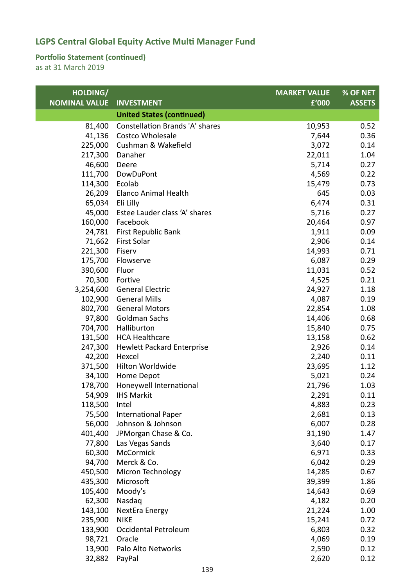### **Portfolio Statement (continued)**

| HOLDING/             |                                        | <b>MARKET VALUE</b> | % OF NET      |
|----------------------|----------------------------------------|---------------------|---------------|
| <b>NOMINAL VALUE</b> | <b>INVESTMENT</b>                      | £'000               | <b>ASSETS</b> |
|                      | <b>United States (continued)</b>       |                     |               |
| 81,400               | <b>Constellation Brands 'A' shares</b> | 10,953              | 0.52          |
| 41,136               | <b>Costco Wholesale</b>                | 7,644               | 0.36          |
| 225,000              | Cushman & Wakefield                    | 3,072               | 0.14          |
| 217,300              | Danaher                                | 22,011              | 1.04          |
| 46,600               | Deere                                  | 5,714               | 0.27          |
| 111,700              | <b>DowDuPont</b>                       | 4,569               | 0.22          |
| 114,300              | Ecolab                                 | 15,479              | 0.73          |
| 26,209               | Elanco Animal Health                   | 645                 | 0.03          |
| 65,034               | Eli Lilly                              | 6,474               | 0.31          |
| 45,000               | Estee Lauder class 'A' shares          | 5,716               | 0.27          |
| 160,000              | Facebook                               | 20,464              | 0.97          |
| 24,781               | First Republic Bank                    | 1,911               | 0.09          |
| 71,662               | First Solar                            | 2,906               | 0.14          |
| 221,300              | Fiserv                                 | 14,993              | 0.71          |
| 175,700              | Flowserve                              | 6,087               | 0.29          |
| 390,600              | Fluor                                  | 11,031              | 0.52          |
| 70,300               | Fortive                                | 4,525               | 0.21          |
| 3,254,600            | <b>General Electric</b>                | 24,927              | 1.18          |
| 102,900              | <b>General Mills</b>                   | 4,087               | 0.19          |
| 802,700              | <b>General Motors</b>                  | 22,854              | 1.08          |
| 97,800               | Goldman Sachs                          | 14,406              | 0.68          |
| 704,700              | Halliburton                            | 15,840              | 0.75          |
| 131,500              | <b>HCA Healthcare</b>                  | 13,158              | 0.62          |
| 247,300              | <b>Hewlett Packard Enterprise</b>      | 2,926               | 0.14          |
| 42,200               | Hexcel                                 | 2,240               | 0.11          |
| 371,500              | Hilton Worldwide                       | 23,695              | 1.12          |
| 34,100               | Home Depot                             | 5,021               | 0.24          |
| 178,700              | Honeywell International                | 21,796              | 1.03          |
| 54,909               | <b>IHS Markit</b>                      | 2,291               | 0.11          |
| 118,500              | Intel                                  | 4,883               | 0.23          |
| 75,500               | <b>International Paper</b>             | 2,681               | 0.13          |
| 56,000               | Johnson & Johnson                      | 6,007               | 0.28          |
| 401,400              | JPMorgan Chase & Co.                   | 31,190              | 1.47          |
| 77,800               | Las Vegas Sands                        | 3,640               | 0.17          |
| 60,300               | McCormick                              | 6,971               | 0.33          |
| 94,700               | Merck & Co.                            | 6,042               | 0.29          |
| 450,500              | Micron Technology                      | 14,285              | 0.67          |
| 435,300              | Microsoft                              | 39,399              | 1.86          |
| 105,400              | Moody's                                | 14,643              | 0.69          |
| 62,300               | Nasdaq                                 | 4,182               | 0.20          |
| 143,100              | NextEra Energy                         | 21,224              | 1.00          |
| 235,900              | <b>NIKE</b>                            | 15,241              | 0.72          |
| 133,900              | Occidental Petroleum                   | 6,803               | 0.32          |
| 98,721               | Oracle                                 | 4,069               | 0.19          |
| 13,900               | Palo Alto Networks                     | 2,590               | 0.12          |
| 32,882               | PayPal                                 | 2,620               | 0.12          |